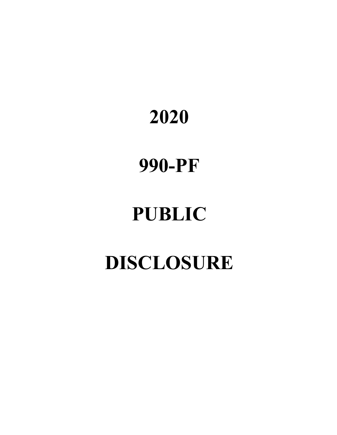# **2020**

# **990-PF**

# **PUBLIC**

# **DISCLOSURE**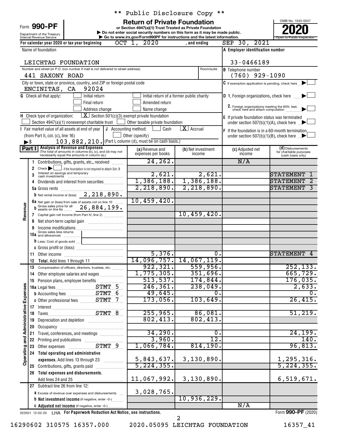Form 990-PF

Department of the Treasury<br>Internal Revenue Service

### \*\* Public Disclosure Copy \*\*

**or Section 4947(a)(1) Trust Treated as Private Foundation | Do not enter social security numbers on this form as it may be made public. POOPR**<br> **EXECUTER SECUTE AND SOLUTE SECUTE AND SECUTE AND SECUTE AND SECUTE AND SECUTE AND SECUTE AND SECUTE AND SECUTE A<br>
<b>POOPER SECUTE AND SOLUTE AND SOLUTE AND SOLUTE AND SECUTE AND SOLUTE AND SOLUTE AND SOLUTE AND SE** 

OMB No. 1545-0047 Internal Revenue Service **Internal Revenue Service Concernation** Go to www.irs.gov/Form990PF for instructions and the latest information.

|                                     |                          | For calendar year 2020 or tax year beginning                                                             | OCT 1, 2020                                   | , and ending                              | SEP 30, 2021                                                                     |                                              |
|-------------------------------------|--------------------------|----------------------------------------------------------------------------------------------------------|-----------------------------------------------|-------------------------------------------|----------------------------------------------------------------------------------|----------------------------------------------|
|                                     |                          | Name of foundation                                                                                       |                                               |                                           | A Employer identification number                                                 |                                              |
|                                     |                          |                                                                                                          |                                               |                                           |                                                                                  |                                              |
|                                     |                          | LEICHTAG FOUNDATION<br>Number and street (or P.O. box number if mail is not delivered to street address) | Room/suite                                    | 33-0466189                                |                                                                                  |                                              |
|                                     |                          | 441 SAXONY ROAD                                                                                          |                                               |                                           | <b>B</b> Telephone number<br>$(760)$ 929-1090                                    |                                              |
|                                     |                          | City or town, state or province, country, and ZIP or foreign postal code                                 |                                               |                                           | C If exemption application is pending, check here [1]                            |                                              |
|                                     |                          | ENCINITAS, CA<br>92024                                                                                   |                                               |                                           |                                                                                  |                                              |
|                                     |                          | <b>G</b> Check all that apply:<br>Initial return                                                         |                                               | Initial return of a former public charity | <b>D</b> 1. Foreign organizations, check here                                    |                                              |
|                                     |                          | Final return                                                                                             | Amended return                                |                                           |                                                                                  |                                              |
|                                     |                          | Address change                                                                                           | Name change                                   |                                           | 2. Foreign organizations meeting the 85% test, check here and attach computation |                                              |
|                                     |                          | $\boxed{\textbf{X}}$ Section 501(c)(3) exempt private foundation<br>H Check type of organization:        |                                               |                                           | E If private foundation status was terminated                                    |                                              |
|                                     |                          | Section 4947(a)(1) nonexempt charitable trust $\Box$ Other taxable private foundation                    |                                               |                                           | under section 507(b)(1)(A), check here $\Box$                                    |                                              |
|                                     |                          | Fair market value of all assets at end of year                                                           | <b>J</b> Accounting method: $\lfloor$<br>Cash | $\overline{\mathbf{X}}$ Accrual           | F If the foundation is in a 60-month termination                                 |                                              |
|                                     |                          | (from Part II, col. (c), line 16)                                                                        | Other (specify)                               |                                           | under section 507(b)(1)(B), check here $\mathbb{R}$                              |                                              |
|                                     | $\blacktriangleright$ \$ | 103, 882, 210. (Part I, column (d), must be on cash basis.)<br><b>Analysis of Revenue and Expenses</b>   |                                               |                                           |                                                                                  |                                              |
|                                     | Part I                   | (The total of amounts in columns (b), (c), and (d) may not                                               | (a) Revenue and<br>expenses per books         | (b) Net investment<br>income              | (c) Adjusted net<br>income                                                       | (d) Disbursements<br>for charitable purposes |
|                                     | 1                        | necessarily equal the amounts in column (a).)<br>Contributions, gifts, grants, etc., received            | 24, 262.                                      |                                           | N/A                                                                              | (cash basis only)                            |
|                                     | 2                        | Check<br>if the foundation is not required to attach Sch. B                                              |                                               |                                           |                                                                                  |                                              |
|                                     | 3                        | Interest on savings and temporary                                                                        | 2,621.                                        | 2,621.                                    |                                                                                  | <b>STATEMENT</b>                             |
|                                     | 4                        | Dividends and interest from securities                                                                   |                                               | $1,386,188.$ $1,386,188.$                 |                                                                                  | <b>STATEMENT</b>                             |
|                                     |                          | <b>5a</b> Gross rents                                                                                    | 2,218,890.                                    | 2,218,890.                                |                                                                                  | <b>STATEMENT</b><br>3                        |
|                                     |                          | <b>b</b> Net rental income or (loss) $\frac{2,218,890.}{$                                                |                                               |                                           |                                                                                  |                                              |
|                                     |                          | 6a Net gain or (loss) from sale of assets not on line 10                                                 | 10,459,420.                                   |                                           |                                                                                  |                                              |
| Revenue                             |                          | Gross sales price for all 26, 884, 199.                                                                  |                                               |                                           |                                                                                  |                                              |
|                                     | 7                        | Capital gain net income (from Part IV, line 2)                                                           |                                               | 10,459,420.                               |                                                                                  |                                              |
|                                     | 8                        |                                                                                                          |                                               |                                           |                                                                                  |                                              |
|                                     | g                        | Gross sales less returns                                                                                 |                                               |                                           |                                                                                  |                                              |
|                                     | 10a                      | and allowances                                                                                           |                                               |                                           |                                                                                  |                                              |
|                                     |                          | $\mathbf b$ Less: Cost of goods sold $\ldots$                                                            |                                               |                                           |                                                                                  |                                              |
|                                     |                          |                                                                                                          | 5,376.                                        | $\overline{0}$ .                          |                                                                                  | STATEMENT<br>4                               |
|                                     | 11                       |                                                                                                          | 14,096,757.                                   | 14,067,119.                               |                                                                                  |                                              |
|                                     | 12<br>13                 | Compensation of officers, directors, trustees, etc.                                                      | 922, 321.                                     | 559,956.                                  |                                                                                  | 252, 133.                                    |
|                                     | 14                       | Other employee salaries and wages                                                                        | 1,775,305.                                    | 351,696.                                  |                                                                                  | 665, 729.                                    |
|                                     |                          | 15 Pension plans, employee benefits                                                                      | 513,537.                                      | 174,844.                                  |                                                                                  | 176,035.                                     |
| n                                   |                          |                                                                                                          | 246, 361.                                     | 238,049.                                  |                                                                                  | 2,633.                                       |
|                                     |                          | <b>b</b> Accounting fees <b>STMT</b> 6                                                                   | 49,645.                                       | $\overline{0}$ .                          |                                                                                  | $\overline{0}$ .                             |
|                                     |                          | c Other professional fees _________ STMT 7                                                               | 173,056.                                      | 103,649.                                  |                                                                                  | 26,415.                                      |
|                                     |                          |                                                                                                          |                                               |                                           |                                                                                  |                                              |
|                                     |                          |                                                                                                          | 255,965.                                      | 86,081.                                   |                                                                                  | 51,219.                                      |
|                                     | 19                       | Depreciation and depletion [11] [11] Depreciation and depletion                                          | 802, 413.                                     | 802, 413.                                 |                                                                                  |                                              |
|                                     | 20                       |                                                                                                          |                                               |                                           |                                                                                  |                                              |
|                                     | 21                       | Travel, conferences, and meetings                                                                        | 34,290.<br>3,960.                             | $\overline{0}$ .<br>$\overline{12}$ .     |                                                                                  | 24, 199.<br>140.                             |
|                                     | 22                       |                                                                                                          | 1,066,784.                                    | 814, 190.                                 |                                                                                  | 96,813.                                      |
| Operating and Administrative Expens | 23                       | Other expenses <b>STMT</b> 9                                                                             |                                               |                                           |                                                                                  |                                              |
|                                     |                          | 24 Total operating and administrative<br>expenses. Add lines 13 through 23                               | 5,843,637.                                    | 3,130,890.                                |                                                                                  | 1,295,316.                                   |
|                                     |                          | 25 Contributions, gifts, grants paid                                                                     | 5, 224, 355.                                  |                                           |                                                                                  | 5, 224, 355.                                 |
|                                     |                          | 26 Total expenses and disbursements.                                                                     |                                               |                                           |                                                                                  |                                              |
|                                     |                          |                                                                                                          | 11,067,992.                                   | 3,130,890.                                |                                                                                  | 6,519,671.                                   |
|                                     |                          | 27 Subtract line 26 from line 12:                                                                        |                                               |                                           |                                                                                  |                                              |
|                                     |                          | <b>a</b> Excess of revenue over expenses and disbursements                                               | 3,028,765.                                    |                                           |                                                                                  |                                              |
|                                     |                          | <b>b</b> Net investment income (if negative, enter -0-)                                                  |                                               | 10,936,229.                               |                                                                                  |                                              |
|                                     |                          | C Adjusted net income (if negative, enter -0-)                                                           |                                               |                                           | N/A                                                                              |                                              |

023501 12-02-20 **For Paperwork Reduction Act Notice, see instructions.** LHA Form (2020)

16290602 310575 16357.000 2020.05095 LEICHTAG FOUNDATION 16357\_41

2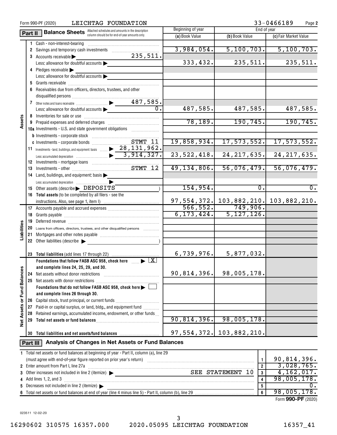|                                                                                    |                                                    | LEICHTAG FOUNDATION<br>Form 990-PF (2020)                                               |                   |                |                       | 33-0466189<br>Page 2                        |  |  |
|------------------------------------------------------------------------------------|----------------------------------------------------|-----------------------------------------------------------------------------------------|-------------------|----------------|-----------------------|---------------------------------------------|--|--|
| <b>Balance Sheets</b> Attached schedules and amounts in the description<br>Part II |                                                    |                                                                                         | Beginning of year | End of year    |                       |                                             |  |  |
|                                                                                    |                                                    | column should be for end-of-year amounts only.                                          |                   | (a) Book Value | (b) Book Value        | (c) Fair Market Value                       |  |  |
|                                                                                    |                                                    | Cash - non-interest-bearing                                                             |                   |                |                       |                                             |  |  |
|                                                                                    |                                                    | 2 Savings and temporary cash investments                                                |                   | 3,984,054.     | 5, 100, 703.          | 5,100,703.                                  |  |  |
|                                                                                    |                                                    | 3 Accounts receivable                                                                   | 235,511.          |                |                       |                                             |  |  |
|                                                                                    |                                                    | Less: allowance for doubtful accounts                                                   |                   | 333,432.       | 235,511.              | 235,511.                                    |  |  |
|                                                                                    |                                                    | 4 Pledges receivable                                                                    |                   |                |                       |                                             |  |  |
|                                                                                    |                                                    | Less: allowance for doubtful accounts                                                   |                   |                |                       |                                             |  |  |
|                                                                                    |                                                    |                                                                                         |                   |                |                       |                                             |  |  |
|                                                                                    |                                                    | 6 Receivables due from officers, directors, trustees, and other                         |                   |                |                       |                                             |  |  |
|                                                                                    |                                                    |                                                                                         |                   |                |                       |                                             |  |  |
|                                                                                    |                                                    |                                                                                         |                   |                |                       |                                             |  |  |
|                                                                                    |                                                    | Less: allowance for doubtful accounts                                                   | $\overline{0}$ .  | 487,585.       | 487,585.              | 487,585.                                    |  |  |
|                                                                                    |                                                    |                                                                                         |                   |                |                       |                                             |  |  |
| Assets                                                                             |                                                    |                                                                                         |                   | 78, 189.       | 190, 745.             | 190, 745.                                   |  |  |
|                                                                                    |                                                    | 10a Investments - U.S. and state government obligations                                 |                   |                |                       |                                             |  |  |
|                                                                                    |                                                    |                                                                                         |                   |                |                       |                                             |  |  |
|                                                                                    |                                                    |                                                                                         |                   | 19,858,934.    | 17,573,552.           | 17,573,552.                                 |  |  |
|                                                                                    |                                                    | 11 Investments - land, buildings, and equipment: basis  > 28, 131, 962.                 |                   |                |                       |                                             |  |  |
|                                                                                    |                                                    |                                                                                         |                   | 23, 522, 418.  | 24, 217, 635.         | 24, 217, 635.                               |  |  |
|                                                                                    |                                                    |                                                                                         |                   |                |                       |                                             |  |  |
|                                                                                    |                                                    |                                                                                         |                   | 49,134,806.    | 56,076,479.           | 56,076,479.                                 |  |  |
|                                                                                    |                                                    |                                                                                         |                   |                |                       |                                             |  |  |
|                                                                                    |                                                    | 14 Land, buildings, and equipment: basis                                                |                   |                |                       |                                             |  |  |
|                                                                                    |                                                    |                                                                                         |                   | 154,954.       | $\mathbf{0}$ .        | $\overline{0}$ .                            |  |  |
|                                                                                    |                                                    | 15 Other assets (describe > DEPOSITS                                                    |                   |                |                       |                                             |  |  |
|                                                                                    |                                                    | 16 Total assets (to be completed by all filers - see the                                |                   |                |                       |                                             |  |  |
|                                                                                    |                                                    |                                                                                         |                   |                | $566, 552.$ 749,906.  | 97, 554, 372. 103, 882, 210. 103, 882, 210. |  |  |
|                                                                                    |                                                    |                                                                                         |                   |                |                       |                                             |  |  |
|                                                                                    |                                                    |                                                                                         |                   | 6, 173, 424.   | 5, 127, 126.          |                                             |  |  |
|                                                                                    | 19                                                 |                                                                                         |                   |                |                       |                                             |  |  |
| Liabilities                                                                        |                                                    | 20 Loans from officers, directors, trustees, and other disqualified persons             |                   |                |                       |                                             |  |  |
|                                                                                    | 21                                                 |                                                                                         |                   |                |                       |                                             |  |  |
|                                                                                    |                                                    | 22 Other liabilities (describe                                                          |                   |                |                       |                                             |  |  |
|                                                                                    |                                                    |                                                                                         |                   |                |                       |                                             |  |  |
|                                                                                    |                                                    |                                                                                         |                   | 6,739,976.     | 5,877,032.            |                                             |  |  |
|                                                                                    |                                                    | Foundations that follow FASB ASC 958, check here $\Box$ $\blacktriangleright$ $\Box X$  |                   |                |                       |                                             |  |  |
|                                                                                    |                                                    | and complete lines 24, 25, 29, and 30.                                                  |                   |                |                       |                                             |  |  |
|                                                                                    | 24                                                 | Net assets without donor restrictions                                                   |                   | 90,814,396.    | 98,005,178.           |                                             |  |  |
|                                                                                    | 25                                                 | Net assets with donor restrictions                                                      |                   |                |                       |                                             |  |  |
| <b>Fund Balances</b>                                                               |                                                    | Foundations that do not follow FASB ASC 958, check here >                               |                   |                |                       |                                             |  |  |
|                                                                                    |                                                    | and complete lines 26 through 30.                                                       |                   |                |                       |                                             |  |  |
| ৯                                                                                  |                                                    |                                                                                         |                   |                |                       |                                             |  |  |
|                                                                                    |                                                    | 27 Paid-in or capital surplus, or land, bldg., and equipment fund                       |                   |                |                       |                                             |  |  |
| Assets                                                                             | 28                                                 | Retained earnings, accumulated income, endowment, or other funds                        |                   |                |                       |                                             |  |  |
| <b>b</b> et                                                                        | 29                                                 |                                                                                         |                   | 90,814,396.    | 98,005,178.           |                                             |  |  |
|                                                                                    |                                                    |                                                                                         |                   |                |                       |                                             |  |  |
|                                                                                    | 30                                                 | Total liabilities and net assets/fund balances                                          |                   | 97,554,372.    | 103,882,210.          |                                             |  |  |
|                                                                                    | Analysis of Changes in Net Assets or Fund Balances |                                                                                         |                   |                |                       |                                             |  |  |
| Part III                                                                           |                                                    |                                                                                         |                   |                |                       |                                             |  |  |
|                                                                                    |                                                    | 1 Total net assets or fund balances at beginning of year - Part II, column (a), line 29 |                   |                |                       |                                             |  |  |
|                                                                                    |                                                    |                                                                                         |                   |                | 1                     | 90,814,396.                                 |  |  |
|                                                                                    |                                                    | 2 Enter amount from Part I, line 27a                                                    |                   |                | $\overline{2}$        | 3,028,765.                                  |  |  |
| 3                                                                                  |                                                    |                                                                                         |                   |                | SEE STATEMENT 10<br>3 | 4, 162, 017.                                |  |  |
| 4                                                                                  |                                                    | Add lines 1, 2, and 3                                                                   |                   |                | 4                     | 98,005,178.                                 |  |  |
| 5                                                                                  |                                                    | Decreases not included in line 2 (itemize)                                              |                   |                | 5                     | Ο.                                          |  |  |
|                                                                                    |                                                    |                                                                                         |                   |                | 6                     | 98,005,178.                                 |  |  |

Form (2020) **990-PF**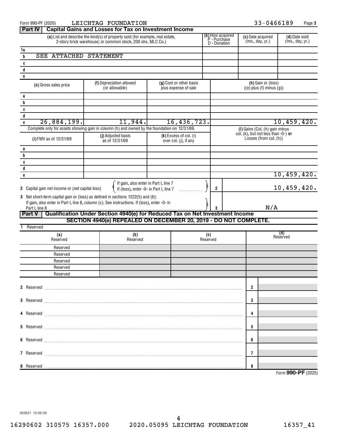| Form 990-PF (2020)                                                                                                                                                                                      | LEICHTAG FOUNDATION                                                                                                                                                                                                                 |                                                 |          |     | 33-0466189                                            |                                  | Page 3 |  |  |
|---------------------------------------------------------------------------------------------------------------------------------------------------------------------------------------------------------|-------------------------------------------------------------------------------------------------------------------------------------------------------------------------------------------------------------------------------------|-------------------------------------------------|----------|-----|-------------------------------------------------------|----------------------------------|--------|--|--|
| Part IV                                                                                                                                                                                                 | <b>Capital Gains and Losses for Tax on Investment Income</b>                                                                                                                                                                        |                                                 |          |     |                                                       |                                  |        |  |  |
| <b>(b)</b> How acquired<br>P - Purchase<br>D - Donation<br>(a) List and describe the kind(s) of property sold (for example, real estate,<br>2-story brick warehouse, or common stock, 200 shs. MLC Co.) |                                                                                                                                                                                                                                     |                                                 |          |     | (c) Date acquired<br>(mo., day, yr.)                  | (d) Date sold<br>(mo., day, yr.) |        |  |  |
| 1a                                                                                                                                                                                                      |                                                                                                                                                                                                                                     |                                                 |          |     |                                                       |                                  |        |  |  |
| <b>SEE ATTACHED</b><br>b                                                                                                                                                                                | <b>STATEMENT</b>                                                                                                                                                                                                                    |                                                 |          |     |                                                       |                                  |        |  |  |
| C                                                                                                                                                                                                       |                                                                                                                                                                                                                                     |                                                 |          |     |                                                       |                                  |        |  |  |
| d                                                                                                                                                                                                       |                                                                                                                                                                                                                                     |                                                 |          |     |                                                       |                                  |        |  |  |
| e                                                                                                                                                                                                       |                                                                                                                                                                                                                                     |                                                 |          |     |                                                       |                                  |        |  |  |
| (e) Gross sales price                                                                                                                                                                                   | (f) Depreciation allowed<br>(or allowable)                                                                                                                                                                                          | (g) Cost or other basis<br>plus expense of sale |          |     | (h) Gain or (loss)<br>$((e)$ plus $(f)$ minus $(g)$ ) |                                  |        |  |  |
|                                                                                                                                                                                                         |                                                                                                                                                                                                                                     |                                                 |          |     |                                                       |                                  |        |  |  |
| а<br>b                                                                                                                                                                                                  |                                                                                                                                                                                                                                     |                                                 |          |     |                                                       |                                  |        |  |  |
| C                                                                                                                                                                                                       |                                                                                                                                                                                                                                     |                                                 |          |     |                                                       |                                  |        |  |  |
| d                                                                                                                                                                                                       |                                                                                                                                                                                                                                     |                                                 |          |     |                                                       |                                  |        |  |  |
| 26,884,199.<br>$\mathbf{e}$                                                                                                                                                                             | 11,944.                                                                                                                                                                                                                             | 16,436,723.                                     |          |     |                                                       | 10,459,420.                      |        |  |  |
|                                                                                                                                                                                                         | Complete only for assets showing gain in column (h) and owned by the foundation on 12/31/69.                                                                                                                                        |                                                 |          |     | (I) Gains (Col. (h) gain minus                        |                                  |        |  |  |
|                                                                                                                                                                                                         | (j) Adjusted basis                                                                                                                                                                                                                  | (k) Excess of col. (i)                          |          |     | col. $(k)$ , but not less than $-0$ -) or             |                                  |        |  |  |
| (i) FMV as of 12/31/69                                                                                                                                                                                  | as of 12/31/69                                                                                                                                                                                                                      | over col. (j), if any                           |          |     | Losses (from col. (h))                                |                                  |        |  |  |
| а                                                                                                                                                                                                       |                                                                                                                                                                                                                                     |                                                 |          |     |                                                       |                                  |        |  |  |
| b                                                                                                                                                                                                       |                                                                                                                                                                                                                                     |                                                 |          |     |                                                       |                                  |        |  |  |
| C                                                                                                                                                                                                       |                                                                                                                                                                                                                                     |                                                 |          |     |                                                       |                                  |        |  |  |
| d                                                                                                                                                                                                       |                                                                                                                                                                                                                                     |                                                 |          |     |                                                       |                                  |        |  |  |
| e                                                                                                                                                                                                       |                                                                                                                                                                                                                                     |                                                 |          |     |                                                       | 10,459,420.                      |        |  |  |
|                                                                                                                                                                                                         | If gain, also enter in Part I, line 7                                                                                                                                                                                               |                                                 |          |     |                                                       |                                  |        |  |  |
| 2 Capital gain net income or (net capital loss)                                                                                                                                                         | If (loss), enter -0- in Part I, line 7                                                                                                                                                                                              |                                                 | 2        |     |                                                       | 10,459,420.                      |        |  |  |
|                                                                                                                                                                                                         | 3 Net short-term capital gain or (loss) as defined in sections 1222(5) and (6):                                                                                                                                                     |                                                 |          |     |                                                       |                                  |        |  |  |
|                                                                                                                                                                                                         | If gain, also enter in Part I, line 8, column (c). See instructions. If (loss), enter -0- in                                                                                                                                        |                                                 |          | N/A |                                                       |                                  |        |  |  |
| <b>Part V</b>                                                                                                                                                                                           | Qualification Under Section 4940(e) for Reduced Tax on Net Investment Income                                                                                                                                                        |                                                 |          |     |                                                       |                                  |        |  |  |
|                                                                                                                                                                                                         | SECTION 4940(e) REPEALED ON DECEMBER 20, 2019 - DO NOT COMPLETE.                                                                                                                                                                    |                                                 |          |     |                                                       |                                  |        |  |  |
| Reserved                                                                                                                                                                                                |                                                                                                                                                                                                                                     |                                                 |          |     |                                                       |                                  |        |  |  |
| (a)                                                                                                                                                                                                     | (b)                                                                                                                                                                                                                                 |                                                 | (c)      |     |                                                       | (d)<br>Reserved                  |        |  |  |
| Reserved                                                                                                                                                                                                | Reserved                                                                                                                                                                                                                            |                                                 | Reserved |     |                                                       |                                  |        |  |  |
| Reserved                                                                                                                                                                                                |                                                                                                                                                                                                                                     |                                                 |          |     |                                                       |                                  |        |  |  |
| Reserved                                                                                                                                                                                                |                                                                                                                                                                                                                                     |                                                 |          |     |                                                       |                                  |        |  |  |
| Reserved                                                                                                                                                                                                |                                                                                                                                                                                                                                     |                                                 |          |     |                                                       |                                  |        |  |  |
| Reserved                                                                                                                                                                                                |                                                                                                                                                                                                                                     |                                                 |          |     |                                                       |                                  |        |  |  |
| Reserved                                                                                                                                                                                                |                                                                                                                                                                                                                                     |                                                 |          |     |                                                       |                                  |        |  |  |
|                                                                                                                                                                                                         |                                                                                                                                                                                                                                     |                                                 |          |     | $\overline{2}$                                        |                                  |        |  |  |
|                                                                                                                                                                                                         |                                                                                                                                                                                                                                     |                                                 |          |     |                                                       |                                  |        |  |  |
|                                                                                                                                                                                                         |                                                                                                                                                                                                                                     |                                                 |          |     | 3                                                     |                                  |        |  |  |
|                                                                                                                                                                                                         |                                                                                                                                                                                                                                     |                                                 |          |     |                                                       |                                  |        |  |  |
|                                                                                                                                                                                                         |                                                                                                                                                                                                                                     |                                                 |          |     | 4                                                     |                                  |        |  |  |
|                                                                                                                                                                                                         |                                                                                                                                                                                                                                     |                                                 |          |     |                                                       |                                  |        |  |  |
|                                                                                                                                                                                                         |                                                                                                                                                                                                                                     |                                                 |          |     | 5                                                     |                                  |        |  |  |
|                                                                                                                                                                                                         |                                                                                                                                                                                                                                     |                                                 |          |     |                                                       |                                  |        |  |  |
|                                                                                                                                                                                                         |                                                                                                                                                                                                                                     |                                                 |          |     | 6                                                     |                                  |        |  |  |
|                                                                                                                                                                                                         |                                                                                                                                                                                                                                     |                                                 |          |     |                                                       |                                  |        |  |  |
|                                                                                                                                                                                                         | 7 Reserved <b>Maria Communication and Communication</b> and Communication and Communication and Communication and Communication and Communication and Communication and Communication and Communication and Communication and Commu |                                                 |          |     | 7                                                     |                                  |        |  |  |
|                                                                                                                                                                                                         |                                                                                                                                                                                                                                     |                                                 |          |     |                                                       |                                  |        |  |  |
|                                                                                                                                                                                                         |                                                                                                                                                                                                                                     |                                                 |          |     | 8                                                     |                                  |        |  |  |

Form (2020) **990-PF**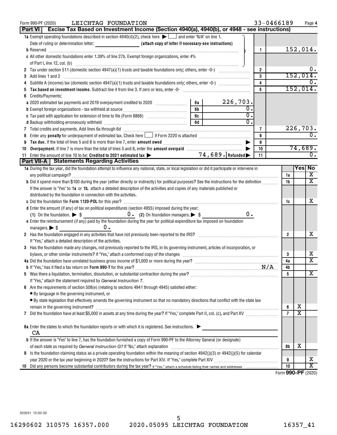| LEICHTAG FOUNDATION<br>Form 990-PF (2020)                                                                                                                                                                                           |    |                                 | 33-0466189     |                    |                         | Page 4                  |
|-------------------------------------------------------------------------------------------------------------------------------------------------------------------------------------------------------------------------------------|----|---------------------------------|----------------|--------------------|-------------------------|-------------------------|
| Part VI   Excise Tax Based on Investment Income (Section 4940(a), 4940(b), or 4948 - see instructions)                                                                                                                              |    |                                 |                |                    |                         |                         |
| 1a Exempt operating foundations described in section $4940(d)(2)$ , check here $\blacktriangleright$ and enter "N/A" on line 1.                                                                                                     |    |                                 |                |                    |                         |                         |
|                                                                                                                                                                                                                                     |    |                                 |                |                    | 152,014.                |                         |
| c All other domestic foundations enter 1.39% of line 27b. Exempt foreign organizations, enter 4%                                                                                                                                    |    |                                 | 1.             |                    |                         |                         |
|                                                                                                                                                                                                                                     |    |                                 |                |                    |                         |                         |
|                                                                                                                                                                                                                                     |    |                                 | $\overline{2}$ |                    |                         |                         |
| 3                                                                                                                                                                                                                                   |    |                                 | 3              |                    | 152,014.                |                         |
| Add lines 1 and 2<br>4                                                                                                                                                                                                              |    |                                 | 4              |                    |                         |                         |
| Tax based on investment income. Subtract line 4 from line 3. If zero or less, enter -0-                                                                                                                                             |    |                                 | 5              |                    | 152,014.                |                         |
| Credits/Payments:<br>6                                                                                                                                                                                                              |    |                                 |                |                    |                         |                         |
| a 2020 estimated tax payments and 2019 overpayment credited to 2020 [100] [100] [100] [100] as a 2020 [100] [1                                                                                                                      | 6а | 226,703.                        |                |                    |                         |                         |
|                                                                                                                                                                                                                                     | 6b | 0.                              |                |                    |                         |                         |
|                                                                                                                                                                                                                                     | 6c | 0.                              |                |                    |                         |                         |
|                                                                                                                                                                                                                                     | 6d | $\overline{0}$ .                |                |                    |                         |                         |
|                                                                                                                                                                                                                                     |    |                                 | 7              |                    | 226,703.                |                         |
| 7 Total credits and payments. Add lines 6a through 6d [11] [12] Martin Martin Martin Martin Martin Martin Martin Martin Martin Martin Martin Martin Martin Martin Martin Martin Martin Martin Martin Martin Martin Martin Mart<br>8 |    |                                 | 8              |                    |                         |                         |
|                                                                                                                                                                                                                                     |    |                                 | 9              |                    |                         |                         |
| 9<br>Overpayment. If line 7 is more than the total of lines 5 and 8, enter the amount overpaid manufactured and S,<br>10                                                                                                            |    |                                 | 10             |                    | 74,689.                 |                         |
| 11 Enter the amount of line 10 to be: Credited to 2021 estimated tax >                                                                                                                                                              |    | $\overbrace{74,689}$ . Refunded | 11             |                    |                         | 0.                      |
| Part VII-A   Statements Regarding Activities                                                                                                                                                                                        |    |                                 |                |                    |                         |                         |
| 1a During the tax year, did the foundation attempt to influence any national, state, or local legislation or did it participate or intervene in                                                                                     |    |                                 |                |                    |                         | Yes  No                 |
|                                                                                                                                                                                                                                     |    |                                 |                | 1a                 |                         | X                       |
| b Did it spend more than \$100 during the year (either directly or indirectly) for political purposes? See the instructions for the definition                                                                                      |    |                                 |                | 1b                 |                         | $\overline{\texttt{x}}$ |
| If the answer is "Yes" to 1a or 1b, attach a detailed description of the activities and copies of any materials published or                                                                                                        |    |                                 |                |                    |                         |                         |
| distributed by the foundation in connection with the activities.                                                                                                                                                                    |    |                                 |                |                    |                         |                         |
|                                                                                                                                                                                                                                     |    |                                 |                | 1c                 |                         | х                       |
| d Enter the amount (if any) of tax on political expenditures (section 4955) imposed during the year:                                                                                                                                |    |                                 |                |                    |                         |                         |
|                                                                                                                                                                                                                                     |    | 0.                              |                |                    |                         |                         |
| e Enter the reimbursement (if any) paid by the foundation during the year for political expenditure tax imposed on foundation                                                                                                       |    |                                 |                |                    |                         |                         |
| $0$ .<br>managers. $\triangleright$ \$                                                                                                                                                                                              |    |                                 |                |                    |                         |                         |
| 2 Has the foundation engaged in any activities that have not previously been reported to the IRS?                                                                                                                                   |    |                                 |                | 2                  |                         | x                       |
| If "Yes," attach a detailed description of the activities.                                                                                                                                                                          |    |                                 |                |                    |                         |                         |
| 3 Has the foundation made any changes, not previously reported to the IRS, in its governing instrument, articles of incorporation, or                                                                                               |    |                                 |                |                    |                         |                         |
| bylaws, or other similar instruments? If "Yes," attach a conformed copy of the changes                                                                                                                                              |    |                                 |                | 3                  |                         | x                       |
| 4a Did the foundation have unrelated business gross income of \$1,000 or more during the year?                                                                                                                                      |    |                                 |                | 4a                 |                         | $\overline{\text{x}}$   |
|                                                                                                                                                                                                                                     |    |                                 | N/A            | 4b                 |                         |                         |
|                                                                                                                                                                                                                                     |    |                                 |                | 5                  |                         | $\overline{\text{X}}$   |
| If "Yes," attach the statement required by General Instruction T.                                                                                                                                                                   |    |                                 |                |                    |                         |                         |
| Are the requirements of section 508(e) (relating to sections 4941 through 4945) satisfied either:                                                                                                                                   |    |                                 |                |                    |                         |                         |
| • By language in the governing instrument, or                                                                                                                                                                                       |    |                                 |                |                    |                         |                         |
| • By state legislation that effectively amends the governing instrument so that no mandatory directions that conflict with the state law                                                                                            |    |                                 |                |                    |                         |                         |
|                                                                                                                                                                                                                                     |    |                                 |                | 6                  | Χ                       |                         |
|                                                                                                                                                                                                                                     |    |                                 |                | $\overline{7}$     | $\overline{\texttt{x}}$ |                         |
|                                                                                                                                                                                                                                     |    |                                 |                |                    |                         |                         |
| 8a Enter the states to which the foundation reports or with which it is registered. See instructions.                                                                                                                               |    |                                 |                |                    |                         |                         |
| CA                                                                                                                                                                                                                                  |    |                                 |                |                    |                         |                         |
| <b>b</b> If the answer is "Yes" to line 7, has the foundation furnished a copy of Form 990-PF to the Attorney General (or designate)                                                                                                |    |                                 |                |                    |                         |                         |
|                                                                                                                                                                                                                                     |    |                                 |                | 8b                 | х                       |                         |
| Is the foundation claiming status as a private operating foundation within the meaning of section $4942(j)(3)$ or $4942(j)(5)$ for calendar<br>9                                                                                    |    |                                 |                |                    |                         |                         |
|                                                                                                                                                                                                                                     |    |                                 |                | 9                  |                         | x                       |
| 10                                                                                                                                                                                                                                  |    |                                 |                | 10                 |                         | $\overline{\text{x}}$   |
|                                                                                                                                                                                                                                     |    |                                 |                | Form 990-PF (2020) |                         |                         |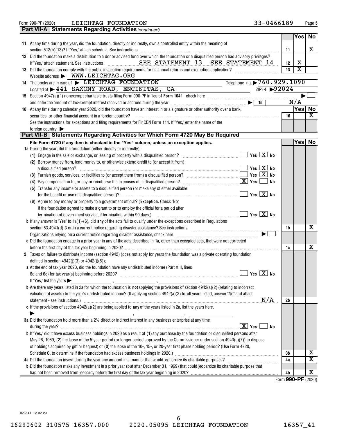| <b>Part VII-A   Statements Regarding Activities (continued)</b>                                                                                                                                                                |          |                         |                         |
|--------------------------------------------------------------------------------------------------------------------------------------------------------------------------------------------------------------------------------|----------|-------------------------|-------------------------|
|                                                                                                                                                                                                                                |          | Yes                     | No                      |
| 11 At any time during the year, did the foundation, directly or indirectly, own a controlled entity within the meaning of                                                                                                      |          |                         |                         |
|                                                                                                                                                                                                                                | 11       |                         | x                       |
| 12 Did the foundation make a distribution to a donor advised fund over which the foundation or a disqualified person had advisory privileges?                                                                                  |          |                         |                         |
|                                                                                                                                                                                                                                | 12       | x                       |                         |
|                                                                                                                                                                                                                                | 13       | $\overline{\texttt{x}}$ |                         |
| Website address > WWW.LEICHTAG.ORG                                                                                                                                                                                             |          |                         |                         |
| Telephone no. > 760.929.1090<br>14 The books are in care of ELEICHTAG FOUNDATION                                                                                                                                               |          |                         |                         |
| ZIP+4 92024<br>Located at $\blacktriangleright$ 441 SAXONY ROAD, ENCINITAS,<br>CA<br>$\overline{\phantom{a}}$ and $\overline{\phantom{a}}$ and $\overline{\phantom{a}}$                                                        |          |                         |                         |
|                                                                                                                                                                                                                                |          |                         |                         |
| and enter the amount of tax-exempt interest received or accrued during the year $\ldots$ $\ldots$ $\ldots$ $\ldots$ $\ldots$ $\ldots$ $\ldots$ $\ldots$ $\ldots$ $\ldots$ $\ldots$ $\ldots$ $\ldots$                           |          | N/A                     |                         |
| 16 At any time during calendar year 2020, did the foundation have an interest in or a signature or other authority over a bank,                                                                                                |          | Yesl                    | No                      |
| securities, or other financial account in a foreign country?                                                                                                                                                                   | 16       |                         | X                       |
| See the instructions for exceptions and filing requirements for FinCEN Form 114. If "Yes," enter the name of the                                                                                                               |          |                         |                         |
| foreign country                                                                                                                                                                                                                |          |                         |                         |
| Part VII-B   Statements Regarding Activities for Which Form 4720 May Be Required                                                                                                                                               |          |                         |                         |
| File Form 4720 if any item is checked in the "Yes" column, unless an exception applies.                                                                                                                                        |          | Yes∣                    | No                      |
| 1a During the year, did the foundation (either directly or indirectly):                                                                                                                                                        |          |                         |                         |
| $\sqrt{Y}$ es $\boxed{X}$ No<br>(1) Engage in the sale or exchange, or leasing of property with a disqualified person? $\ldots$ $\ldots$ $\ldots$ $\ldots$ $\ldots$                                                            |          |                         |                         |
| (2) Borrow money from, lend money to, or otherwise extend credit to (or accept it from)                                                                                                                                        |          |                         |                         |
| Yes $X$ No<br>a disqualified person?                                                                                                                                                                                           |          |                         |                         |
| Yes $X$ No                                                                                                                                                                                                                     |          |                         |                         |
| $\lfloor x \rfloor$ Yes<br>No                                                                                                                                                                                                  |          |                         |                         |
| (5) Transfer any income or assets to a disqualified person (or make any of either available                                                                                                                                    |          |                         |                         |
| $Yes \ X$ No                                                                                                                                                                                                                   |          |                         |                         |
| (6) Agree to pay money or property to a government official? (Exception. Check "No"                                                                                                                                            |          |                         |                         |
| if the foundation agreed to make a grant to or to employ the official for a period after                                                                                                                                       |          |                         |                         |
| $\sqrt{}$ Yes $\boxed{\text{X}}$ No<br>termination of government service, if terminating within 90 days.) manufaction contains an examination of government service, if terminating within 90 days.)                           |          |                         |                         |
| <b>b</b> If any answer is "Yes" to $1a(1)$ -(6), did <b>any</b> of the acts fail to qualify under the exceptions described in Regulations                                                                                      |          |                         |                         |
| section 53.4941(d)-3 or in a current notice regarding disaster assistance? See instructions [11,111] section 53.4941(d)-3 or in a current notice regarding disaster assistance? See instructions [11,11] and the set of the se | 1b       |                         | х                       |
|                                                                                                                                                                                                                                |          |                         |                         |
| c Did the foundation engage in a prior year in any of the acts described in 1a, other than excepted acts, that were not corrected                                                                                              |          |                         |                         |
|                                                                                                                                                                                                                                |          |                         | х                       |
|                                                                                                                                                                                                                                | 1c       |                         |                         |
| 2 Taxes on failure to distribute income (section 4942) (does not apply for years the foundation was a private operating foundation<br>defined in section $4942(j)(3)$ or $4942(j)(5)$ :                                        |          |                         |                         |
| a At the end of tax year 2020, did the foundation have any undistributed income (Part XIII, lines                                                                                                                              |          |                         |                         |
|                                                                                                                                                                                                                                |          |                         |                         |
| If "Yes," list the years $\blacktriangleright$                                                                                                                                                                                 |          |                         |                         |
| <b>b</b> Are there any years listed in 2a for which the foundation is <b>not</b> applying the provisions of section $4942(a)(2)$ (relating to incorrect                                                                        |          |                         |                         |
| valuation of assets) to the year's undistributed income? (If applying section 4942(a)(2) to all years listed, answer "No" and attach                                                                                           |          |                         |                         |
| N/A                                                                                                                                                                                                                            | 2b       |                         |                         |
| c If the provisions of section $4942(a)(2)$ are being applied to any of the years listed in 2a, list the years here.                                                                                                           |          |                         |                         |
|                                                                                                                                                                                                                                |          |                         |                         |
| 3a Did the foundation hold more than a 2% direct or indirect interest in any business enterprise at any time                                                                                                                   |          |                         |                         |
| $\boxed{\text{X}}$ Yes<br>No                                                                                                                                                                                                   |          |                         |                         |
| <b>b</b> If "Yes," did it have excess business holdings in 2020 as a result of (1) any purchase by the foundation or disqualified persons after                                                                                |          |                         |                         |
|                                                                                                                                                                                                                                |          |                         |                         |
| May 26, 1969; (2) the lapse of the 5-year period (or longer period approved by the Commissioner under section $4943(c)(7)$ ) to dispose                                                                                        |          |                         |                         |
| of holdings acquired by gift or bequest; or (3) the lapse of the 10-, 15-, or 20-year first phase holding period? (Use Form 4720,                                                                                              |          |                         | х                       |
|                                                                                                                                                                                                                                | 3b<br>4a |                         | $\overline{\texttt{x}}$ |
| <b>b</b> Did the foundation make any investment in a prior year (but after December 31, 1969) that could jeopardize its charitable purpose that                                                                                |          |                         |                         |
|                                                                                                                                                                                                                                |          |                         | х                       |
|                                                                                                                                                                                                                                | 4b       |                         | Form 990-PF (2020)      |
|                                                                                                                                                                                                                                |          |                         |                         |

**5**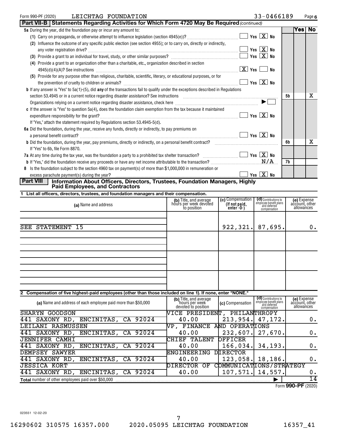| LEICHTAG FOUNDATION<br>Form 990-PF (2020)                                                                                                                                                                                      |                                     | 33-0466189 |        | Page 6 |
|--------------------------------------------------------------------------------------------------------------------------------------------------------------------------------------------------------------------------------|-------------------------------------|------------|--------|--------|
| Part VII-B   Statements Regarding Activities for Which Form 4720 May Be Required (continued)                                                                                                                                   |                                     |            |        |        |
| 5a During the year, did the foundation pay or incur any amount to:                                                                                                                                                             |                                     |            | Yes No |        |
|                                                                                                                                                                                                                                | Yes $X$ No                          |            |        |        |
| (2) Influence the outcome of any specific public election (see section 4955); or to carry on, directly or indirectly,                                                                                                          |                                     |            |        |        |
|                                                                                                                                                                                                                                |                                     |            |        |        |
|                                                                                                                                                                                                                                | $\sqrt{\mathsf{Yes} \mathbf{X}}$ No |            |        |        |
| (4) Provide a grant to an organization other than a charitable, etc., organization described in section                                                                                                                        |                                     |            |        |        |
|                                                                                                                                                                                                                                | $\lfloor x \rfloor$ Yes $\lfloor$   | No         |        |        |
| (5) Provide for any purpose other than religious, charitable, scientific, literary, or educational purposes, or for                                                                                                            |                                     |            |        |        |
|                                                                                                                                                                                                                                | Yes $X$ No                          |            |        |        |
| <b>b</b> If any answer is "Yes" to 5a(1)-(5), did any of the transactions fail to qualify under the exceptions described in Regulations                                                                                        |                                     |            |        |        |
| section 53.4945 or in a current notice regarding disaster assistance? See instructions [11] matter contains the content of the content of the section of the content of the content of the section of the section of the conte |                                     | 5b         |        | X      |
| Organizations relying on a current notice regarding disaster assistance, check here <i>maching machinamaccommummmm</i>                                                                                                         |                                     |            |        |        |
| c If the answer is "Yes" to question 5a(4), does the foundation claim exemption from the tax because it maintained                                                                                                             |                                     |            |        |        |
|                                                                                                                                                                                                                                |                                     |            |        |        |
| If "Yes," attach the statement required by Regulations section 53.4945-5(d).                                                                                                                                                   |                                     |            |        |        |
| 6a Did the foundation, during the year, receive any funds, directly or indirectly, to pay premiums on                                                                                                                          |                                     |            |        |        |
|                                                                                                                                                                                                                                | $\Box$ Yes $\Box X$ No              |            |        |        |
| <b>b</b> Did the foundation, during the year, pay premiums, directly or indirectly, on a personal benefit contract?                                                                                                            |                                     | 6b         |        | x      |
| If "Yes" to 6b, file Form 8870.                                                                                                                                                                                                |                                     |            |        |        |
| 7a At any time during the tax year, was the foundation a party to a prohibited tax shelter transaction? $\ldots$                                                                                                               |                                     |            |        |        |
|                                                                                                                                                                                                                                |                                     | 7b         |        |        |
| 8 Is the foundation subject to the section 4960 tax on payment(s) of more than \$1,000,000 in remuneration or                                                                                                                  |                                     |            |        |        |
|                                                                                                                                                                                                                                | Yes $X$ No                          |            |        |        |

# **Part VIII Information About Officers, Directors, Trustees, Foundation Managers, Highly Paid Employees, and Contractors**

|  |  |  |  |  |  | 1 List all officers, directors, trustees, and foundation managers and their compensation. |
|--|--|--|--|--|--|-------------------------------------------------------------------------------------------|
|--|--|--|--|--|--|-------------------------------------------------------------------------------------------|

| (a) Name and address                                                                                        | (b) Title, and average<br>hours per week devoted<br>to position | (c) Compensation<br>(If not paid,<br>enter -0-) | (d) Contributions to<br>employee benefit plans<br>and deferred<br>compensation | (e) Expense<br>account, other<br>allowances |
|-------------------------------------------------------------------------------------------------------------|-----------------------------------------------------------------|-------------------------------------------------|--------------------------------------------------------------------------------|---------------------------------------------|
|                                                                                                             |                                                                 |                                                 |                                                                                |                                             |
| SEE STATEMENT 15                                                                                            |                                                                 |                                                 | $922, 321.$ 87,695.                                                            | $0$ .                                       |
|                                                                                                             |                                                                 |                                                 |                                                                                |                                             |
|                                                                                                             |                                                                 |                                                 |                                                                                |                                             |
|                                                                                                             |                                                                 |                                                 |                                                                                |                                             |
|                                                                                                             |                                                                 |                                                 |                                                                                |                                             |
|                                                                                                             |                                                                 |                                                 |                                                                                |                                             |
|                                                                                                             |                                                                 |                                                 |                                                                                |                                             |
| 2 Compensation of five highest-paid employees (other than those included on line 1). If none, enter "NONE." |                                                                 |                                                 |                                                                                |                                             |
|                                                                                                             | IL Title and average                                            |                                                 | $\overline{d}$ Contributions to                                                | <b>In Evnance</b>                           |

| (a) Name and address of each employee paid more than \$50,000 | (b) Title, and average<br>hours per week<br>devoted to position | (c) Compensation          | (d) Contributions to<br>employee benefit plans<br>and deferred<br>compensation | (e) Expense<br>account, other<br>allowances |
|---------------------------------------------------------------|-----------------------------------------------------------------|---------------------------|--------------------------------------------------------------------------------|---------------------------------------------|
| SHARYN GOODSON                                                | <b>NICE PRESIDENT,</b>                                          | PHILANTHROPY              |                                                                                |                                             |
| ENCINITAS, CA 92024<br>441<br>SAXONY RD,                      | 40.00                                                           | 213,954.                  | 47,172.                                                                        | 0.                                          |
| LEILANI RASMUSSEN                                             | NP.<br><b>FINANCE</b>                                           | AND OPERATIONS            |                                                                                |                                             |
| ENCINITAS, CA 92024<br>441 SAXONY RD,                         | 40.00                                                           | 232,607.                  | 27,670.                                                                        | 0.                                          |
| <b>JENNIFER CAMHI</b>                                         | TALENT<br>CHIEF                                                 | <b>OFFICER</b>            |                                                                                |                                             |
| ENCINITAS, CA 92024<br>441 SAXONY RD,                         | 40.00                                                           | 166,034.                  | 34, 193.                                                                       | 0.                                          |
| <b>SAWYER</b><br>DEMPSEY                                      | <b>ENGINEERING</b>                                              | <b>DIRECTOR</b>           |                                                                                |                                             |
| ENCINITAS, CA 92024<br>441 SAXONY RD,                         | 40.00                                                           | 123,058.                  | 18, 186.                                                                       | 0.                                          |
| <b>JESSICA KORT</b>                                           | <b>DIRECTOR</b><br>OF                                           | COMMUNICATIONS / STRATEGY |                                                                                |                                             |
| ENCINITAS, CA 92024<br>441 SAXONY<br>RD.                      | 40.00                                                           | $107,571$ . $14,557$ .    |                                                                                | 0.                                          |
| <b>Total</b> number of other employees paid over \$50,000     |                                                                 |                           |                                                                                | 14                                          |

Form (2020) **990-PF**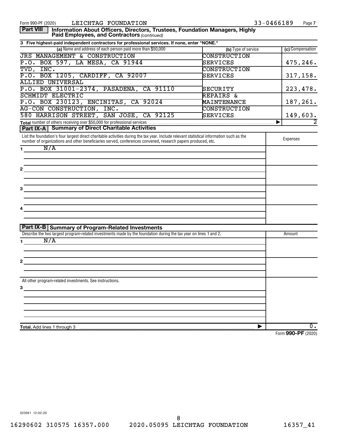| LEICHTAG FOUNDATION<br>Form 990-PF (2020)                                                                                                                                                                                                                 |                      | 33-0466189<br>Page 7 |
|-----------------------------------------------------------------------------------------------------------------------------------------------------------------------------------------------------------------------------------------------------------|----------------------|----------------------|
| <b>Part VIII</b><br>Information About Officers, Directors, Trustees, Foundation Managers, Highly<br>Paid Employees, and Contractors (continued)                                                                                                           |                      |                      |
| 3 Five highest-paid independent contractors for professional services. If none, enter "NONE."                                                                                                                                                             |                      |                      |
| (a) Name and address of each person paid more than \$50,000                                                                                                                                                                                               | (b) Type of service  | (c) Compensation     |
| <b>JRS MANAGEMENT &amp; CONSTRUCTION</b>                                                                                                                                                                                                                  | <b>CONSTRUCTION</b>  |                      |
| P.O. BOX 597, LA MESA, CA 91944                                                                                                                                                                                                                           | SERVICES             | 475,246.             |
| TVD, INC.                                                                                                                                                                                                                                                 | <b>CONSTRUCTION</b>  |                      |
| P.O. BOX 1205, CARDIFF, CA 92007                                                                                                                                                                                                                          | SERVICES             | 317, 158.            |
| <b>ALLIED UNIVERSAL</b>                                                                                                                                                                                                                                   |                      |                      |
| P.O. BOX 31001-2374, PASADENA, CA 91110                                                                                                                                                                                                                   | SECURITY             | 223,478.             |
| <b>SCHMIDT ELECTRIC</b>                                                                                                                                                                                                                                   | <b>REPAIRS &amp;</b> |                      |
| P.O. BOX 230123, ENCINITAS, CA 92024                                                                                                                                                                                                                      | <b>MAINTENANCE</b>   | 187,261.             |
| AG-CON CONSTRUCTION, INC.                                                                                                                                                                                                                                 | <b>CONSTRUCTION</b>  |                      |
| 580 HARRISON STREET, SAN JOSE, CA 92125                                                                                                                                                                                                                   | SERVICES             | 149,603.             |
|                                                                                                                                                                                                                                                           |                      |                      |
| <b>Part IX-A   Summary of Direct Charitable Activities</b>                                                                                                                                                                                                |                      |                      |
| List the foundation's four largest direct charitable activities during the tax year. Include relevant statistical information such as the<br>number of organizations and other beneficiaries served, conferences convened, research papers produced, etc. |                      | Expenses             |
| N/A<br>$\mathbf 1$                                                                                                                                                                                                                                        |                      |                      |
|                                                                                                                                                                                                                                                           |                      |                      |
|                                                                                                                                                                                                                                                           |                      |                      |
| $2^{\circ}$                                                                                                                                                                                                                                               |                      |                      |
|                                                                                                                                                                                                                                                           |                      |                      |
|                                                                                                                                                                                                                                                           |                      |                      |
| 3                                                                                                                                                                                                                                                         |                      |                      |
|                                                                                                                                                                                                                                                           |                      |                      |
|                                                                                                                                                                                                                                                           |                      |                      |
|                                                                                                                                                                                                                                                           |                      |                      |
| 4                                                                                                                                                                                                                                                         |                      |                      |
|                                                                                                                                                                                                                                                           |                      |                      |
|                                                                                                                                                                                                                                                           |                      |                      |
| <b>Part IX-B Summary of Program-Related Investments</b>                                                                                                                                                                                                   |                      |                      |
| Describe the two largest program-related investments made by the foundation during the tax year on lines 1 and 2.                                                                                                                                         |                      | Amount               |
| N/A<br>1.                                                                                                                                                                                                                                                 |                      |                      |
|                                                                                                                                                                                                                                                           |                      |                      |
|                                                                                                                                                                                                                                                           |                      |                      |
| $\mathbf{2}$                                                                                                                                                                                                                                              |                      |                      |
|                                                                                                                                                                                                                                                           |                      |                      |
|                                                                                                                                                                                                                                                           |                      |                      |
| All other program-related investments. See instructions.                                                                                                                                                                                                  |                      |                      |
| 3                                                                                                                                                                                                                                                         |                      |                      |
|                                                                                                                                                                                                                                                           |                      |                      |
|                                                                                                                                                                                                                                                           |                      |                      |
|                                                                                                                                                                                                                                                           |                      |                      |
|                                                                                                                                                                                                                                                           |                      |                      |
|                                                                                                                                                                                                                                                           |                      |                      |
| Total. Add lines 1 through 3                                                                                                                                                                                                                              | ▶                    | 0.                   |
|                                                                                                                                                                                                                                                           |                      | Form 990-PF (2020)   |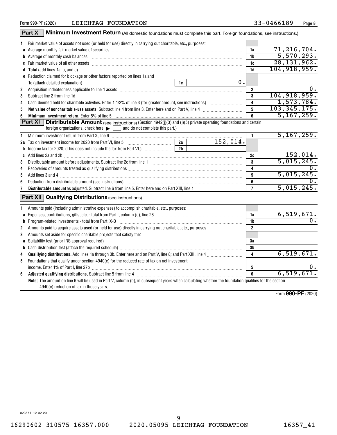|              | Part X<br>Minimum Investment Return (All domestic foundations must complete this part. Foreign foundations, see instructions.)                                                                                                      |                |            |                         |                  |
|--------------|-------------------------------------------------------------------------------------------------------------------------------------------------------------------------------------------------------------------------------------|----------------|------------|-------------------------|------------------|
| 1.           | Fair market value of assets not used (or held for use) directly in carrying out charitable, etc., purposes:                                                                                                                         |                |            |                         |                  |
|              | a Average monthly fair market value of securities [11] matter content to the second term of the second term of the securities [11] matter of the second of the second of the second of the second of the second of the second       |                |            | 1a                      | 71, 216, 704.    |
|              | b Average of monthly cash balances encontractional contraction of the state of monthly cash balances                                                                                                                                |                |            | 1b                      | 5,570,293.       |
|              |                                                                                                                                                                                                                                     |                |            | 1c                      | 28, 131, 962.    |
|              | d Total (add lines 1a, b, and c) <b>measure contained and contained a</b> contained a contact the contact of the contained and contact the contact of the contact of the contact of the contact of the contact of the contact of th |                |            | 1d                      | 104, 918, 959.   |
|              | e Reduction claimed for blockage or other factors reported on lines 1a and                                                                                                                                                          |                |            |                         |                  |
|              |                                                                                                                                                                                                                                     |                | 0.         |                         |                  |
| 2            | Acquisition indebtedness applicable to line 1 assets [11] matter content in the state of the state of the state of the state of the state of the state of the state of the state of the state of the state of the state of the      |                |            | $\overline{2}$          | 0.               |
| 3            | Subtract line 2 from line 1d <b>Machinese and Contract Line 2</b> from line 1d <b>Machinese Automobile 2</b>                                                                                                                        |                |            | $\mathbf{3}$            | 104, 918, 959.   |
| 4            |                                                                                                                                                                                                                                     |                |            | $\overline{\mathbf{4}}$ | 1,573,784.       |
| 5            | Net value of noncharitable-use assets. Subtract line 4 from line 3. Enter here and on Part V, line 4 [11, 1111] Notion 11 [11] Notion 11 [11] Notion 11 [11] Notion 12 [11] Notion 12 [11] Notion 12 [11] Notion 12 [11] Notio      |                |            | 5                       | 103, 345, 175.   |
|              | Minimum investment return. Enter 5% of line 5                                                                                                                                                                                       |                |            | 6                       | 5, 167, 259.     |
|              | <b>Part XI</b>   Distributable Amount (see instructions) (Section 4942(j)(3) and (j)(5) private operating foundations and certain                                                                                                   |                |            |                         |                  |
|              | foreign organizations, check here $\blacktriangleright$ $\Box$ and do not complete this part.)                                                                                                                                      |                |            |                         |                  |
| $\mathbf{1}$ | Minimum investment return from Part X, line 6 [11] Minimum material contracts and the Minimum movement return from Part X, line 6 [11] Minimum materials and the Minimum materials and the Minimum materials and the Minimum m      |                |            | $\mathbf{1}$            | 5, 167, 259.     |
|              |                                                                                                                                                                                                                                     |                | 152,014.   |                         |                  |
|              |                                                                                                                                                                                                                                     | 2 <sub>b</sub> |            |                         |                  |
|              | c Add lines 2a and 2b [11] manufactured and 20 [11] manufactured and and anti-manufactured and 20 [11] manufactured and 20 [11] manufactured and 20 [11] manufactured and 20 [11] manufactured and 20 [11] manufactured and 20      |                |            | 2c                      | 152,014.         |
| 3            |                                                                                                                                                                                                                                     | $\mathbf{3}$   | 5,015,245. |                         |                  |
| 4            |                                                                                                                                                                                                                                     |                |            | 4                       | $0$ .            |
| 5            |                                                                                                                                                                                                                                     |                |            | 5                       | 5,015,245.       |
| 6            |                                                                                                                                                                                                                                     |                |            | 6                       | 0.               |
| 7            |                                                                                                                                                                                                                                     |                |            | $\overline{7}$          | 5,015,245.       |
|              | <b>Part XII</b> Qualifying Distributions (see instructions)                                                                                                                                                                         |                |            |                         |                  |
| 1.           | Amounts paid (including administrative expenses) to accomplish charitable, etc., purposes:                                                                                                                                          |                |            |                         |                  |
|              |                                                                                                                                                                                                                                     |                |            | 1a                      | 6,519,671.       |
|              | <b>b</b> Program-related investments - total from Part IX-B                                                                                                                                                                         |                |            | 1 <sub>b</sub>          | $\overline{0}$ . |
| 2            |                                                                                                                                                                                                                                     |                |            | $\overline{2}$          |                  |
| 3            | Amounts set aside for specific charitable projects that satisfy the:                                                                                                                                                                |                |            |                         |                  |
|              | a Suitability test (prior IRS approval required)<br>manufacture manufacture manufacture manufacture manufacture manufacture manufacture manufacture manufacture m                                                                   | 3a             |            |                         |                  |
|              |                                                                                                                                                                                                                                     |                |            | 3 <sub>b</sub>          |                  |
| 4            |                                                                                                                                                                                                                                     |                |            | 4                       | 6,519,671.       |
| 5            | Foundations that qualify under section 4940(e) for the reduced rate of tax on net investment                                                                                                                                        |                |            |                         |                  |
|              | income. Enter 1% of Part I, line 27b [ with the content to the content of the content of the content of the content of the content of the content of the content of the content of the content of the content of the content o      |                |            | 5                       | 0.               |
| 6            |                                                                                                                                                                                                                                     |                |            | $6\overline{6}$         | 6, 519, 671.     |
|              | Note: The amount on line 6 will be used in Part V, column (b), in subsequent years when calculating whether the foundation qualifies for the section<br>4940(e) reduction of tax in those years.                                    |                |            |                         |                  |

Form (2020) **990-PF**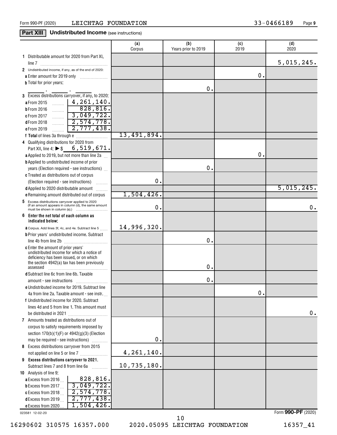## **Part XIII Undistributed Income** (see instructions)

|                                                                                                          | (a)<br>Corpus | (b)<br>Years prior to 2019 | (c)<br>2019   | (d)<br>2020 |
|----------------------------------------------------------------------------------------------------------|---------------|----------------------------|---------------|-------------|
| 1 Distributable amount for 2020 from Part XI,                                                            |               |                            |               | 5,015,245.  |
| 2 Undistributed income, if any, as of the end of 2020:                                                   |               |                            |               |             |
| a Enter amount for 2019 only                                                                             |               |                            | 0.            |             |
| <b>b</b> Total for prior years:                                                                          |               |                            |               |             |
|                                                                                                          |               | Ο.                         |               |             |
| 3 Excess distributions carryover, if any, to 2020:                                                       |               |                            |               |             |
| $\frac{4}{261}$ , 140.<br>a From 2015                                                                    |               |                            |               |             |
| 828,816.<br><b>b</b> From 2016<br>. 1                                                                    |               |                            |               |             |
| 3,049,722.<br>c From 2017<br>.                                                                           |               |                            |               |             |
| 72,574,778.<br><b>dFrom 2018</b><br>.                                                                    |               |                            |               |             |
| 2,777,438.<br>e From 2019<br>.                                                                           |               |                            |               |             |
|                                                                                                          | 13,491,894.   |                            |               |             |
| 4 Qualifying distributions for 2020 from                                                                 |               |                            |               |             |
| Part XII, line 4: ▶ \$ 6, 519, 671.                                                                      |               |                            |               |             |
| a Applied to 2019, but not more than line 2a                                                             |               |                            | О.            |             |
| <b>b</b> Applied to undistributed income of prior                                                        |               |                            |               |             |
| years (Election required - see instructions)                                                             |               | О.                         |               |             |
| c Treated as distributions out of corpus                                                                 |               |                            |               |             |
| (Election required - see instructions)                                                                   | 0.            |                            |               |             |
| d Applied to 2020 distributable amount                                                                   |               |                            |               | 5,015,245.  |
| e Remaining amount distributed out of corpus                                                             | $1,504,426$ . |                            |               |             |
| 5 Excess distributions carryover applied to 2020<br>(If an amount appears in column (d), the same amount | 0.            |                            |               | 0.          |
| 6<br>Enter the net total of each column as<br>indicated below:                                           |               |                            |               |             |
| a Corpus. Add lines 3f, 4c, and 4e. Subtract line 5                                                      | 14,996,320.   |                            |               |             |
| <b>b</b> Prior years' undistributed income. Subtract                                                     |               |                            |               |             |
|                                                                                                          |               | 0.                         |               |             |
| c Enter the amount of prior years'                                                                       |               |                            |               |             |
| undistributed income for which a notice of                                                               |               |                            |               |             |
| deficiency has been issued, or on which<br>the section 4942(a) tax has been previously                   |               |                            |               |             |
| assessed                                                                                                 |               | о.                         |               |             |
| d Subtract line 6c from line 6b. Taxable                                                                 |               |                            |               |             |
|                                                                                                          |               | 0.                         |               |             |
| e Undistributed income for 2019. Subtract line                                                           |               |                            |               |             |
| 4a from line 2a. Taxable amount - see instr.                                                             |               |                            | $\mathbf 0$ . |             |
| f Undistributed income for 2020. Subtract                                                                |               |                            |               |             |
| lines 4d and 5 from line 1. This amount must                                                             |               |                            |               |             |
| be distributed in 2021                                                                                   |               |                            |               | 0.          |
| 7 Amounts treated as distributions out of                                                                |               |                            |               |             |
| corpus to satisfy requirements imposed by                                                                |               |                            |               |             |
| section $170(b)(1)(F)$ or $4942(g)(3)$ (Election                                                         | 0.            |                            |               |             |
| may be required - see instructions)                                                                      |               |                            |               |             |
| 8 Excess distributions carryover from 2015<br>not applied on line 5 or line 7                            | 4, 261, 140.  |                            |               |             |
| 9 Excess distributions carryover to 2021.                                                                |               |                            |               |             |
| Subtract lines 7 and 8 from line 6a                                                                      | 10,735,180.   |                            |               |             |
| .<br>10 Analysis of line 9:                                                                              |               |                            |               |             |
| 828,816.<br>a Excess from 2016                                                                           |               |                            |               |             |
| 3,049,722.<br><b>b</b> Excess from 2017 $\ldots$                                                         |               |                            |               |             |
| 2,574,778.<br>c Excess from 2018                                                                         |               |                            |               |             |
| 2,777,438.<br>dExcess from 2019.                                                                         |               |                            |               |             |
| $1,504,426$ .<br>e Excess from 2020.                                                                     |               |                            |               |             |

023581 12-02-20

16290602 310575 16357.000 2020.05095 LEICHTAG FOUNDATION 16357\_41

10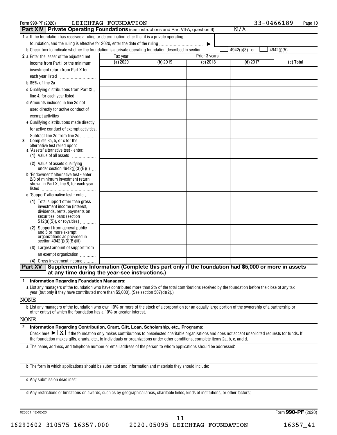| Form 990-PF (2020)                                                                                                          | LEICHTAG FOUNDATION |          |               | 33-0466189    | Page 10    |
|-----------------------------------------------------------------------------------------------------------------------------|---------------------|----------|---------------|---------------|------------|
| <b>Part XIV Private Operating Foundations</b> (see instructions and Part VII-A, question 9)                                 |                     |          |               | N/A           |            |
| 1 a If the foundation has received a ruling or determination letter that it is a private operating                          |                     |          |               |               |            |
| foundation, and the ruling is effective for 2020, enter the date of the ruling                                              |                     |          | ▶             |               |            |
| <b>b</b> Check box to indicate whether the foundation is a private operating foundation described in section <i>minimal</i> |                     |          |               | 4942(j)(3) or | 4942(j)(5) |
| 2 a Enter the lesser of the adjusted net                                                                                    | Tax year            |          | Prior 3 years |               |            |
| income from Part I or the minimum                                                                                           | (a) 2020            | (b) 2019 | $(c)$ 2018    | $(d)$ 2017    | (e) Total  |
| investment return from Part X for                                                                                           |                     |          |               |               |            |
|                                                                                                                             |                     |          |               |               |            |
|                                                                                                                             |                     |          |               |               |            |
| c Qualifying distributions from Part XII,                                                                                   |                     |          |               |               |            |
| line 4, for each year listed                                                                                                |                     |          |               |               |            |
| <b>d</b> Amounts included in line 2c not                                                                                    |                     |          |               |               |            |
| used directly for active conduct of                                                                                         |                     |          |               |               |            |
| exempt activities                                                                                                           |                     |          |               |               |            |
| e Qualifying distributions made directly                                                                                    |                     |          |               |               |            |
| for active conduct of exempt activities.                                                                                    |                     |          |               |               |            |
| Subtract line 2d from line 2c                                                                                               |                     |          |               |               |            |
| Complete 3a, b, or c for the<br>3<br>alternative test relied upon:                                                          |                     |          |               |               |            |
| a "Assets" alternative test - enter:                                                                                        |                     |          |               |               |            |
| (1) Value of all assets                                                                                                     |                     |          |               |               |            |
| (2) Value of assets qualifying<br>under section $4942(j)(3)(B)(i)$                                                          |                     |          |               |               |            |
| <b>b</b> "Endowment" alternative test - enter                                                                               |                     |          |               |               |            |
| 2/3 of minimum investment return                                                                                            |                     |          |               |               |            |
| shown in Part X, line 6, for each year                                                                                      |                     |          |               |               |            |
| c "Support" alternative test - enter:                                                                                       |                     |          |               |               |            |
| (1) Total support other than gross                                                                                          |                     |          |               |               |            |
| investment income (interest,                                                                                                |                     |          |               |               |            |
| dividends, rents, payments on                                                                                               |                     |          |               |               |            |
| securities loans (section<br>$512(a)(5)$ , or royalties)                                                                    |                     |          |               |               |            |
| Support from general public                                                                                                 |                     |          |               |               |            |
| and 5 or more exempt                                                                                                        |                     |          |               |               |            |
| organizations as provided in<br>section $4942(j)(3)(B)(iii)$<br>.                                                           |                     |          |               |               |            |
| (3) Largest amount of support from                                                                                          |                     |          |               |               |            |
| an exempt organization                                                                                                      |                     |          |               |               |            |
| (4) Gross investment income                                                                                                 |                     |          |               |               |            |
| Supplementary Information (Complete this part only if the foundation had \$5,000 or more in assets<br><b>Part XV</b>        |                     |          |               |               |            |
| at any time during the year-see instructions.)                                                                              |                     |          |               |               |            |
|                                                                                                                             |                     |          |               |               |            |

**1 Information Regarding Foundation Managers:**

**a** List any managers of the foundation who have contributed more than 2% of the total contributions received by the foundation before the close of any tax year (but only if they have contributed more than \$5,000). (See section 507(d)(2).)

NONE

**b** List any managers of the foundation who own 10% or more of the stock of a corporation (or an equally large portion of the ownership of a partnership or other entity) of which the foundation has a 10% or greater interest.

#### NONE

**2 Information Regarding Contribution, Grant, Gift, Loan, Scholarship, etc., Programs:** Check here  $\sum X_i$  if the foundation only makes contributions to preselected charitable organizations and does not accept unsolicited requests for funds. If the foundation makes gifts, grants, etc., to individuals or organizations under other conditions, complete items 2a, b, c, and d.

**a** The name, address, and telephone number or email address of the person to whom applications should be addressed:

**b** The form in which applications should be submitted and information and materials they should include:

**c** Any submission deadlines:

**d** Any restrictions or limitations on awards, such as by geographical areas, charitable fields, kinds of institutions, or other factors: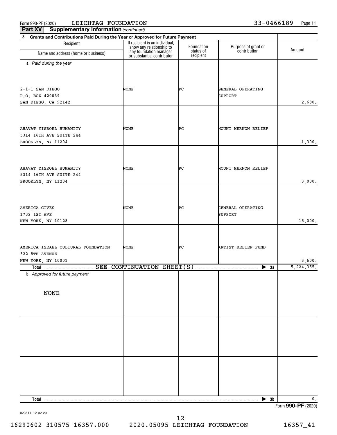| Part XV<br><b>Supplementary Information (continued)</b>                           |                                                                                                                    |                         |                                     |                        |
|-----------------------------------------------------------------------------------|--------------------------------------------------------------------------------------------------------------------|-------------------------|-------------------------------------|------------------------|
| Grants and Contributions Paid During the Year or Approved for Future Payment<br>3 |                                                                                                                    |                         |                                     |                        |
| Recipient<br>Name and address (home or business)                                  | If recipient is an individual,<br>show any relationship to<br>any foundation manager<br>or substantial contributor | Foundation<br>status of | Purpose of grant or<br>contribution | Amount                 |
|                                                                                   |                                                                                                                    | recipient               |                                     |                        |
| a Paid during the year                                                            |                                                                                                                    |                         |                                     |                        |
|                                                                                   |                                                                                                                    |                         |                                     |                        |
|                                                                                   |                                                                                                                    |                         |                                     |                        |
| $2-1-1$ SAN DIEGO                                                                 | NONE                                                                                                               | ÞС                      | GENERAL OPERATING                   |                        |
| P.O. BOX 420039                                                                   |                                                                                                                    |                         | <b>SUPPORT</b>                      |                        |
| SAN DIEGO, CA 92142                                                               |                                                                                                                    |                         |                                     | 2,680.                 |
|                                                                                   |                                                                                                                    |                         |                                     |                        |
|                                                                                   |                                                                                                                    |                         |                                     |                        |
| AHAVAT YISROEL HUMANITY                                                           | NONE                                                                                                               | ÞС                      | MOUNT MERNON RELIEF                 |                        |
| 5314 16TH AVE SUITE 244                                                           |                                                                                                                    |                         |                                     |                        |
| BROOKLYN, NY 11204                                                                |                                                                                                                    |                         |                                     | 1,300.                 |
|                                                                                   |                                                                                                                    |                         |                                     |                        |
|                                                                                   |                                                                                                                    |                         |                                     |                        |
| AHAVAT YISROEL HUMANITY                                                           | NONE                                                                                                               | ÞС                      | MOUNT MERNON RELIEF                 |                        |
| 5314 16TH AVE SUITE 244                                                           |                                                                                                                    |                         |                                     |                        |
| BROOKLYN, NY 11204                                                                |                                                                                                                    |                         |                                     | 3,000.                 |
|                                                                                   |                                                                                                                    |                         |                                     |                        |
|                                                                                   |                                                                                                                    |                         |                                     |                        |
|                                                                                   |                                                                                                                    |                         |                                     |                        |
| AMERICA GIVES                                                                     | NONE                                                                                                               | ÞС                      | GENERAL OPERATING                   |                        |
| 1732 1ST AVE<br>NEW YORK, NY 10128                                                |                                                                                                                    |                         | <b>SUPPORT</b>                      | 15,000.                |
|                                                                                   |                                                                                                                    |                         |                                     |                        |
|                                                                                   |                                                                                                                    |                         |                                     |                        |
|                                                                                   |                                                                                                                    |                         |                                     |                        |
| AMERICA ISRAEL CULTURAL FOUNDATION                                                | NONE                                                                                                               | ÞС                      | ARTIST RELIEF FUND                  |                        |
| 322 8TH AVENUE                                                                    |                                                                                                                    |                         |                                     |                        |
| NEW YORK, NY 10001                                                                |                                                                                                                    |                         | $\blacktriangleright$ 3a            | 3,600.<br>5, 224, 355. |
| <b>b</b> Approved for future payment                                              |                                                                                                                    |                         |                                     |                        |
|                                                                                   |                                                                                                                    |                         |                                     |                        |
|                                                                                   |                                                                                                                    |                         |                                     |                        |
| <b>NONE</b>                                                                       |                                                                                                                    |                         |                                     |                        |
|                                                                                   |                                                                                                                    |                         |                                     |                        |
|                                                                                   |                                                                                                                    |                         |                                     |                        |
|                                                                                   |                                                                                                                    |                         |                                     |                        |
|                                                                                   |                                                                                                                    |                         |                                     |                        |
|                                                                                   |                                                                                                                    |                         |                                     |                        |
|                                                                                   |                                                                                                                    |                         |                                     |                        |
|                                                                                   |                                                                                                                    |                         |                                     |                        |
|                                                                                   |                                                                                                                    |                         |                                     |                        |
|                                                                                   |                                                                                                                    |                         |                                     |                        |
|                                                                                   |                                                                                                                    |                         |                                     |                        |
|                                                                                   |                                                                                                                    |                         |                                     |                        |
|                                                                                   |                                                                                                                    |                         |                                     |                        |
|                                                                                   |                                                                                                                    |                         |                                     |                        |
| Total.                                                                            |                                                                                                                    |                         | $\blacktriangleright$ 3b            | $\mathbf 0$ .          |

Form (2020) **990-PF**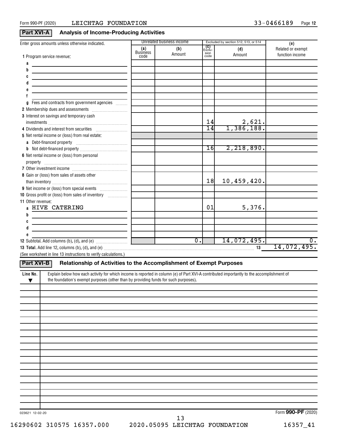### **Part XVI-A** Analysis of Income-Producing Activities

|                                                                                                                                                       |                                | Unrelated business income |                                      | Excluded by section 512, 513, or 514 |                                             |
|-------------------------------------------------------------------------------------------------------------------------------------------------------|--------------------------------|---------------------------|--------------------------------------|--------------------------------------|---------------------------------------------|
| Enter gross amounts unless otherwise indicated.<br>1 Program service revenue:                                                                         | (a)<br><b>Business</b><br>code | (b)<br>Amount             | <b>(C)</b><br>Exclu-<br>sion<br>code | (d)<br>Amount                        | (e)<br>Related or exempt<br>function income |
| a                                                                                                                                                     |                                |                           |                                      |                                      |                                             |
| b                                                                                                                                                     |                                |                           |                                      |                                      |                                             |
|                                                                                                                                                       |                                |                           |                                      |                                      |                                             |
|                                                                                                                                                       |                                |                           |                                      |                                      |                                             |
|                                                                                                                                                       |                                |                           |                                      |                                      |                                             |
|                                                                                                                                                       |                                |                           |                                      |                                      |                                             |
| Fees and contracts from government agencies<br>g                                                                                                      |                                |                           |                                      |                                      |                                             |
|                                                                                                                                                       |                                |                           |                                      |                                      |                                             |
| 3 Interest on savings and temporary cash                                                                                                              |                                |                           |                                      |                                      |                                             |
|                                                                                                                                                       |                                |                           | 14                                   | 2,621.                               |                                             |
| 4 Dividends and interest from securities                                                                                                              |                                |                           | $\overline{14}$                      | 1,386,188.                           |                                             |
| 5 Net rental income or (loss) from real estate:                                                                                                       |                                |                           |                                      |                                      |                                             |
|                                                                                                                                                       |                                |                           |                                      |                                      |                                             |
|                                                                                                                                                       |                                |                           | 16                                   | 2,218,890.                           |                                             |
| 6 Net rental income or (loss) from personal                                                                                                           |                                |                           |                                      |                                      |                                             |
|                                                                                                                                                       |                                |                           |                                      |                                      |                                             |
|                                                                                                                                                       |                                |                           |                                      |                                      |                                             |
| 8 Gain or (loss) from sales of assets other                                                                                                           |                                |                           |                                      |                                      |                                             |
|                                                                                                                                                       |                                |                           | 18                                   | 10,459,420.                          |                                             |
|                                                                                                                                                       |                                |                           |                                      |                                      |                                             |
| 10 Gross profit or (loss) from sales of inventory                                                                                                     |                                |                           |                                      |                                      |                                             |
| 11 Other revenue:                                                                                                                                     |                                |                           |                                      |                                      |                                             |
| HIVE CATERING                                                                                                                                         |                                |                           | 01                                   | 5,376.                               |                                             |
| b                                                                                                                                                     |                                |                           |                                      |                                      |                                             |
| C                                                                                                                                                     |                                |                           |                                      |                                      |                                             |
| d                                                                                                                                                     |                                |                           |                                      |                                      |                                             |
|                                                                                                                                                       |                                |                           |                                      |                                      |                                             |
|                                                                                                                                                       |                                | $\overline{0}$ .          |                                      | 14,072,495.                          | 0.                                          |
|                                                                                                                                                       |                                |                           |                                      |                                      | 14,072,495.                                 |
| (See worksheet in line 13 instructions to verify calculations.)                                                                                       |                                |                           |                                      |                                      |                                             |
| Relationship of Activities to the Accomplishment of Exempt Purposes<br>Part XVI-B                                                                     |                                |                           |                                      |                                      |                                             |
|                                                                                                                                                       |                                |                           |                                      |                                      |                                             |
| Explain below how each activity for which income is reported in column (e) of Part XVI-A contributed importantly to the accomplishment of<br>Line No. |                                |                           |                                      |                                      |                                             |
| the foundation's exempt purposes (other than by providing funds for such purposes).<br>▼                                                              |                                |                           |                                      |                                      |                                             |
|                                                                                                                                                       |                                |                           |                                      |                                      |                                             |
|                                                                                                                                                       |                                |                           |                                      |                                      |                                             |
|                                                                                                                                                       |                                |                           |                                      |                                      |                                             |
|                                                                                                                                                       |                                |                           |                                      |                                      |                                             |
|                                                                                                                                                       |                                |                           |                                      |                                      |                                             |
|                                                                                                                                                       |                                |                           |                                      |                                      |                                             |
|                                                                                                                                                       |                                |                           |                                      |                                      |                                             |
|                                                                                                                                                       |                                |                           |                                      |                                      |                                             |
|                                                                                                                                                       |                                |                           |                                      |                                      |                                             |
|                                                                                                                                                       |                                |                           |                                      |                                      |                                             |
|                                                                                                                                                       |                                |                           |                                      |                                      |                                             |
|                                                                                                                                                       |                                |                           |                                      |                                      |                                             |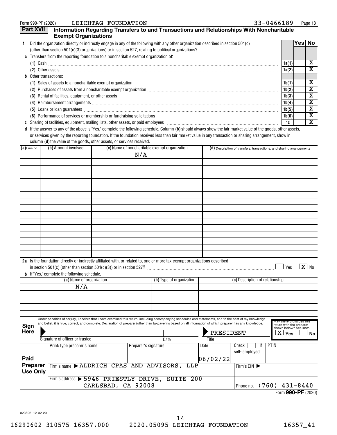| Form 990-PF (2020) |  |  |  |
|--------------------|--|--|--|
|--------------------|--|--|--|

|                                                                                                                                                                                                | <b>Part XVII</b>            | <b>Exempt Organizations</b>                                                     |                    |                      | Information Regarding Transfers to and Transactions and Relationships With Noncharitable                                                                                                                                                                                                                                   |           |                                                                      |                                                                                 |        |                         |
|------------------------------------------------------------------------------------------------------------------------------------------------------------------------------------------------|-----------------------------|---------------------------------------------------------------------------------|--------------------|----------------------|----------------------------------------------------------------------------------------------------------------------------------------------------------------------------------------------------------------------------------------------------------------------------------------------------------------------------|-----------|----------------------------------------------------------------------|---------------------------------------------------------------------------------|--------|-------------------------|
| $\mathbf{1}$                                                                                                                                                                                   |                             |                                                                                 |                    |                      | Did the organization directly or indirectly engage in any of the following with any other organization described in section 501(c)                                                                                                                                                                                         |           |                                                                      |                                                                                 | Yes No |                         |
|                                                                                                                                                                                                |                             |                                                                                 |                    |                      |                                                                                                                                                                                                                                                                                                                            |           |                                                                      |                                                                                 |        |                         |
| (other than section $501(c)(3)$ organizations) or in section 527, relating to political organizations?<br>a Transfers from the reporting foundation to a noncharitable exempt organization of: |                             |                                                                                 |                    |                      |                                                                                                                                                                                                                                                                                                                            |           |                                                                      |                                                                                 |        |                         |
|                                                                                                                                                                                                |                             |                                                                                 |                    |                      |                                                                                                                                                                                                                                                                                                                            |           |                                                                      | 1a(1)                                                                           |        | x                       |
|                                                                                                                                                                                                |                             |                                                                                 |                    |                      | (2) Other assets <b>construction and construction of the construction</b> of the construction of the construction of the construction of the construction of the construction of the construction of the construction of the constr                                                                                        |           |                                                                      | 1a(2)                                                                           |        | $\overline{\textbf{X}}$ |
|                                                                                                                                                                                                |                             | <b>b</b> Other transactions:                                                    |                    |                      |                                                                                                                                                                                                                                                                                                                            |           |                                                                      |                                                                                 |        |                         |
|                                                                                                                                                                                                |                             |                                                                                 |                    |                      | (1) Sales of assets to a noncharitable exempt organization [11] Sales of assemnment can be a noncharitable exempt organization [11] Sales of assets to a noncharitable exempt organization [11] $\sim$                                                                                                                     |           |                                                                      | 1b(1)                                                                           |        | x                       |
|                                                                                                                                                                                                |                             |                                                                                 |                    |                      |                                                                                                                                                                                                                                                                                                                            |           |                                                                      | 1b(2)                                                                           |        | $\overline{\textbf{x}}$ |
|                                                                                                                                                                                                |                             |                                                                                 |                    |                      |                                                                                                                                                                                                                                                                                                                            |           |                                                                      | 1b(3)                                                                           |        | X                       |
|                                                                                                                                                                                                |                             |                                                                                 |                    |                      | (3) Rental of facilities, equipment, or other assets [1] rental material material material material material material material material material material material material material material material material material mater                                                                                             |           |                                                                      | 1b(4)                                                                           |        | $\overline{\textbf{x}}$ |
|                                                                                                                                                                                                |                             |                                                                                 |                    |                      |                                                                                                                                                                                                                                                                                                                            |           |                                                                      |                                                                                 |        | $\overline{\textbf{x}}$ |
|                                                                                                                                                                                                |                             |                                                                                 |                    |                      |                                                                                                                                                                                                                                                                                                                            |           |                                                                      | 1b(5)                                                                           |        | $\overline{\textbf{x}}$ |
|                                                                                                                                                                                                |                             |                                                                                 |                    |                      | (6) Performance of services or membership or fundraising solicitations [11] manufactures manufactures in the services or membership or fundraising solicitations [11] manufactures manufactures of the Performance of Services                                                                                             |           |                                                                      | 1b(6)                                                                           |        | $\overline{\textbf{X}}$ |
|                                                                                                                                                                                                |                             |                                                                                 |                    |                      |                                                                                                                                                                                                                                                                                                                            |           |                                                                      | 1c                                                                              |        |                         |
|                                                                                                                                                                                                |                             | column (d) the value of the goods, other assets, or services received.          |                    |                      | d If the answer to any of the above is "Yes," complete the following schedule. Column (b) should always show the fair market value of the goods, other assets,<br>or services given by the reporting foundation. If the foundation received less than fair market value in any transaction or sharing arrangement, show in |           |                                                                      |                                                                                 |        |                         |
| $(a)$ Line no.                                                                                                                                                                                 |                             | (b) Amount involved                                                             |                    |                      | (c) Name of noncharitable exempt organization                                                                                                                                                                                                                                                                              |           | (d) Description of transfers, transactions, and sharing arrangements |                                                                                 |        |                         |
|                                                                                                                                                                                                |                             |                                                                                 |                    | N/A                  |                                                                                                                                                                                                                                                                                                                            |           |                                                                      |                                                                                 |        |                         |
|                                                                                                                                                                                                |                             |                                                                                 |                    |                      |                                                                                                                                                                                                                                                                                                                            |           |                                                                      |                                                                                 |        |                         |
|                                                                                                                                                                                                |                             |                                                                                 |                    |                      |                                                                                                                                                                                                                                                                                                                            |           |                                                                      |                                                                                 |        |                         |
|                                                                                                                                                                                                |                             |                                                                                 |                    |                      |                                                                                                                                                                                                                                                                                                                            |           |                                                                      |                                                                                 |        |                         |
|                                                                                                                                                                                                |                             |                                                                                 |                    |                      |                                                                                                                                                                                                                                                                                                                            |           |                                                                      |                                                                                 |        |                         |
|                                                                                                                                                                                                |                             |                                                                                 |                    |                      |                                                                                                                                                                                                                                                                                                                            |           |                                                                      |                                                                                 |        |                         |
|                                                                                                                                                                                                |                             |                                                                                 |                    |                      |                                                                                                                                                                                                                                                                                                                            |           |                                                                      |                                                                                 |        |                         |
|                                                                                                                                                                                                |                             |                                                                                 |                    |                      |                                                                                                                                                                                                                                                                                                                            |           |                                                                      |                                                                                 |        |                         |
|                                                                                                                                                                                                |                             |                                                                                 |                    |                      |                                                                                                                                                                                                                                                                                                                            |           |                                                                      |                                                                                 |        |                         |
|                                                                                                                                                                                                |                             |                                                                                 |                    |                      |                                                                                                                                                                                                                                                                                                                            |           |                                                                      |                                                                                 |        |                         |
|                                                                                                                                                                                                |                             |                                                                                 |                    |                      |                                                                                                                                                                                                                                                                                                                            |           |                                                                      |                                                                                 |        |                         |
|                                                                                                                                                                                                |                             |                                                                                 |                    |                      |                                                                                                                                                                                                                                                                                                                            |           |                                                                      |                                                                                 |        |                         |
|                                                                                                                                                                                                |                             |                                                                                 |                    |                      |                                                                                                                                                                                                                                                                                                                            |           |                                                                      |                                                                                 |        |                         |
|                                                                                                                                                                                                |                             |                                                                                 |                    |                      |                                                                                                                                                                                                                                                                                                                            |           |                                                                      |                                                                                 |        |                         |
|                                                                                                                                                                                                |                             |                                                                                 |                    |                      |                                                                                                                                                                                                                                                                                                                            |           |                                                                      |                                                                                 |        |                         |
|                                                                                                                                                                                                |                             |                                                                                 |                    |                      |                                                                                                                                                                                                                                                                                                                            |           |                                                                      |                                                                                 |        |                         |
|                                                                                                                                                                                                |                             |                                                                                 |                    |                      |                                                                                                                                                                                                                                                                                                                            |           |                                                                      |                                                                                 |        |                         |
|                                                                                                                                                                                                |                             |                                                                                 |                    |                      | 2a Is the foundation directly or indirectly affiliated with, or related to, one or more tax-exempt organizations described                                                                                                                                                                                                 |           |                                                                      | Yes                                                                             |        | $X$ No                  |
|                                                                                                                                                                                                |                             | <b>b</b> If "Yes," complete the following schedule.<br>(a) Name of organization |                    |                      | (b) Type of organization                                                                                                                                                                                                                                                                                                   |           | (c) Description of relationship                                      |                                                                                 |        |                         |
|                                                                                                                                                                                                |                             |                                                                                 |                    |                      |                                                                                                                                                                                                                                                                                                                            |           |                                                                      |                                                                                 |        |                         |
|                                                                                                                                                                                                |                             | N/A                                                                             |                    |                      |                                                                                                                                                                                                                                                                                                                            |           |                                                                      |                                                                                 |        |                         |
|                                                                                                                                                                                                |                             |                                                                                 |                    |                      |                                                                                                                                                                                                                                                                                                                            |           |                                                                      |                                                                                 |        |                         |
|                                                                                                                                                                                                |                             |                                                                                 |                    |                      |                                                                                                                                                                                                                                                                                                                            |           |                                                                      |                                                                                 |        |                         |
|                                                                                                                                                                                                |                             |                                                                                 |                    |                      |                                                                                                                                                                                                                                                                                                                            |           |                                                                      |                                                                                 |        |                         |
|                                                                                                                                                                                                |                             |                                                                                 |                    |                      |                                                                                                                                                                                                                                                                                                                            |           |                                                                      |                                                                                 |        |                         |
| <b>Sign</b><br><b>Here</b>                                                                                                                                                                     |                             |                                                                                 |                    |                      | Under penalties of perjury, I declare that I have examined this return, including accompanying schedules and statements, and to the best of my knowledge<br>and belief, it is true, correct, and complete. Declaration of preparer (other than taxpayer) is based on all information of which preparer has any knowledge.  | PRESIDENT |                                                                      | May the IRS discuss this<br>return with the preparer<br>shown below? See instr. |        |                         |
|                                                                                                                                                                                                |                             | Signature of officer or trustee                                                 |                    |                      | Date                                                                                                                                                                                                                                                                                                                       | Title     |                                                                      | $\overline{X}$ Yes                                                              |        | No                      |
|                                                                                                                                                                                                |                             | Print/Type preparer's name                                                      |                    | Preparer's signature |                                                                                                                                                                                                                                                                                                                            | Date      | PTIN<br>Check<br>۱Ť                                                  |                                                                                 |        |                         |
|                                                                                                                                                                                                |                             |                                                                                 |                    |                      |                                                                                                                                                                                                                                                                                                                            |           | self-employed                                                        |                                                                                 |        |                         |
| Paid                                                                                                                                                                                           |                             |                                                                                 |                    |                      |                                                                                                                                                                                                                                                                                                                            |           |                                                                      |                                                                                 |        |                         |
|                                                                                                                                                                                                |                             |                                                                                 |                    |                      |                                                                                                                                                                                                                                                                                                                            | 06/02/22  |                                                                      |                                                                                 |        |                         |
|                                                                                                                                                                                                | Preparer<br><b>Use Only</b> |                                                                                 |                    |                      | Firm's name > ALDRICH CPAS AND ADVISORS, LLP                                                                                                                                                                                                                                                                               |           | Firm's EIN                                                           |                                                                                 |        |                         |
|                                                                                                                                                                                                |                             |                                                                                 |                    |                      |                                                                                                                                                                                                                                                                                                                            |           |                                                                      |                                                                                 |        |                         |
|                                                                                                                                                                                                |                             |                                                                                 | CARLSBAD, CA 92008 |                      | Firm's address > 5946 PRIESTLY DRIVE, SUITE 200                                                                                                                                                                                                                                                                            |           | Phone no. (760) 431-8440                                             |                                                                                 |        |                         |

Form (2020) **990-PF**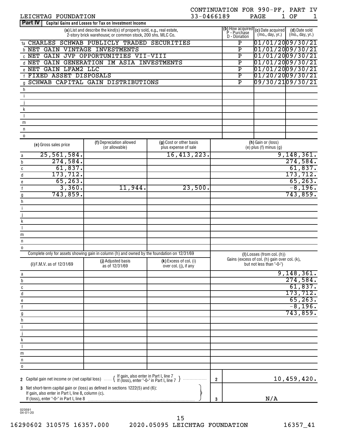| LEICHTAG FOUNDATION                                                                                                                                                                         | 33-0466189                                      |                                                    | CONTINUATION FOR 990-PF, PART IV<br><b>PAGE</b><br>$1 \ \overline{\ }$                                                                                                                                                                                                                                                                                                     | OF                               | 1 |
|---------------------------------------------------------------------------------------------------------------------------------------------------------------------------------------------|-------------------------------------------------|----------------------------------------------------|----------------------------------------------------------------------------------------------------------------------------------------------------------------------------------------------------------------------------------------------------------------------------------------------------------------------------------------------------------------------------|----------------------------------|---|
| <b>Part IV</b><br>Capital Gains and Losses for Tax on Investment Income                                                                                                                     |                                                 |                                                    |                                                                                                                                                                                                                                                                                                                                                                            |                                  |   |
| (a) List and describe the kind(s) of property sold, e.g., real estate,<br>2-story brick warehouse, or common stock, 200 shs. MLC Co.                                                        |                                                 | <b>D</b> - Donation                                | (b) How acquired $(c)$ Date acquired $P$ - Purchase $\begin{bmatrix} (m_0, d_2) & \text{if } \\ (m_0, d_2) & \text{if } \\ (m_1, m_2) & \text{if } \\ (m_2, m_1) & \text{if } \\ (m_2, m_2) & \text{if } \\ (m_1, m_2) & \text{if } \\ (m_2, m_1) & \text{if } \\ (m_2, m_2) & \text{if } \\ (m_2, m_2) & \text{if } \\ (m_2, m_2) & \text{if } \\ (m_$<br>(mo., day, yr.) | (d) Date sold<br>(mo., day, yr.) |   |
| CHARLES SCHWAB PUBLICLY TRADED SECURITIES<br>1a                                                                                                                                             |                                                 | Ρ                                                  | $01/01/20$ 09/30/21                                                                                                                                                                                                                                                                                                                                                        |                                  |   |
| <b>D NET GAIN VINTAGE INVESTMENTS</b>                                                                                                                                                       |                                                 | $\overline{\texttt{P}}$                            | 01/01/2009/30/21                                                                                                                                                                                                                                                                                                                                                           |                                  |   |
| <b>C NET GAIN JVP OPPORTUNITIES VII-VIII</b>                                                                                                                                                |                                                 | $\overline{\mathtt{P}}$                            | 01/01/2009/30/21                                                                                                                                                                                                                                                                                                                                                           |                                  |   |
| d NET GAIN GENERATION IM ASIA INVESTMENTS<br>e NET GAIN LFAM2 LLC                                                                                                                           |                                                 | $\overline{\mathtt{P}}$<br>$\overline{\texttt{P}}$ | $01/01/20$ 09/30/21<br>$01/01/20$ 09/30/21                                                                                                                                                                                                                                                                                                                                 |                                  |   |
| <b>f FIXED ASSET DISPOSALS</b>                                                                                                                                                              |                                                 | $\overline{\mathtt{P}}$                            | $01/20/20$ 09/30/21                                                                                                                                                                                                                                                                                                                                                        |                                  |   |
| SCHWAB CAPITAL GAIN DISTRIBUTIONS<br>$\mathfrak{g}$                                                                                                                                         |                                                 | $\overline{\mathtt{P}}$                            | 09/30/2109/30/21                                                                                                                                                                                                                                                                                                                                                           |                                  |   |
| h                                                                                                                                                                                           |                                                 |                                                    |                                                                                                                                                                                                                                                                                                                                                                            |                                  |   |
| j                                                                                                                                                                                           |                                                 |                                                    |                                                                                                                                                                                                                                                                                                                                                                            |                                  |   |
|                                                                                                                                                                                             |                                                 |                                                    |                                                                                                                                                                                                                                                                                                                                                                            |                                  |   |
| k                                                                                                                                                                                           |                                                 |                                                    |                                                                                                                                                                                                                                                                                                                                                                            |                                  |   |
| m                                                                                                                                                                                           |                                                 |                                                    |                                                                                                                                                                                                                                                                                                                                                                            |                                  |   |
| $\mathsf{n}$                                                                                                                                                                                |                                                 |                                                    |                                                                                                                                                                                                                                                                                                                                                                            |                                  |   |
| $\mathsf 0$                                                                                                                                                                                 |                                                 |                                                    |                                                                                                                                                                                                                                                                                                                                                                            |                                  |   |
| (f) Depreciation allowed<br>(e) Gross sales price<br>(or allowable)                                                                                                                         | (g) Cost or other basis<br>plus expense of sale |                                                    | (h) Gain or (loss)<br>(e) $plus(f)$ minus $(g)$                                                                                                                                                                                                                                                                                                                            |                                  |   |
| 25,561,584.<br>a                                                                                                                                                                            | 16,413,223.                                     |                                                    |                                                                                                                                                                                                                                                                                                                                                                            | 9,148,361.                       |   |
| 274,584.<br>b<br>61,837.                                                                                                                                                                    |                                                 |                                                    |                                                                                                                                                                                                                                                                                                                                                                            | 274,584.<br>61,837.              |   |
| C<br>173, 712.<br>d                                                                                                                                                                         |                                                 |                                                    |                                                                                                                                                                                                                                                                                                                                                                            | 173,712.                         |   |
| 65, 263.<br>e                                                                                                                                                                               |                                                 |                                                    |                                                                                                                                                                                                                                                                                                                                                                            | 65, 263.                         |   |
| 3,360.<br>11,944.<br>$\mathsf{f}$                                                                                                                                                           | 23,500.                                         |                                                    |                                                                                                                                                                                                                                                                                                                                                                            | $-8,196.$                        |   |
| 743,859.<br>g                                                                                                                                                                               |                                                 |                                                    |                                                                                                                                                                                                                                                                                                                                                                            | 743,859.                         |   |
| h                                                                                                                                                                                           |                                                 |                                                    |                                                                                                                                                                                                                                                                                                                                                                            |                                  |   |
| j                                                                                                                                                                                           |                                                 |                                                    |                                                                                                                                                                                                                                                                                                                                                                            |                                  |   |
| k                                                                                                                                                                                           |                                                 |                                                    |                                                                                                                                                                                                                                                                                                                                                                            |                                  |   |
|                                                                                                                                                                                             |                                                 |                                                    |                                                                                                                                                                                                                                                                                                                                                                            |                                  |   |
| m                                                                                                                                                                                           |                                                 |                                                    |                                                                                                                                                                                                                                                                                                                                                                            |                                  |   |
| $\sf n$                                                                                                                                                                                     |                                                 |                                                    |                                                                                                                                                                                                                                                                                                                                                                            |                                  |   |
| 0<br>Complete only for assets showing gain in column (h) and owned by the foundation on 12/31/69                                                                                            |                                                 |                                                    | $(I)$ Losses (from col. $(h)$ )                                                                                                                                                                                                                                                                                                                                            |                                  |   |
| (j) Adjusted basis                                                                                                                                                                          | $(k)$ Excess of col. (i)                        | Gains (excess of col. (h) gain over col. (k),      |                                                                                                                                                                                                                                                                                                                                                                            |                                  |   |
| (i) F.M.V. as of 12/31/69<br>as of 12/31/69                                                                                                                                                 | over col. (j), if any                           |                                                    | but not less than "-0-")                                                                                                                                                                                                                                                                                                                                                   |                                  |   |
| a                                                                                                                                                                                           |                                                 |                                                    |                                                                                                                                                                                                                                                                                                                                                                            | 9,148,361.                       |   |
| b                                                                                                                                                                                           |                                                 |                                                    |                                                                                                                                                                                                                                                                                                                                                                            | 274,584.<br>61,837.              |   |
| C<br>d                                                                                                                                                                                      |                                                 |                                                    |                                                                                                                                                                                                                                                                                                                                                                            | 173, 712.                        |   |
| е                                                                                                                                                                                           |                                                 |                                                    |                                                                                                                                                                                                                                                                                                                                                                            | 65, 263.                         |   |
| $\mathsf{f}$                                                                                                                                                                                |                                                 |                                                    |                                                                                                                                                                                                                                                                                                                                                                            | $-8,196.$                        |   |
| $\mathfrak{g}$                                                                                                                                                                              |                                                 |                                                    |                                                                                                                                                                                                                                                                                                                                                                            | 743,859.                         |   |
| h                                                                                                                                                                                           |                                                 |                                                    |                                                                                                                                                                                                                                                                                                                                                                            |                                  |   |
| j                                                                                                                                                                                           |                                                 |                                                    |                                                                                                                                                                                                                                                                                                                                                                            |                                  |   |
| k                                                                                                                                                                                           |                                                 |                                                    |                                                                                                                                                                                                                                                                                                                                                                            |                                  |   |
|                                                                                                                                                                                             |                                                 |                                                    |                                                                                                                                                                                                                                                                                                                                                                            |                                  |   |
| m                                                                                                                                                                                           |                                                 |                                                    |                                                                                                                                                                                                                                                                                                                                                                            |                                  |   |
| n                                                                                                                                                                                           |                                                 |                                                    |                                                                                                                                                                                                                                                                                                                                                                            |                                  |   |
| $\mathbf 0$                                                                                                                                                                                 |                                                 |                                                    |                                                                                                                                                                                                                                                                                                                                                                            |                                  |   |
| 2 Capital gain net income or (net capital loss)  { If gain, also enter in Part I, line 7 J<br>2 Capital gain net income or (net capital loss)  { If (loss), enter "-0-" in Part I, line 7 J | $\overline{2}$                                  |                                                    |                                                                                                                                                                                                                                                                                                                                                                            | 10,459,420.                      |   |
| 3 Net short-term capital gain or (loss) as defined in sections 1222(5) and (6):<br>If gain, also enter in Part I, line 8, column (c).                                                       |                                                 |                                                    |                                                                                                                                                                                                                                                                                                                                                                            |                                  |   |
| If (loss), enter "-0-" in Part I, line 8                                                                                                                                                    | 3                                               |                                                    | N/A                                                                                                                                                                                                                                                                                                                                                                        |                                  |   |

023591 04-01-20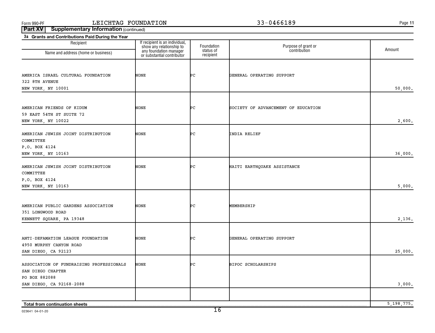**11**

**Part XV** | Supplementary Information (continued)

| 3a Grants and Contributions Paid During the Year      |                                                            |                         |                                     |              |
|-------------------------------------------------------|------------------------------------------------------------|-------------------------|-------------------------------------|--------------|
| Recipient                                             | If recipient is an individual,<br>show any relationship to | Foundation<br>status of | Purpose of grant or<br>contribution | Amount       |
| Name and address (home or business)                   | any foundation manager<br>or substantial contributor       | recipient               |                                     |              |
|                                                       |                                                            |                         |                                     |              |
| AMERICA ISRAEL CULTURAL FOUNDATION                    | NONE                                                       | ÞС                      | GENERAL OPERATING SUPPORT           |              |
| 322 8TH AVENUE                                        |                                                            |                         |                                     |              |
| NEW YORK, NY 10001                                    |                                                            |                         |                                     | 50,000.      |
|                                                       |                                                            |                         |                                     |              |
|                                                       |                                                            |                         |                                     |              |
| AMERICAN FRIENDS OF KIDUM<br>59 EAST 54TH ST SUITE 72 | NONE                                                       | ÞС                      | SOCIETY OF ADVANCEMENT OF EDUCATION |              |
| NEW YORK, NY 10022                                    |                                                            |                         |                                     | 2,600.       |
|                                                       |                                                            |                         |                                     |              |
| AMERICAN JEWISH JOINT DISTRIBUTION                    | NONE                                                       | ÞС                      | INDIA RELIEF                        |              |
| COMMITTEE                                             |                                                            |                         |                                     |              |
| P.O. BOX 4124                                         |                                                            |                         |                                     |              |
| NEW YORK, NY 10163                                    |                                                            |                         |                                     | 36,000.      |
| AMERICAN JEWISH JOINT DISTRIBUTION                    | NONE                                                       | ÞС                      | HAITI EARTHQUAKE ASSISTANCE         |              |
| COMMITTEE                                             |                                                            |                         |                                     |              |
| P.O. BOX 4124                                         |                                                            |                         |                                     |              |
| NEW YORK, NY 10163                                    |                                                            |                         |                                     | 5,000.       |
|                                                       |                                                            |                         |                                     |              |
| AMERICAN PUBLIC GARDENS ASSOCIATION                   | NONE                                                       | ÞС                      | MEMBERSHIP                          |              |
| 351 LONGWOOD ROAD                                     |                                                            |                         |                                     |              |
| KENNETT SQUARE, PA 19348                              |                                                            |                         |                                     | 2,136.       |
|                                                       |                                                            |                         |                                     |              |
| ANTI-DEFAMATION LEAGUE FOUNDATION                     | <b>NONE</b>                                                | ÞС                      | GENERAL OPERATING SUPPORT           |              |
| 4950 MURPHY CANYON ROAD                               |                                                            |                         |                                     |              |
| SAN DIEGO, CA 92123                                   |                                                            |                         |                                     | 25,000.      |
| ASSOCIATION OF FUNDRAISING PROFESSIONALS              | NONE                                                       | PС                      | BIPOC SCHOLARSHIPS                  |              |
| SAN DIEGO CHAPTER                                     |                                                            |                         |                                     |              |
| PO BOX 882088                                         |                                                            |                         |                                     |              |
| SAN DIEGO, CA 92168-2088                              |                                                            |                         |                                     | 3,000.       |
|                                                       |                                                            |                         |                                     |              |
|                                                       |                                                            |                         |                                     | 5, 198, 775. |
| Total from continuation sheets                        |                                                            |                         |                                     |              |

023641 04-01-20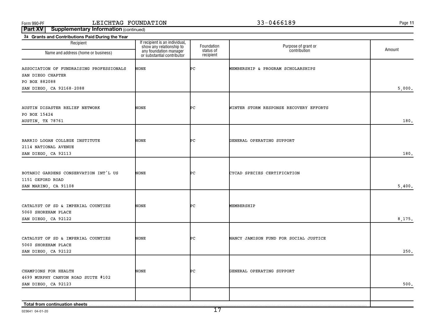**11**

| 3a Grants and Contributions Paid During the Year                              |                                                                                                                    |                                      |                                        |        |
|-------------------------------------------------------------------------------|--------------------------------------------------------------------------------------------------------------------|--------------------------------------|----------------------------------------|--------|
| Recipient<br>Name and address (home or business)                              | If recipient is an individual,<br>show any relationship to<br>any foundation manager<br>or substantial contributor | Foundation<br>status of<br>recipient | Purpose of grant or<br>contribution    | Amount |
|                                                                               |                                                                                                                    |                                      |                                        |        |
| ASSOCIATION OF FUNDRAISING PROFESSIONALS<br>SAN DIEGO CHAPTER                 | NONE                                                                                                               | ÞС                                   | MEMBERSHIP & PROGRAM SCHOLARSHIPS      |        |
| PO BOX 882088<br>SAN DIEGO, CA 92168-2088                                     |                                                                                                                    |                                      |                                        | 5,000. |
|                                                                               |                                                                                                                    |                                      |                                        |        |
| AUSTIN DISASTER RELIEF NETWORK<br>PO BOX 15424                                | NONE                                                                                                               | ÞС                                   | WINTER STORM RESPONSE RECOVERY EFFORTS |        |
| AUSTIN, TX 78761                                                              |                                                                                                                    |                                      |                                        | 180.   |
|                                                                               |                                                                                                                    |                                      |                                        |        |
| BARRIO LOGAN COLLEGE INSTITUTE<br>2114 NATIONAL AVENUE<br>SAN DIEGO, CA 92113 | NONE                                                                                                               | ÞС                                   | GENERAL OPERATING SUPPORT              | 180.   |
|                                                                               |                                                                                                                    |                                      |                                        |        |
| BOTANIC GARDENS CONSERVATION INT'L US<br>1151 OXFORD ROAD                     | NONE                                                                                                               | ÞС                                   | CYCAD SPECIES CERTIFICATION            |        |
| SAN MARINO, CA 91108                                                          |                                                                                                                    |                                      |                                        | 5,400. |
|                                                                               |                                                                                                                    |                                      |                                        |        |
| CATALYST OF SD & IMPERIAL COUNTIES                                            | NONE                                                                                                               | ÞС                                   | MEMBERSHIP                             |        |
| 5060 SHOREHAM PLACE<br>SAN DIEGO, CA 92122                                    |                                                                                                                    |                                      |                                        | 8,175. |
|                                                                               |                                                                                                                    |                                      |                                        |        |
| CATALYST OF SD & IMPERIAL COUNTIES                                            | NONE                                                                                                               | ÞС                                   | NANCY JAMISON FUND FOR SOCIAL JUSTICE  |        |
| 5060 SHOREHAM PLACE                                                           |                                                                                                                    |                                      |                                        |        |
| SAN DIEGO, CA 92122                                                           |                                                                                                                    |                                      |                                        | 250.   |
|                                                                               |                                                                                                                    |                                      |                                        |        |
| CHAMPIONS FOR HEALTH                                                          | NONE                                                                                                               | PС                                   | GENERAL OPERATING SUPPORT              |        |
| 4699 MURPHY CANYON ROAD SUITE #102<br>SAN DIEGO, CA 92123                     |                                                                                                                    |                                      |                                        | 500.   |
|                                                                               |                                                                                                                    |                                      |                                        |        |
|                                                                               |                                                                                                                    |                                      |                                        |        |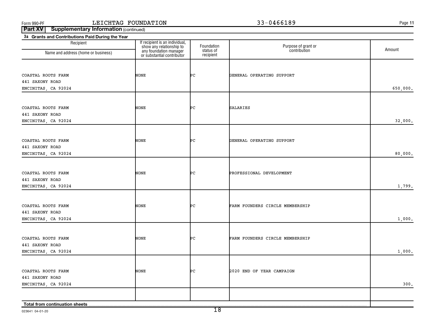**11**

| Recipient                             | If recipient is an individual,<br>show any relationship to<br>any foundation manager<br>or substantial contributor | Foundation             | Purpose of grant or<br>contribution | Amount   |
|---------------------------------------|--------------------------------------------------------------------------------------------------------------------|------------------------|-------------------------------------|----------|
| Name and address (home or business)   |                                                                                                                    | status of<br>recipient |                                     |          |
| COASTAL ROOTS FARM                    | NONE                                                                                                               | ÞС                     | GENERAL OPERATING SUPPORT           |          |
| 441 SAXONY ROAD                       |                                                                                                                    |                        |                                     |          |
| ENCINITAS, CA 92024                   |                                                                                                                    |                        |                                     | 650,000. |
|                                       |                                                                                                                    |                        |                                     |          |
| COASTAL ROOTS FARM<br>441 SAXONY ROAD | <b>NONE</b>                                                                                                        | ÞС                     | <b>SALARIES</b>                     |          |
| ENCINITAS, CA 92024                   |                                                                                                                    |                        |                                     | 32,000.  |
|                                       |                                                                                                                    |                        |                                     |          |
| COASTAL ROOTS FARM                    | NONE                                                                                                               | ÞС                     | GENERAL OPERATING SUPPORT           |          |
| 441 SAXONY ROAD                       |                                                                                                                    |                        |                                     | 80,000.  |
| ENCINITAS, CA 92024                   |                                                                                                                    |                        |                                     |          |
| COASTAL ROOTS FARM                    | NONE                                                                                                               | ÞС                     | PROFESSIONAL DEVELOPMENT            |          |
| 441 SAXONY ROAD                       |                                                                                                                    |                        |                                     |          |
| ENCINITAS, CA 92024                   |                                                                                                                    |                        |                                     | 1,799.   |
| COASTAL ROOTS FARM                    | NONE                                                                                                               | ÞС                     | FARM FOUNDERS CIRCLE MEMBERSHIP     |          |
| 441 SAXONY ROAD                       |                                                                                                                    |                        |                                     |          |
| ENCINITAS, CA 92024                   |                                                                                                                    |                        |                                     | 1,000.   |
|                                       | <b>NONE</b>                                                                                                        | ÞС                     |                                     |          |
| COASTAL ROOTS FARM<br>441 SAXONY ROAD |                                                                                                                    |                        | FARM FOUNDERS CIRCLE MEMBERSHIP     |          |
| ENCINITAS, CA 92024                   |                                                                                                                    |                        |                                     | 1,000.   |
|                                       |                                                                                                                    |                        |                                     |          |
| COASTAL ROOTS FARM<br>441 SAXONY ROAD | NONE                                                                                                               | ÞС                     | 2020 END OF YEAR CAMPAIGN           |          |
| ENCINITAS, CA 92024                   |                                                                                                                    |                        |                                     | 300.     |
|                                       |                                                                                                                    |                        |                                     |          |
| Total from continuation sheets        |                                                                                                                    |                        |                                     |          |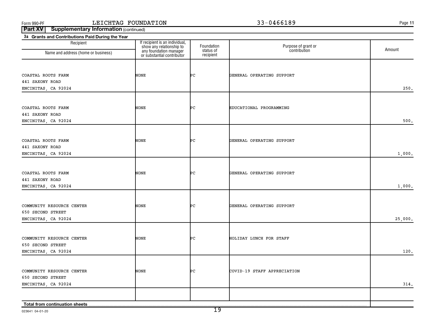**11**

| 3a Grants and Contributions Paid During the Year |                                                            |                         |                                     |         |
|--------------------------------------------------|------------------------------------------------------------|-------------------------|-------------------------------------|---------|
| Recipient                                        | If recipient is an individual,<br>show any relationship to | Foundation<br>status of | Purpose of grant or<br>contribution | Amount  |
| Name and address (home or business)              | any foundation manager<br>or substantial contributor       | recipient               |                                     |         |
|                                                  |                                                            |                         |                                     |         |
|                                                  | NONE                                                       | ÞС                      | GENERAL OPERATING SUPPORT           |         |
| COASTAL ROOTS FARM<br>441 SAXONY ROAD            |                                                            |                         |                                     |         |
|                                                  |                                                            |                         |                                     | 250.    |
| ENCINITAS, CA 92024                              |                                                            |                         |                                     |         |
|                                                  |                                                            |                         |                                     |         |
| COASTAL ROOTS FARM                               | NONE                                                       | ÞС                      | EDUCATIONAL PROGRAMMING             |         |
| 441 SAXONY ROAD                                  |                                                            |                         |                                     |         |
| ENCINITAS, CA 92024                              |                                                            |                         |                                     | 500.    |
|                                                  |                                                            |                         |                                     |         |
| COASTAL ROOTS FARM                               | NONE                                                       | ÞС                      | GENERAL OPERATING SUPPORT           |         |
| 441 SAXONY ROAD                                  |                                                            |                         |                                     |         |
| ENCINITAS, CA 92024                              |                                                            |                         |                                     | 1,000.  |
|                                                  |                                                            |                         |                                     |         |
|                                                  |                                                            |                         |                                     |         |
| COASTAL ROOTS FARM                               | NONE                                                       | ÞС                      | GENERAL OPERATING SUPPORT           |         |
| 441 SAXONY ROAD                                  |                                                            |                         |                                     |         |
| ENCINITAS, CA 92024                              |                                                            |                         |                                     | 1,000.  |
|                                                  |                                                            |                         |                                     |         |
| COMMUNITY RESOURCE CENTER                        | NONE                                                       | ÞС                      | GENERAL OPERATING SUPPORT           |         |
| 650 SECOND STREET                                |                                                            |                         |                                     |         |
| ENCINITAS, CA 92024                              |                                                            |                         |                                     | 25,000. |
|                                                  |                                                            |                         |                                     |         |
| COMMUNITY RESOURCE CENTER                        | NONE                                                       | PС                      | HOLIDAY LUNCH FOR STAFF             |         |
| 650 SECOND STREET                                |                                                            |                         |                                     |         |
| ENCINITAS, CA 92024                              |                                                            |                         |                                     | 120.    |
|                                                  |                                                            |                         |                                     |         |
| COMMUNITY RESOURCE CENTER                        | NONE                                                       | PС                      | COVID-19 STAFF APPRECIATION         |         |
| 650 SECOND STREET                                |                                                            |                         |                                     |         |
| ENCINITAS, CA 92024                              |                                                            |                         |                                     | 314.    |
|                                                  |                                                            |                         |                                     |         |
|                                                  |                                                            |                         |                                     |         |
| Total from continuation sheets                   |                                                            |                         |                                     |         |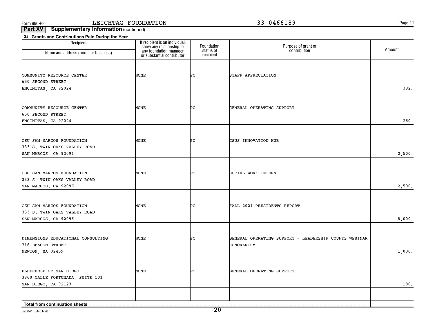**11**

| 3a Grants and Contributions Paid During the Year |                                                                                                                    |                         |                                                       |        |
|--------------------------------------------------|--------------------------------------------------------------------------------------------------------------------|-------------------------|-------------------------------------------------------|--------|
| Recipient<br>Name and address (home or business) | If recipient is an individual,<br>show any relationship to<br>any foundation manager<br>or substantial contributor | Foundation<br>status of | Purpose of grant or<br>contribution                   | Amount |
|                                                  |                                                                                                                    | recipient               |                                                       |        |
|                                                  |                                                                                                                    |                         |                                                       |        |
| COMMUNITY RESOURCE CENTER                        | NONE                                                                                                               | ÞС                      | STAFF APPRECIATION                                    |        |
| 650 SECOND STREET                                |                                                                                                                    |                         |                                                       |        |
| ENCINITAS, CA 92024                              |                                                                                                                    |                         |                                                       | 382.   |
|                                                  |                                                                                                                    |                         |                                                       |        |
|                                                  |                                                                                                                    |                         |                                                       |        |
| COMMUNITY RESOURCE CENTER                        | NONE                                                                                                               | ÞС                      | GENERAL OPERATING SUPPORT                             |        |
| 650 SECOND STREET                                |                                                                                                                    |                         |                                                       |        |
| ENCINITAS, CA 92024                              |                                                                                                                    |                         |                                                       | 250.   |
|                                                  |                                                                                                                    |                         |                                                       |        |
| CSU SAN MARCOS FOUNDATION                        | NONE                                                                                                               | ÞС                      | CSUS INNOVATION HUB                                   |        |
| 333 S. TWIN OAKS VALLEY ROAD                     |                                                                                                                    |                         |                                                       |        |
| SAN MARCOS, CA 92096                             |                                                                                                                    |                         |                                                       | 2,500. |
|                                                  |                                                                                                                    |                         |                                                       |        |
| CSU SAN MARCOS FOUNDATION                        | NONE                                                                                                               | ÞС                      | SOCIAL WORK INTERN                                    |        |
| 333 S. TWIN OAKS VALLEY ROAD                     |                                                                                                                    |                         |                                                       |        |
| SAN MARCOS, CA 92096                             |                                                                                                                    |                         |                                                       | 2,500. |
|                                                  |                                                                                                                    |                         |                                                       |        |
|                                                  |                                                                                                                    |                         |                                                       |        |
| CSU SAN MARCOS FOUNDATION                        | NONE                                                                                                               | ÞС                      | FALL 2021 PRESIDENTS REPORT                           |        |
| 333 S. TWIN OAKS VALLEY ROAD                     |                                                                                                                    |                         |                                                       |        |
| SAN MARCOS, CA 92096                             |                                                                                                                    |                         |                                                       | 8,000. |
|                                                  |                                                                                                                    |                         |                                                       |        |
| DIMENSIONS EDUCATIONAL CONSULTING                | <b>NONE</b>                                                                                                        | ÞС                      | GENERAL OPERATING SUPPORT - LEADERSHIP COUNTS WEBINAR |        |
| 716 BEACON STREET                                |                                                                                                                    |                         | HONORARIUM                                            |        |
| NEWTON, MA 02459                                 |                                                                                                                    |                         |                                                       | 1,000. |
|                                                  |                                                                                                                    |                         |                                                       |        |
| ELDERHELP OF SAN DIEGO                           | <b>NONE</b>                                                                                                        | PС                      | GENERAL OPERATING SUPPORT                             |        |
| 3860 CALLE FORTUNADA, SUITE 101                  |                                                                                                                    |                         |                                                       |        |
| SAN DIEGO, CA 92123                              |                                                                                                                    |                         |                                                       | 180.   |
|                                                  |                                                                                                                    |                         |                                                       |        |
|                                                  |                                                                                                                    |                         |                                                       |        |
| Total from continuation sheets                   |                                                                                                                    |                         |                                                       |        |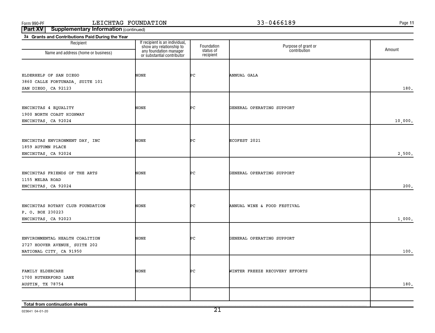**11**

| 3a Grants and Contributions Paid During the Year     |                                                            |                         |                                     |         |
|------------------------------------------------------|------------------------------------------------------------|-------------------------|-------------------------------------|---------|
| Recipient                                            | If recipient is an individual,<br>show any relationship to | Foundation<br>status of | Purpose of grant or<br>contribution | Amount  |
| Name and address (home or business)                  | any foundation manager<br>or substantial contributor       | recipient               |                                     |         |
|                                                      |                                                            |                         |                                     |         |
| ELDERHELP OF SAN DIEGO                               | NONE                                                       | ÞС                      | ANNUAL GALA                         |         |
| 3860 CALLE FORTUNADA, SUITE 101                      |                                                            |                         |                                     |         |
| SAN DIEGO, CA 92123                                  |                                                            |                         |                                     | 180.    |
|                                                      |                                                            |                         |                                     |         |
|                                                      |                                                            |                         |                                     |         |
| ENCINITAS 4 EQUALITY                                 | NONE                                                       | ÞС                      | GENERAL OPERATING SUPPORT           |         |
| 1900 NORTH COAST HIGHWAY                             |                                                            |                         |                                     |         |
| ENCINITAS, CA 92024                                  |                                                            |                         |                                     | 10,000. |
|                                                      |                                                            |                         |                                     |         |
| ENCINITAS ENVIRONMENT DAY, INC                       | NONE                                                       | ÞС                      | ECOFEST 2021                        |         |
| 1859 AUTUMN PLACE                                    |                                                            |                         |                                     |         |
| ENCINITAS, CA 92024                                  |                                                            |                         |                                     | 2,500.  |
|                                                      |                                                            |                         |                                     |         |
| ENCINITAS FRIENDS OF THE ARTS                        | NONE                                                       | ÞС                      | GENERAL OPERATING SUPPORT           |         |
| 1155 MELBA ROAD                                      |                                                            |                         |                                     |         |
| ENCINITAS, CA 92024                                  |                                                            |                         |                                     | 200.    |
|                                                      |                                                            |                         |                                     |         |
|                                                      |                                                            |                         |                                     |         |
| ENCINITAS ROTARY CLUB FOUNDATION<br>P. O. BOX 230223 | NONE                                                       | ÞС                      | ANNUAL WINE & FOOD FESTIVAL         |         |
| ENCINITAS, CA 92023                                  |                                                            |                         |                                     | 1,000.  |
|                                                      |                                                            |                         |                                     |         |
|                                                      |                                                            |                         |                                     |         |
| ENVIRONMENTAL HEALTH COALITION                       | NONE                                                       | ÞС                      | GENERAL OPERATING SUPPORT           |         |
| 2727 HOOVER AVENUE, SUITE 202                        |                                                            |                         |                                     | 100.    |
| NATIONAL CITY, CA 91950                              |                                                            |                         |                                     |         |
|                                                      |                                                            |                         |                                     |         |
| FAMILY ELDERCARE                                     | NONE                                                       | ÞС                      | WINTER FREEZE RECOVERY EFFORTS      |         |
| 1700 RUTHERFORD LANE                                 |                                                            |                         |                                     |         |
| AUSTIN, TX 78754                                     |                                                            |                         |                                     | 180.    |
|                                                      |                                                            |                         |                                     |         |
| Total from continuation sheets                       |                                                            |                         |                                     |         |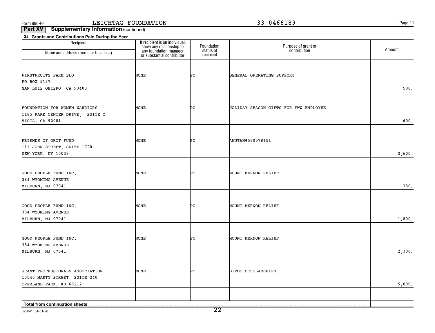**11**

| Recipient                                                                                   | If recipient is an individual,<br>show any relationship to<br>any foundation manager<br>or substantial contributor | Foundation             | Purpose of grant or<br>contribution   | Amount |
|---------------------------------------------------------------------------------------------|--------------------------------------------------------------------------------------------------------------------|------------------------|---------------------------------------|--------|
| Name and address (home or business)                                                         |                                                                                                                    | status of<br>recipient |                                       |        |
| FIRSTFRUITS FARM SLO<br>PO BOX 5157<br>SAN LUIS OBISPO, CA 93403                            | NONE                                                                                                               | ÞС                     | GENERAL OPERATING SUPPORT             | 500.   |
| FOUNDATION FOR WOMEN WARRIORS<br>1185 PARK CENTER DRIVE, SUITE O<br>VISTA, CA 92081         | NONE                                                                                                               | ÞС                     | HOLIDAY-SEASON GIFTS FOR FWW EMPLOYEE | 600.   |
| FRIENDS OF OROT FUND<br>111 JOHN STREET, SUITE 1720<br>NEW YORK, NY 10038                   | NONE                                                                                                               | ÞС                     | AMUTAH#580578151                      | 2,600. |
| GOOD PEOPLE FUND INC.<br>384 WYOMING AVENUE<br>MILBURN, NJ 07041                            | NONE                                                                                                               | ÞС                     | MOUNT MERNON RELIEF                   | 750.   |
| GOOD PEOPLE FUND INC.<br>384 WYOMING AVENUE<br>MILBURN, NJ 07041                            | NONE                                                                                                               | ÞС                     | <b>MOUNT MERNON RELIEF</b>            | 1,800. |
| GOOD PEOPLE FUND INC.<br>384 WYOMING AVENUE<br>MILBURN, NJ 07041                            | <b>NONE</b>                                                                                                        | ÞС                     | MOUNT MERNON RELIEF                   | 2,300. |
| GRANT PROFESSIONALS ASSOCIATION<br>10540 MARTY STREET, SUITE 240<br>OVERLAND PARK, KS 66212 | <b>NONE</b>                                                                                                        | ÞС                     | <b>BIPOC SCHOLARSHIPS</b>             | 5,000. |
| Total from continuation sheets                                                              |                                                                                                                    |                        |                                       |        |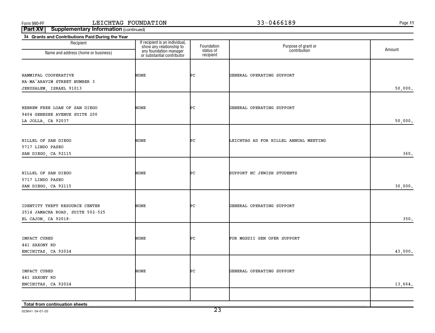**11**

| 3a Grants and Contributions Paid During the Year |                                                                                                                    |                         |                                       |         |
|--------------------------------------------------|--------------------------------------------------------------------------------------------------------------------|-------------------------|---------------------------------------|---------|
| Recipient<br>Name and address (home or business) | If recipient is an individual,<br>show any relationship to<br>any foundation manager<br>or substantial contributor | Foundation<br>status of | Purpose of grant or<br>contribution   | Amount  |
|                                                  |                                                                                                                    | recipient               |                                       |         |
|                                                  |                                                                                                                    |                         |                                       |         |
| HAMMIFAL COOPERATIVE                             | NONE                                                                                                               | ÞС                      | GENERAL OPERATING SUPPORT             |         |
| HA-MA'ARAVIM STREET NUMBER 3                     |                                                                                                                    |                         |                                       |         |
| JERUSALEM, ISRAEL 91013                          |                                                                                                                    |                         |                                       | 50,000. |
|                                                  |                                                                                                                    |                         |                                       |         |
|                                                  |                                                                                                                    |                         |                                       |         |
| HEBREW FREE LOAN OF SAN DIEGO                    | NONE                                                                                                               | ÞС                      | GENERAL OPERATING SUPPORT             |         |
| 9404 GENESEE AVENUE SUITE 200                    |                                                                                                                    |                         |                                       |         |
| LA JOLLA, CA 92037                               |                                                                                                                    |                         |                                       | 50,000. |
|                                                  |                                                                                                                    |                         |                                       |         |
| HILLEL OF SAN DIEGO                              | NONE                                                                                                               | ÞС                      | LEICHTAG AD FOR HILLEL ANNUAL MEETING |         |
| 5717 LINDO PASEO                                 |                                                                                                                    |                         |                                       |         |
| SAN DIEGO, CA 92115                              |                                                                                                                    |                         |                                       | 360.    |
|                                                  |                                                                                                                    |                         |                                       |         |
| HILLEL OF SAN DIEGO                              | NONE                                                                                                               | ÞС                      | SUPPORT NC JEWISH STUDENTS            |         |
| 5717 LINDO PASEO                                 |                                                                                                                    |                         |                                       |         |
| SAN DIEGO, CA 92115                              |                                                                                                                    |                         |                                       | 30,000. |
|                                                  |                                                                                                                    |                         |                                       |         |
| IDENTITY THEFT RESOURCE CENTER                   | NONE                                                                                                               | ÞС                      | GENERAL OPERATING SUPPORT             |         |
| 2514 JAMACHA ROAD, SUITE 502-525                 |                                                                                                                    |                         |                                       |         |
| EL CAJON, CA 92018-                              |                                                                                                                    |                         |                                       | 350.    |
|                                                  |                                                                                                                    |                         |                                       |         |
|                                                  |                                                                                                                    |                         |                                       |         |
| IMPACT CUBED                                     | NONE                                                                                                               | ÞС                      | FOR MGSDII GEN OPER SUPPORT           |         |
| 441 SAXONY RD                                    |                                                                                                                    |                         |                                       |         |
| ENCINITAS, CA 92024                              |                                                                                                                    |                         |                                       | 43,000. |
|                                                  |                                                                                                                    |                         |                                       |         |
| IMPACT CUBED                                     | NONE                                                                                                               | ÞС                      | GENERAL OPERATING SUPPORT             |         |
| 441 SAXONY RD                                    |                                                                                                                    |                         |                                       |         |
| ENCINITAS, CA 92024                              |                                                                                                                    |                         |                                       | 13,664. |
|                                                  |                                                                                                                    |                         |                                       |         |
| Total from continuation sheets                   |                                                                                                                    |                         |                                       |         |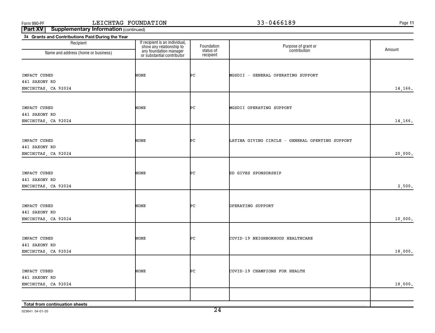**11**

**Part XV** | Supplementary Information (continued)

| 3a Grants and Contributions Paid During the Year |                                                                                                                    |                         |                                                 |         |
|--------------------------------------------------|--------------------------------------------------------------------------------------------------------------------|-------------------------|-------------------------------------------------|---------|
| Recipient                                        | If recipient is an individual,<br>show any relationship to<br>any foundation manager<br>or substantial contributor | Foundation<br>status of | Purpose of grant or<br>contribution             | Amount  |
| Name and address (home or business)              |                                                                                                                    | recipient               |                                                 |         |
|                                                  |                                                                                                                    |                         |                                                 |         |
|                                                  |                                                                                                                    |                         |                                                 |         |
| IMPACT CUBED                                     | NONE                                                                                                               | ÞС                      | MGSDII - GENERAL OPERATING SUPPORT              |         |
| 441 SAXONY RD                                    |                                                                                                                    |                         |                                                 |         |
| ENCINITAS, CA 92024                              |                                                                                                                    |                         |                                                 | 14,166. |
|                                                  |                                                                                                                    |                         |                                                 |         |
| IMPACT CUBED                                     | NONE                                                                                                               | ÞС                      | MGSDII OPERATING SUPPORT                        |         |
| 441 SAXONY RD                                    |                                                                                                                    |                         |                                                 |         |
| ENCINITAS, CA 92024                              |                                                                                                                    |                         |                                                 | 14,166. |
|                                                  |                                                                                                                    |                         |                                                 |         |
| IMPACT CUBED                                     | NONE                                                                                                               | ÞС                      | LATINA GIVING CIRCLE - GENERAL OPERTING SUPPORT |         |
| 441 SAXONY RD                                    |                                                                                                                    |                         |                                                 |         |
| ENCINITAS, CA 92024                              |                                                                                                                    |                         |                                                 | 20,000. |
|                                                  |                                                                                                                    |                         |                                                 |         |
|                                                  |                                                                                                                    |                         |                                                 |         |
| IMPACT CUBED                                     | NONE                                                                                                               | ÞС                      | SD GIVES SPONSORSHIP                            |         |
| 441 SAXONY RD                                    |                                                                                                                    |                         |                                                 |         |
| ENCINITAS, CA 92024                              |                                                                                                                    |                         |                                                 | 2,500.  |
|                                                  |                                                                                                                    |                         |                                                 |         |
| IMPACT CUBED                                     | NONE                                                                                                               | ÞС                      | OPERATING SUPPORT                               |         |
| 441 SAXONY RD                                    |                                                                                                                    |                         |                                                 |         |
| ENCINITAS, CA 92024                              |                                                                                                                    |                         |                                                 | 10,000. |
|                                                  |                                                                                                                    |                         |                                                 |         |
|                                                  |                                                                                                                    |                         |                                                 |         |
| IMPACT CUBED                                     | NONE                                                                                                               | PС                      | COVID-19 NEIGHBORHOOD HEALTHCARE                |         |
| 441 SAXONY RD                                    |                                                                                                                    |                         |                                                 |         |
| ENCINITAS, CA 92024                              |                                                                                                                    |                         |                                                 | 18,000. |
|                                                  |                                                                                                                    |                         |                                                 |         |
| IMPACT CUBED                                     | NONE                                                                                                               | PС                      | COVID-19 CHAMPIONS FOR HEALTH                   |         |
| 441 SAXONY RD                                    |                                                                                                                    |                         |                                                 |         |
| ENCINITAS, CA 92024                              |                                                                                                                    |                         |                                                 | 18,000. |
|                                                  |                                                                                                                    |                         |                                                 |         |
| Total from continuation sheets                   |                                                                                                                    |                         |                                                 |         |

023641 04-01-20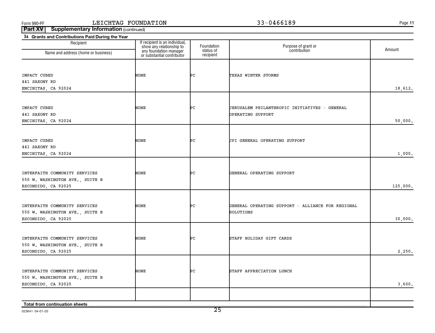**11**

| Recipient                            |                                                                                                                    | Foundation             | Purpose of grant or                               |          |
|--------------------------------------|--------------------------------------------------------------------------------------------------------------------|------------------------|---------------------------------------------------|----------|
| Name and address (home or business)  | If recipient is an individual,<br>show any relationship to<br>any foundation manager<br>or substantial contributor | status of<br>recipient | contribution                                      | Amount   |
|                                      |                                                                                                                    |                        |                                                   |          |
| IMPACT CUBED                         | NONE                                                                                                               | ÞС                     | TEXAS WINTER STORMS                               |          |
| 441 SAXONY RD                        |                                                                                                                    |                        |                                                   |          |
| ENCINITAS, CA 92024                  |                                                                                                                    |                        |                                                   | 18,612.  |
|                                      |                                                                                                                    |                        |                                                   |          |
| IMPACT CUBED                         | NONE                                                                                                               | ÞС                     | JERUSALEM PHILANTHROPIC INITIATIVES - GENERAL     |          |
| 441 SAXONY RD<br>ENCINITAS, CA 92024 |                                                                                                                    |                        | OPERATING SUPPORT                                 | 50,000.  |
|                                      |                                                                                                                    |                        |                                                   |          |
| IMPACT CUBED                         | NONE                                                                                                               | ÞС                     | JPI GENERAL OPERATING SUPPORT                     |          |
| 441 SAXONY RD                        |                                                                                                                    |                        |                                                   |          |
| ENCINITAS, CA 92024                  |                                                                                                                    |                        |                                                   | 1,000.   |
|                                      |                                                                                                                    |                        |                                                   |          |
| INTERFAITH COMMUNITY SERVICES        | NONE                                                                                                               | ÞС                     | GENERAL OPERATING SUPPORT                         |          |
| 550 W. WASHINGTON AVE., SUITE B      |                                                                                                                    |                        |                                                   |          |
| ESCONDIDO, CA 92025                  |                                                                                                                    |                        |                                                   | 125,000. |
|                                      |                                                                                                                    |                        |                                                   |          |
| INTERFAITH COMMUNITY SERVICES        | NONE                                                                                                               | ÞС                     | GENERAL OPERATING SUPPORT - ALLIANCE FOR REGIONAL |          |
| 550 W. WASHINGTON AVE., SUITE B      |                                                                                                                    |                        | SOLUTIONS                                         |          |
| ESCONDIDO, CA 92025                  |                                                                                                                    |                        |                                                   | 30,000.  |
|                                      |                                                                                                                    |                        |                                                   |          |
| INTERFAITH COMMUNITY SERVICES        | NONE                                                                                                               | ÞС                     | STAFF HOLIDAY GIFT CARDS                          |          |
| 550 W. WASHINGTON AVE., SUITE B      |                                                                                                                    |                        |                                                   |          |
| ESCONDIDO, CA 92025                  |                                                                                                                    |                        |                                                   | 2,250.   |
|                                      |                                                                                                                    |                        |                                                   |          |
| INTERFAITH COMMUNITY SERVICES        | NONE                                                                                                               | ÞС                     | STAFF APPRECIATION LUNCH                          |          |
| 550 W. WASHINGTON AVE., SUITE B      |                                                                                                                    |                        |                                                   |          |
| ESCONDIDO, CA 92025                  |                                                                                                                    |                        |                                                   | 3,600.   |
|                                      |                                                                                                                    |                        |                                                   |          |
| Total from continuation sheets       |                                                                                                                    |                        |                                                   |          |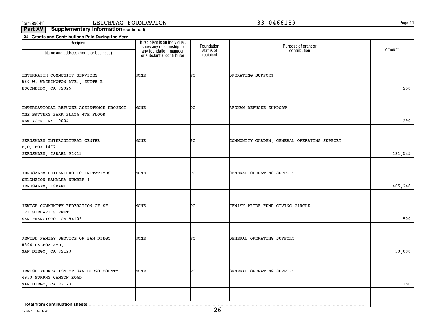**11**

| 3a Grants and Contributions Paid During the Year |                                                            |                         |                                             |          |
|--------------------------------------------------|------------------------------------------------------------|-------------------------|---------------------------------------------|----------|
| Recipient<br>Name and address (home or business) | If recipient is an individual,<br>show any relationship to | Foundation<br>status of | Purpose of grant or<br>contribution         | Amount   |
|                                                  | any foundation manager<br>or substantial contributor       | recipient               |                                             |          |
|                                                  |                                                            |                         |                                             |          |
| INTERFAITH COMMUNITY SERVICES                    | <b>NONE</b>                                                | ÞС                      | OPERATING SUPPORT                           |          |
| 550 W. WASHINGTON AVE., SUITE B                  |                                                            |                         |                                             |          |
| ESCONDIDO, CA 92025                              |                                                            |                         |                                             | 250.     |
|                                                  |                                                            |                         |                                             |          |
| INTERNATIONAL REFUGEE ASSISTANCE PROJECT         | NONE                                                       | ÞС                      | <b>AFGHAN REFUGEE SUPPORT</b>               |          |
| ONE BATTERY PARK PLAZA 4TH FLOOR                 |                                                            |                         |                                             |          |
| NEW YORK, NY 10004                               |                                                            |                         |                                             | 290.     |
|                                                  |                                                            |                         |                                             |          |
| JERUSALEM INTERCULTURAL CENTER                   | NONE                                                       | ÞС                      | COMMUNITY GARDEN, GENERAL OPERATING SUPPORT |          |
| P.O. BOX 1477                                    |                                                            |                         |                                             |          |
| JERUSALEM, ISRAEL 91013                          |                                                            |                         |                                             | 121,545. |
|                                                  |                                                            |                         |                                             |          |
| JERUSALEM PHILANTHROPIC INITATIVES               | NONE                                                       | ÞС                      | GENERAL OPERATING SUPPORT                   |          |
| SHLOMZION HAMALKA NUMBER 4                       |                                                            |                         |                                             | 405,246. |
| JERUSALEM, ISRAEL                                |                                                            |                         |                                             |          |
|                                                  |                                                            |                         |                                             |          |
| JEWISH COMMUNITY FEDERATION OF SF                | NONE                                                       | ÞС                      | JEWISH PRIDE FUND GIVING CIRCLE             |          |
| 121 STEUART STREET<br>SAN FRANCISCO, CA 94105    |                                                            |                         |                                             | 500.     |
|                                                  |                                                            |                         |                                             |          |
| JEWISH FAMILY SERVICE OF SAN DIEGO               | <b>NONE</b>                                                | ÞС                      | GENERAL OPERATING SUPPORT                   |          |
| 8804 BALBOA AVE.                                 |                                                            |                         |                                             |          |
| SAN DIEGO, CA 92123                              |                                                            |                         |                                             | 50,000.  |
|                                                  |                                                            |                         |                                             |          |
| JEWISH FEDERATION OF SAN DIEGO COUNTY            | <b>NONE</b>                                                | PС                      | GENERAL OPERATING SUPPORT                   |          |
| 4950 MURPHY CANYON ROAD                          |                                                            |                         |                                             |          |
| SAN DIEGO, CA 92123                              |                                                            |                         |                                             | 180.     |
|                                                  |                                                            |                         |                                             |          |
| Total from continuation sheets                   |                                                            |                         |                                             |          |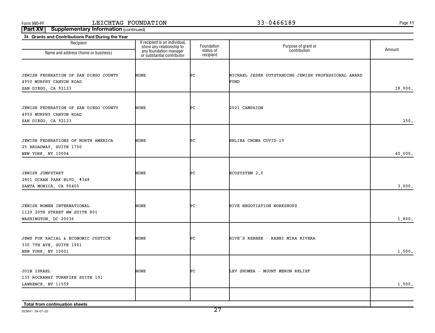**11**

| 3a Grants and Contributions Paid During the Year |                                                                                                                    |                         |                                                     |         |
|--------------------------------------------------|--------------------------------------------------------------------------------------------------------------------|-------------------------|-----------------------------------------------------|---------|
| Recipient<br>Name and address (home or business) | If recipient is an individual,<br>show any relationship to<br>any foundation manager<br>or substantial contributor | Foundation<br>status of | Purpose of grant or<br>contribution                 | Amount  |
|                                                  |                                                                                                                    | recipient               |                                                     |         |
|                                                  |                                                                                                                    |                         |                                                     |         |
| JEWISH FEDERATION OF SAN DIEGO COUNTY            | NONE                                                                                                               | ÞС                      | MICHAEL JESER OUTSTANDING JEWISH PROFESSIONAL AWARD |         |
| 4950 MURPHY CANYON ROAD                          |                                                                                                                    |                         | FUND                                                |         |
| SAN DIEGO, CA 92123                              |                                                                                                                    |                         |                                                     | 18,000. |
|                                                  |                                                                                                                    |                         |                                                     |         |
| JEWISH FEDERATION OF SAN DIEGO COUNTY            | NONE                                                                                                               | ÞС                      | 2021 CAMPAIGN                                       |         |
| 4950 MURPHY CANYON ROAD                          |                                                                                                                    |                         |                                                     |         |
| SAN DIEGO, CA 92123                              |                                                                                                                    |                         |                                                     | 250.    |
|                                                  |                                                                                                                    |                         |                                                     |         |
| JEWISH FEDERATIONS OF NORTH AMERICA              | NONE                                                                                                               | ÞС                      | BELIBA CHOMA COVID-19                               |         |
| 25 BROADWAY, SUITE 1700                          |                                                                                                                    |                         |                                                     |         |
| NEW YORK, NY 10004                               |                                                                                                                    |                         |                                                     | 40,000. |
|                                                  |                                                                                                                    |                         |                                                     |         |
| <b>JEWISH JUMPSTART</b>                          | NONE                                                                                                               | ÞС                      | ECOSYSTEM 2.0                                       |         |
| 2801 OCEAN PARK BLVD, #348                       |                                                                                                                    |                         |                                                     |         |
| SANTA MONICA, CA 90405                           |                                                                                                                    |                         |                                                     | 3,000.  |
|                                                  |                                                                                                                    |                         |                                                     |         |
| JEWISH WOMEN INTERNATIONAL                       | NONE                                                                                                               | ÞС                      | HIVE NEGOTIATION WORKSHOPS                          |         |
| 1129 20TH STREET NW SUITE 801                    |                                                                                                                    |                         |                                                     |         |
| WASHINGTON, DC 20036                             |                                                                                                                    |                         |                                                     | 1,800.  |
|                                                  |                                                                                                                    |                         |                                                     |         |
| JEWS FOR RACIAL & ECONOMIC JUSTICE               | <b>NONE</b>                                                                                                        | ÞС                      | HIVE'S REBBEE - RABBI MIRA RIVERA                   |         |
| 330 7TH AVE, SUITE 1901                          |                                                                                                                    |                         |                                                     |         |
| NEW YORK, NY 10001                               |                                                                                                                    |                         |                                                     | 1,500.  |
|                                                  |                                                                                                                    |                         |                                                     |         |
| <b>JOIN ISRAEL</b>                               | NONE                                                                                                               | ÞС                      | LEV SHOMEA - MOUNT MERON RELIEF                     |         |
| 135 ROCKAWAY TURNPIKE SUITE 101                  |                                                                                                                    |                         |                                                     |         |
| LAWRENCE, NY 11559                               |                                                                                                                    |                         |                                                     | 1,500.  |
|                                                  |                                                                                                                    |                         |                                                     |         |
| Total from continuation sheets                   |                                                                                                                    |                         |                                                     |         |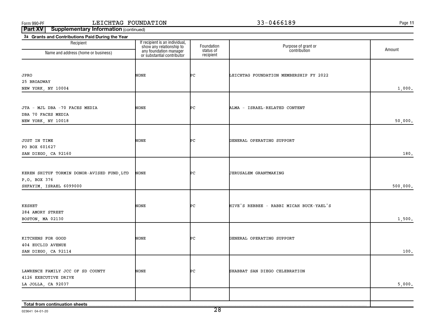**11**

| 3a Grants and Contributions Paid During the Year |                                                                                                                    |                         |                                         |          |
|--------------------------------------------------|--------------------------------------------------------------------------------------------------------------------|-------------------------|-----------------------------------------|----------|
| Recipient<br>Name and address (home or business) | If recipient is an individual,<br>show any relationship to<br>any foundation manager<br>or substantial contributor | Foundation<br>status of | Purpose of grant or<br>contribution     | Amount   |
|                                                  |                                                                                                                    | recipient               |                                         |          |
|                                                  |                                                                                                                    |                         |                                         |          |
| JPRO                                             | <b>NONE</b>                                                                                                        | ÞС                      | LEICHTAG FOUNDATION MEMBERSHIP FY 2022  |          |
| 25 BROADWAY                                      |                                                                                                                    |                         |                                         |          |
| NEW YORK, NY 10004                               |                                                                                                                    |                         |                                         | 1,000.   |
|                                                  |                                                                                                                    |                         |                                         |          |
| JTA - MJL DBA -70 FACES MEDIA                    | NONE                                                                                                               | ÞС                      | ALMA - ISRAEL-RELATED CONTENT           |          |
| DBA 70 FACES MEDIA                               |                                                                                                                    |                         |                                         |          |
| NEW YORK, NY 10018                               |                                                                                                                    |                         |                                         | 50,000.  |
|                                                  |                                                                                                                    |                         |                                         |          |
|                                                  | NONE                                                                                                               | ÞС                      | GENERAL OPERATING SUPPORT               |          |
| JUST IN TIME<br>PO BOX 601627                    |                                                                                                                    |                         |                                         |          |
| SAN DIEGO, CA 92160                              |                                                                                                                    |                         |                                         | 180.     |
|                                                  |                                                                                                                    |                         |                                         |          |
|                                                  |                                                                                                                    |                         |                                         |          |
| KEREN SHITUF TORMIN DONOR-AVISED FUND, LTD       | <b>NONE</b>                                                                                                        | ÞС                      | <b>JERUSALEM GRANTMAKING</b>            |          |
| P.O. BOX 376                                     |                                                                                                                    |                         |                                         |          |
| SHFAYIM, ISRAEL 6099000                          |                                                                                                                    |                         |                                         | 500,000. |
|                                                  |                                                                                                                    |                         |                                         |          |
| <b>KESHET</b>                                    | NONE                                                                                                               | ÞС                      | HIVE'S REBBEE - RABBI MICAH BUCK-YAEL'S |          |
| 284 AMORY STREET                                 |                                                                                                                    |                         |                                         |          |
| BOSTON, MA 02130                                 |                                                                                                                    |                         |                                         | 1,500.   |
|                                                  |                                                                                                                    |                         |                                         |          |
| KITCHENS FOR GOOD                                | <b>NONE</b>                                                                                                        | ÞС                      | GENERAL OPERATING SUPPORT               |          |
| 404 EUCLID AVENUE                                |                                                                                                                    |                         |                                         |          |
| SAN DIEGO, CA 92114                              |                                                                                                                    |                         |                                         | 100.     |
|                                                  |                                                                                                                    |                         |                                         |          |
| LAWRENCE FAMILY JCC OF SD COUNTY                 | NONE                                                                                                               | PС                      | SHABBAT SAN DIEGO CELEBRATION           |          |
| 4126 EXECUTIVE DRIVE                             |                                                                                                                    |                         |                                         |          |
| LA JOLLA, CA 92037                               |                                                                                                                    |                         |                                         | 5,000.   |
|                                                  |                                                                                                                    |                         |                                         |          |
| Total from continuation sheets                   |                                                                                                                    |                         |                                         |          |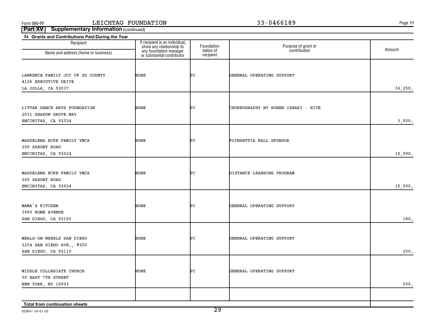**11**

| 3a Grants and Contributions Paid During the Year<br>Recipient                  | If recipient is an individual,<br>show any relationship to<br>any foundation manager<br>or substantial contributor | Foundation             | Purpose of grant or<br>contribution | Amount   |
|--------------------------------------------------------------------------------|--------------------------------------------------------------------------------------------------------------------|------------------------|-------------------------------------|----------|
| Name and address (home or business)                                            |                                                                                                                    | status of<br>recipient |                                     |          |
| LAWRENCE FAMILY JCC OF SD COUNTY<br>4126 EXECUTIVE DRIVE<br>LA JOLLA, CA 92037 | NONE                                                                                                               | ÞС                     | GENERAL OPERATING SUPPORT           | 36, 250. |
| LITVAK DANCE ARTS FOUNDATION<br>2031 SHADOW GROVE WAY<br>ENCINITAS, CA 92024   | NONE                                                                                                               | ÞС                     | CHOREOGRAPHY BY RONEN IZHAKI - HIVE | 3,000.   |
| MAGDELENA ECKE FAMILY YMCA<br>200 SAXONY ROAD<br>ENCINITAS, CA 92024           | NONE                                                                                                               | ÞС                     | POINSETTIA BALL SPONSOR             | 10,000.  |
| MAGDELENA ECKE FAMILY YMCA<br>200 SAXONY ROAD<br>ENCINITAS, CA 92024           | NONE                                                                                                               | ÞС                     | DISTANCE LEARNING PROGRAM           | 10,000.  |
| MAMA'S KITCHEN<br>3960 HOME AVENUE<br>SAN DIEGO, CA 92105                      | NONE                                                                                                               | ÞС                     | GENERAL OPERATING SUPPORT           | 180.     |
| MEALS-ON-WHEELS SAN DIEGO<br>2254 SAN DIEGO AVE., #200<br>SAN DIEGO, CA 92110  | <b>NONE</b>                                                                                                        | ÞС                     | GENERAL OPERATING SUPPORT           | 250.     |
| MIDDLE COLLEGIATE CHURCH<br>50 EAST 7TH STREET<br>NEW YORK, NY 10003           | <b>NONE</b>                                                                                                        | ÞС                     | GENERAL OPERATING SUPPORT           | 500.     |
| Total from continuation sheets                                                 |                                                                                                                    |                        |                                     |          |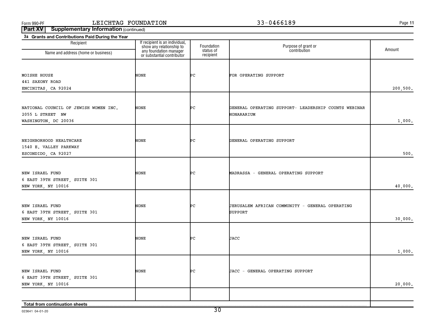**11**

| 3a Grants and Contributions Paid During the Year                                  |                                                                                                                    |                                      |                                                                    |           |
|-----------------------------------------------------------------------------------|--------------------------------------------------------------------------------------------------------------------|--------------------------------------|--------------------------------------------------------------------|-----------|
| Recipient<br>Name and address (home or business)                                  | If recipient is an individual,<br>show any relationship to<br>any foundation manager<br>or substantial contributor | Foundation<br>status of<br>recipient | Purpose of grant or<br>contribution                                | Amount    |
| MOISHE HOUSE<br>441 SAXONY ROAD<br>ENCINITAS, CA 92024                            | NONE                                                                                                               | Þс                                   | FOR OPERATING SUPPORT                                              | 200, 500. |
| NATIONAL COUNCIL OF JEWISH WOMEN INC.<br>2055 L STREET NW<br>WASHINGTON, DC 20036 | NONE                                                                                                               | Þс                                   | GENERAL OPERATING SUPPORT- LEADERSHIP COUNTS WEBINAR<br>HONARARIUM | 1,000.    |
| NEIGHBORHOOD HEALTHCARE<br>1540 E. VALLEY PARKWAY<br>ESCONDIDO, CA 92027          | NONE                                                                                                               | Þс                                   | GENERAL OPERATING SUPPORT                                          | 500.      |
| NEW ISRAEL FUND<br>6 EAST 39TH STREET, SUITE 301<br>NEW YORK, NY 10016            | NONE                                                                                                               | Þс                                   | MADRASSA - GENERAL OPERATING SUPPORT                               | 40,000.   |
| NEW ISRAEL FUND<br>6 EAST 39TH STREET, SUITE 301<br>NEW YORK, NY 10016            | NONE                                                                                                               | ÞС                                   | JERUSALEM AFRICAN COMMUNITY - GENERAL OPERATING<br><b>SUPPORT</b>  | 30,000.   |
| NEW ISRAEL FUND<br>6 EAST 39TH STREET, SUITE 301<br>NEW YORK, NY 10016            | NONE                                                                                                               | ÞС                                   | JACC                                                               | 1,000.    |
| NEW ISRAEL FUND<br>6 EAST 39TH STREET, SUITE 301<br>NEW YORK, NY 10016            | NONE                                                                                                               | ÞС                                   | JACC - GENERAL OPERATING SUPPORT                                   | 20,000.   |
| Total from continuation sheets                                                    |                                                                                                                    |                                      |                                                                    |           |

023641 04-01-20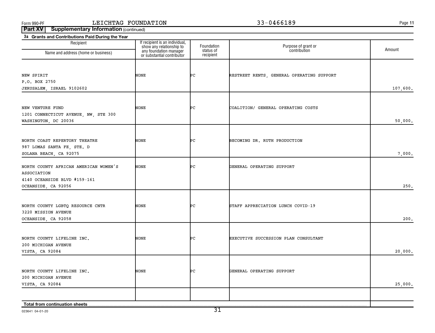**11**

**Part XV** | Supplementary Information (continued)

| 3a Grants and Contributions Paid During the Year<br>Recipient                         |                                                                                                                    |                                      |                                           |          |
|---------------------------------------------------------------------------------------|--------------------------------------------------------------------------------------------------------------------|--------------------------------------|-------------------------------------------|----------|
| Name and address (home or business)                                                   | If recipient is an individual,<br>show any relationship to<br>any foundation manager<br>or substantial contributor | Foundation<br>status of<br>recipient | Purpose of grant or<br>contribution       | Amount   |
|                                                                                       |                                                                                                                    |                                      |                                           |          |
| NEW SPIRIT<br>P.O. BOX 2750                                                           | NONE                                                                                                               | ÞС                                   | RESTREET RENTS, GENERAL OPERATING SUPPORT |          |
| JERUSALEM, ISRAEL 9102602                                                             |                                                                                                                    |                                      |                                           | 107,600. |
| NEW VENTURE FUND<br>1201 CONNECTICUT AVENUE, NW, STE 300                              | NONE                                                                                                               | ÞС                                   | COALITION/ GENERAL OPERATING COSTS        |          |
| WASHINGTON, DC 20036                                                                  |                                                                                                                    |                                      |                                           | 50,000.  |
| NORTH COAST REPERTORY THEATRE<br>987 LOMAS SANTA FE, STE. D<br>SOLANA BEACH, CA 92075 | NONE                                                                                                               | ÞС                                   | BECOMING DR. RUTH PRODUCTION              | 7,000.   |
| NORTH COUNTY AFRICAN AMERICAN WOMEN'S<br>ASSOCIATION<br>4140 OCEANSIDE BLVD #159-161  | NONE                                                                                                               | ÞС                                   | GENERAL OPERATING SUPPORT                 |          |
| OCEANSIDE, CA 92056                                                                   |                                                                                                                    |                                      |                                           | 250.     |
| NORTH COUNTY LGBTQ RESOURCE CNTR<br>3220 MISSION AVENUE<br>OCEANSIDE, CA 92058        | NONE                                                                                                               | ÞС                                   | STAFF APPRECIATION LUNCH COVID-19         | 200.     |
|                                                                                       |                                                                                                                    |                                      |                                           |          |
| NORTH COUNTY LIFELINE INC.<br>200 MICHIGAN AVENUE<br>VISTA, CA 92084                  | NONE                                                                                                               | ÞС                                   | EXECUTIVE SUCCESSION PLAN CONSULTANT      | 20,000.  |
| NORTH COUNTY LIFELINE INC.<br>200 MICHIGAN AVENUE                                     | NONE                                                                                                               | ÞС                                   | GENERAL OPERATING SUPPORT                 |          |
| VISTA, CA 92084                                                                       |                                                                                                                    |                                      |                                           | 25,000.  |
| Total from continuation sheets                                                        |                                                                                                                    |                                      |                                           |          |

023641 04-01-20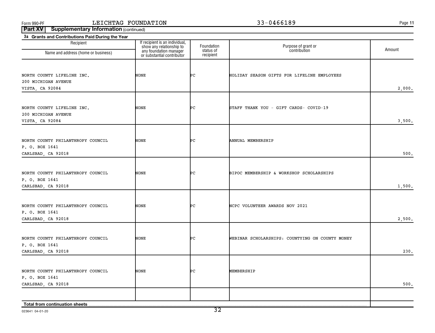**11**

| 3a Grants and Contributions Paid During the Year    |                                                            |                         |                                                 |        |
|-----------------------------------------------------|------------------------------------------------------------|-------------------------|-------------------------------------------------|--------|
| Recipient<br>Name and address (home or business)    | If recipient is an individual,<br>show any relationship to | Foundation<br>status of | Purpose of grant or<br>contribution             | Amount |
|                                                     | any foundation manager<br>or substantial contributor       | recipient               |                                                 |        |
|                                                     |                                                            |                         |                                                 |        |
| NORTH COUNTY LIFELINE INC.                          | NONE                                                       | ÞС                      | HOLIDAY SEASON GIFTS FOR LIFELINE EMPLOYEES     |        |
| 200 MICHIGAN AVENUE                                 |                                                            |                         |                                                 |        |
| VISTA, CA 92084                                     |                                                            |                         |                                                 | 2,000. |
|                                                     |                                                            |                         |                                                 |        |
|                                                     | NONE                                                       | Þс                      |                                                 |        |
| NORTH COUNTY LIFELINE INC.<br>200 MICHIGAN AVENUE   |                                                            |                         | STAFF THANK YOU - GIFT CARDS- COVID-19          |        |
| VISTA, CA 92084                                     |                                                            |                         |                                                 | 3,500. |
|                                                     |                                                            |                         |                                                 |        |
|                                                     |                                                            |                         |                                                 |        |
| NORTH COUNTY PHILANTHROPY COUNCIL<br>P. O. BOX 1641 | NONE                                                       | Þс                      | ANNUAL MEMBERSHIP                               |        |
| CARLSBAD, CA 92018                                  |                                                            |                         |                                                 | 500.   |
|                                                     |                                                            |                         |                                                 |        |
|                                                     |                                                            |                         |                                                 |        |
| NORTH COUNTY PHILANTHROPY COUNCIL                   | NONE                                                       | ÞС                      | BIPOC MEMBERSHIP & WORKSHOP SCHOLARSHIPS        |        |
| P. O. BOX 1641<br>CARLSBAD, CA 92018                |                                                            |                         |                                                 | 1,500. |
|                                                     |                                                            |                         |                                                 |        |
|                                                     |                                                            |                         |                                                 |        |
| NORTH COUNTY PHILANTHROPY COUNCIL                   | NONE                                                       | ÞС                      | NCPC VOLUNTEER AWARDS NOV 2021                  |        |
| P. O. BOX 1641<br>CARLSBAD, CA 92018                |                                                            |                         |                                                 | 2,500. |
|                                                     |                                                            |                         |                                                 |        |
|                                                     |                                                            |                         |                                                 |        |
| NORTH COUNTY PHILANTHROPY COUNCIL                   | <b>NONE</b>                                                | ÞС                      | WEBINAR SCHOLARSHIPS: COUNTYING ON COUNTY MONEY |        |
| P. O. BOX 1641                                      |                                                            |                         |                                                 | 230.   |
| CARLSBAD, CA 92018                                  |                                                            |                         |                                                 |        |
|                                                     |                                                            |                         |                                                 |        |
| NORTH COUNTY PHILANTHROPY COUNCIL                   | NONE                                                       | ÞС                      | MEMBERSHIP                                      |        |
| P. O. BOX 1641                                      |                                                            |                         |                                                 |        |
| CARLSBAD, CA 92018                                  |                                                            |                         |                                                 | 500.   |
|                                                     |                                                            |                         |                                                 |        |
| Total from continuation sheets                      |                                                            |                         |                                                 |        |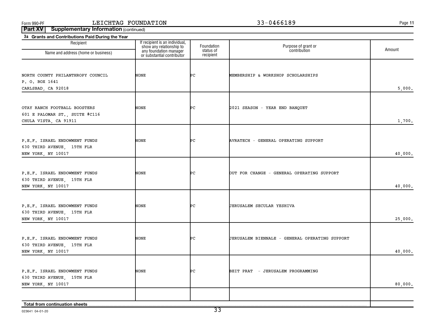**11**

| 3a Grants and Contributions Paid During the Year<br>Recipient                           |                                                                                                                    | Foundation             |                                                |         |
|-----------------------------------------------------------------------------------------|--------------------------------------------------------------------------------------------------------------------|------------------------|------------------------------------------------|---------|
| Name and address (home or business)                                                     | If recipient is an individual,<br>show any relationship to<br>any foundation manager<br>or substantial contributor | status of<br>recipient | Purpose of grant or<br>contribution            | Amount  |
| NORTH COUNTY PHILANTHROPY COUNCIL                                                       | NONE                                                                                                               | ÞС                     | MEMBERSHIP & WORKSHOP SCHOLARSHIPS             |         |
| P. O. BOX 1641<br>CARLSBAD, CA 92018                                                    |                                                                                                                    |                        |                                                | 5,000.  |
| OTAY RANCH FOOTBALL BOOSTERS<br>601 E PALOMAR ST., SUITE #C116<br>CHULA VISTA, CA 91911 | NONE                                                                                                               | ÞС                     | 2021 SEASON - YEAR END BANQUET                 | 1,700.  |
| P.E.F. ISRAEL ENDOWMENT FUNDS<br>630 THIRD AVENUE, 15TH FLR<br>NEW YORK, NY 10017       | NONE                                                                                                               | ÞС                     | AVRATECH - GENERAL OPERATING SUPPORT           | 40,000. |
| P.E.F. ISRAEL ENDOWMENT FUNDS<br>630 THIRD AVENUE, 15TH FLR<br>NEW YORK, NY 10017       | NONE                                                                                                               | ÞС                     | OUT FOR CHANGE - GENERAL OPERATING SUPPORT     | 40,000. |
| P.E.F. ISRAEL ENDOWMENT FUNDS<br>630 THIRD AVENUE, 15TH FLR<br>NEW YORK, NY 10017       | NONE                                                                                                               | ÞС                     | JERUSALEM SECULAR YESHIVA                      | 25,000. |
| P.E.F. ISRAEL ENDOWMENT FUNDS<br>630 THIRD AVENUE, 15TH FLR<br>NEW YORK, NY 10017       | NONE                                                                                                               | ÞС                     | JERUSALEM BIENNALE - GENERAL OPERATING SUPPORT | 40,000. |
| P.E.F. ISRAEL ENDOWMENT FUNDS<br>630 THIRD AVENUE, 15TH FLR<br>NEW YORK, NY 10017       | NONE                                                                                                               | ÞС                     | BEIT PRAT - JERUSALEM PROGRAMMING              | 80,000. |
| Total from continuation sheets                                                          |                                                                                                                    |                        |                                                |         |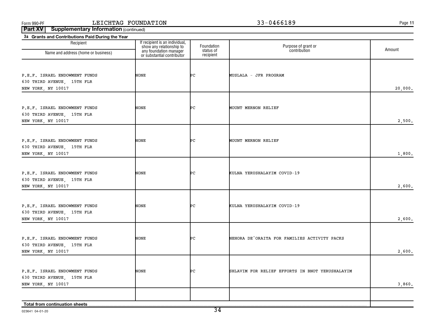**11**

| Recipient                                                   | If recipient is an individual,                                                   | Foundation             | Purpose of grant or                             |         |
|-------------------------------------------------------------|----------------------------------------------------------------------------------|------------------------|-------------------------------------------------|---------|
| Name and address (home or business)                         | show any relationship to<br>any foundation manager<br>or substantial contributor | status of<br>recipient | contribution                                    | Amount  |
|                                                             |                                                                                  |                        |                                                 |         |
| P.E.F. ISRAEL ENDOWMENT FUNDS<br>630 THIRD AVENUE, 15TH FLR | NONE                                                                             | ÞС                     | MUSLALA - JFR PROGRAM                           |         |
| NEW YORK, NY 10017                                          |                                                                                  |                        |                                                 | 20,000. |
| P.E.F. ISRAEL ENDOWMENT FUNDS                               | <b>NONE</b>                                                                      | ÞС                     | MOUNT MERNON RELIEF                             |         |
| 630 THIRD AVENUE, 15TH FLR                                  |                                                                                  |                        |                                                 |         |
| NEW YORK, NY 10017                                          |                                                                                  |                        |                                                 | 2,500.  |
|                                                             |                                                                                  |                        |                                                 |         |
| P.E.F. ISRAEL ENDOWMENT FUNDS<br>630 THIRD AVENUE, 15TH FLR | NONE                                                                             | ÞС                     | MOUNT MERNON RELIEF                             |         |
| NEW YORK, NY 10017                                          |                                                                                  |                        |                                                 | 1,800.  |
|                                                             |                                                                                  |                        |                                                 |         |
| P.E.F. ISRAEL ENDOWMENT FUNDS                               | NONE                                                                             | ÞС                     | KULNA YERUSHALAYIM COVID-19                     |         |
| 630 THIRD AVENUE, 15TH FLR<br>NEW YORK, NY 10017            |                                                                                  |                        |                                                 | 2,600.  |
|                                                             |                                                                                  |                        |                                                 |         |
| P.E.F. ISRAEL ENDOWMENT FUNDS                               | <b>NONE</b>                                                                      | ÞС                     | KULNA YERUSHALAYIM COVID-19                     |         |
| 630 THIRD AVENUE, 15TH FLR<br>NEW YORK, NY 10017            |                                                                                  |                        |                                                 | 2,600.  |
|                                                             |                                                                                  |                        |                                                 |         |
| P.E.F. ISRAEL ENDOWMENT FUNDS                               | <b>NONE</b>                                                                      | ÞС                     | NEHORA DE'ORAITA FOR FAMILIES ACTIVITY PACKS    |         |
| 630 THIRD AVENUE, 15TH FLR<br>NEW YORK, NY 10017            |                                                                                  |                        |                                                 | 2,600.  |
|                                                             |                                                                                  |                        |                                                 |         |
| P.E.F. ISRAEL ENDOWMENT FUNDS                               | <b>NONE</b>                                                                      | ÞС                     | SHLAVIM FOR RELIEF EFFORTS IN BNOT YERUSHALAYIM |         |
| 630 THIRD AVENUE, 15TH FLR<br>NEW YORK, NY 10017            |                                                                                  |                        |                                                 | 3,860.  |
|                                                             |                                                                                  |                        |                                                 |         |
| Total from continuation sheets                              |                                                                                  |                        |                                                 |         |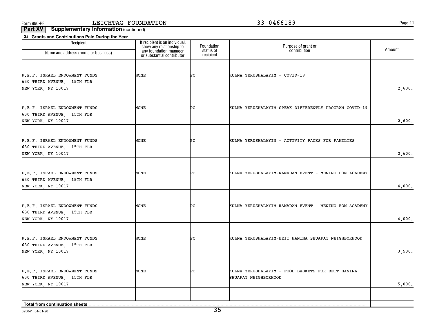**11**

| 3a Grants and Contributions Paid During the Year |                                                            |                         |                                                       |        |
|--------------------------------------------------|------------------------------------------------------------|-------------------------|-------------------------------------------------------|--------|
| Recipient                                        | If recipient is an individual,<br>show any relationship to | Foundation<br>status of | Purpose of grant or<br>contribution                   | Amount |
| Name and address (home or business)              | any foundation manager<br>or substantial contributor       | recipient               |                                                       |        |
|                                                  |                                                            |                         |                                                       |        |
| P.E.F. ISRAEL ENDOWMENT FUNDS                    | NONE                                                       | ÞС                      | KULNA YERUSHALAYIM - COVID-19                         |        |
| 630 THIRD AVENUE, 15TH FLR                       |                                                            |                         |                                                       |        |
| NEW YORK, NY 10017                               |                                                            |                         |                                                       | 2,600. |
|                                                  |                                                            |                         |                                                       |        |
|                                                  |                                                            |                         |                                                       |        |
| P.E.F. ISRAEL ENDOWMENT FUNDS                    | NONE                                                       | ÞС                      | KULNA YERUSHALAYIM-SPEAK DIFFERENTLY PROGRAM COVID-19 |        |
| 630 THIRD AVENUE, 15TH FLR                       |                                                            |                         |                                                       |        |
| NEW YORK, NY 10017                               |                                                            |                         |                                                       | 2,600. |
|                                                  |                                                            |                         |                                                       |        |
| P.E.F. ISRAEL ENDOWMENT FUNDS                    | NONE                                                       | ÞС                      | KULNA YERUSHALAYIM - ACTIVITY PACKS FOR FAMILIES      |        |
| 630 THIRD AVENUE, 15TH FLR                       |                                                            |                         |                                                       |        |
| NEW YORK, NY 10017                               |                                                            |                         |                                                       | 2,600. |
|                                                  |                                                            |                         |                                                       |        |
| P.E.F. ISRAEL ENDOWMENT FUNDS                    | NONE                                                       | ÞС                      | KULNA YERUSHALAYIM-RAMADAN EVENT - MENINO BOM ACADEMY |        |
| 630 THIRD AVENUE, 15TH FLR                       |                                                            |                         |                                                       |        |
| NEW YORK, NY 10017                               |                                                            |                         |                                                       | 4,000. |
|                                                  |                                                            |                         |                                                       |        |
|                                                  |                                                            |                         |                                                       |        |
| P.E.F. ISRAEL ENDOWMENT FUNDS                    | NONE                                                       | ÞС                      | KULNA YERUSHALAYIM-RAMADAN EVENT - MENINO BOM ACADEMY |        |
| 630 THIRD AVENUE, 15TH FLR<br>NEW YORK, NY 10017 |                                                            |                         |                                                       | 4,000. |
|                                                  |                                                            |                         |                                                       |        |
|                                                  |                                                            |                         |                                                       |        |
| P.E.F. ISRAEL ENDOWMENT FUNDS                    | NONE                                                       | ÞС                      | KULNA YERUSHALAYIM-BEIT HANINA SHUAFAT NEIGHBORHOOD   |        |
| 630 THIRD AVENUE, 15TH FLR                       |                                                            |                         |                                                       |        |
| NEW YORK, NY 10017                               |                                                            |                         |                                                       | 3,500. |
|                                                  |                                                            |                         |                                                       |        |
| P.E.F. ISRAEL ENDOWMENT FUNDS                    | NONE                                                       | PС                      | KULNA YERUSHALAYIM - FOOD BASKETS FOR BEIT HANINA     |        |
| 630 THIRD AVENUE, 15TH FLR                       |                                                            |                         | SHUAFAT NEIGHBORHOOD                                  |        |
| NEW YORK, NY 10017                               |                                                            |                         |                                                       | 5,000. |
|                                                  |                                                            |                         |                                                       |        |
|                                                  |                                                            |                         |                                                       |        |
|                                                  |                                                            |                         |                                                       |        |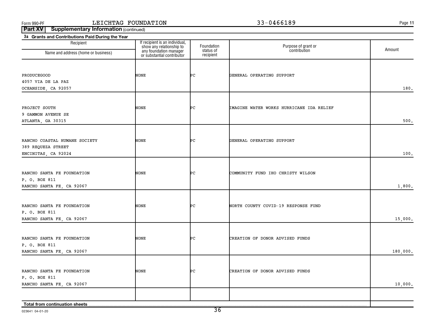**11**

| If recipient is an individual,<br>show any relationship to<br>any foundation manager<br>or substantial contributor<br>Recipient<br>Foundation<br>Purpose of grant or<br>contribution<br>Amount<br>status of<br>Name and address (home or business)<br>recipient<br>NONE<br>ÞС<br>PRODUCEGOOD<br>GENERAL OPERATING SUPPORT<br>4057 VIA DE LA PAZ<br>OCEANSIDE, CA 92057<br>180.<br>PROJECT SOUTH<br>NONE<br>ÞС<br>IMAGINE WATER WORKS HURRICANE IDA RELIEF<br>9 GAMMON AVENUE SE<br>ATLANTA, GA 30315<br>NONE<br>RANCHO COASTAL HUMANE SOCIETY<br>ÞС<br>GENERAL OPERATING SUPPORT<br>389 REQUEZA STREET<br>ENCINITAS, CA 92024<br>NONE<br>RANCHO SANTA FE FOUNDATION<br>ÞС<br>COMMUNITY FUND IHO CHRISTY WILSON<br>P. O. BOX 811<br>RANCHO SANTA FE, CA 92067<br>1,800.<br>ÞС<br>RANCHO SANTA FE FOUNDATION<br>NONE<br>NORTH COUNTY COVID-19 RESPONSE FUND<br>P. O. BOX 811<br>RANCHO SANTA FE, CA 92067<br>15,000.<br>NONE<br>ÞС<br>RANCHO SANTA FE FOUNDATION<br>CREATION OF DONOR ADVISED FUNDS<br>P. O. BOX 811<br>180,000.<br>RANCHO SANTA FE, CA 92067<br>NONE<br>CREATION OF DONOR ADVISED FUNDS<br>RANCHO SANTA FE FOUNDATION<br>PС<br>P. O. BOX 811<br>RANCHO SANTA FE, CA 92067 | 3a Grants and Contributions Paid During the Year |  |         |
|------------------------------------------------------------------------------------------------------------------------------------------------------------------------------------------------------------------------------------------------------------------------------------------------------------------------------------------------------------------------------------------------------------------------------------------------------------------------------------------------------------------------------------------------------------------------------------------------------------------------------------------------------------------------------------------------------------------------------------------------------------------------------------------------------------------------------------------------------------------------------------------------------------------------------------------------------------------------------------------------------------------------------------------------------------------------------------------------------------------------------------------------------------------------------------------|--------------------------------------------------|--|---------|
|                                                                                                                                                                                                                                                                                                                                                                                                                                                                                                                                                                                                                                                                                                                                                                                                                                                                                                                                                                                                                                                                                                                                                                                          |                                                  |  |         |
|                                                                                                                                                                                                                                                                                                                                                                                                                                                                                                                                                                                                                                                                                                                                                                                                                                                                                                                                                                                                                                                                                                                                                                                          |                                                  |  |         |
|                                                                                                                                                                                                                                                                                                                                                                                                                                                                                                                                                                                                                                                                                                                                                                                                                                                                                                                                                                                                                                                                                                                                                                                          |                                                  |  |         |
|                                                                                                                                                                                                                                                                                                                                                                                                                                                                                                                                                                                                                                                                                                                                                                                                                                                                                                                                                                                                                                                                                                                                                                                          |                                                  |  |         |
|                                                                                                                                                                                                                                                                                                                                                                                                                                                                                                                                                                                                                                                                                                                                                                                                                                                                                                                                                                                                                                                                                                                                                                                          |                                                  |  |         |
|                                                                                                                                                                                                                                                                                                                                                                                                                                                                                                                                                                                                                                                                                                                                                                                                                                                                                                                                                                                                                                                                                                                                                                                          |                                                  |  |         |
|                                                                                                                                                                                                                                                                                                                                                                                                                                                                                                                                                                                                                                                                                                                                                                                                                                                                                                                                                                                                                                                                                                                                                                                          |                                                  |  |         |
|                                                                                                                                                                                                                                                                                                                                                                                                                                                                                                                                                                                                                                                                                                                                                                                                                                                                                                                                                                                                                                                                                                                                                                                          |                                                  |  |         |
|                                                                                                                                                                                                                                                                                                                                                                                                                                                                                                                                                                                                                                                                                                                                                                                                                                                                                                                                                                                                                                                                                                                                                                                          |                                                  |  |         |
|                                                                                                                                                                                                                                                                                                                                                                                                                                                                                                                                                                                                                                                                                                                                                                                                                                                                                                                                                                                                                                                                                                                                                                                          |                                                  |  |         |
|                                                                                                                                                                                                                                                                                                                                                                                                                                                                                                                                                                                                                                                                                                                                                                                                                                                                                                                                                                                                                                                                                                                                                                                          |                                                  |  | 500.    |
|                                                                                                                                                                                                                                                                                                                                                                                                                                                                                                                                                                                                                                                                                                                                                                                                                                                                                                                                                                                                                                                                                                                                                                                          |                                                  |  |         |
|                                                                                                                                                                                                                                                                                                                                                                                                                                                                                                                                                                                                                                                                                                                                                                                                                                                                                                                                                                                                                                                                                                                                                                                          |                                                  |  |         |
|                                                                                                                                                                                                                                                                                                                                                                                                                                                                                                                                                                                                                                                                                                                                                                                                                                                                                                                                                                                                                                                                                                                                                                                          |                                                  |  |         |
|                                                                                                                                                                                                                                                                                                                                                                                                                                                                                                                                                                                                                                                                                                                                                                                                                                                                                                                                                                                                                                                                                                                                                                                          |                                                  |  | 100.    |
|                                                                                                                                                                                                                                                                                                                                                                                                                                                                                                                                                                                                                                                                                                                                                                                                                                                                                                                                                                                                                                                                                                                                                                                          |                                                  |  |         |
|                                                                                                                                                                                                                                                                                                                                                                                                                                                                                                                                                                                                                                                                                                                                                                                                                                                                                                                                                                                                                                                                                                                                                                                          |                                                  |  |         |
|                                                                                                                                                                                                                                                                                                                                                                                                                                                                                                                                                                                                                                                                                                                                                                                                                                                                                                                                                                                                                                                                                                                                                                                          |                                                  |  |         |
|                                                                                                                                                                                                                                                                                                                                                                                                                                                                                                                                                                                                                                                                                                                                                                                                                                                                                                                                                                                                                                                                                                                                                                                          |                                                  |  |         |
|                                                                                                                                                                                                                                                                                                                                                                                                                                                                                                                                                                                                                                                                                                                                                                                                                                                                                                                                                                                                                                                                                                                                                                                          |                                                  |  |         |
|                                                                                                                                                                                                                                                                                                                                                                                                                                                                                                                                                                                                                                                                                                                                                                                                                                                                                                                                                                                                                                                                                                                                                                                          |                                                  |  |         |
|                                                                                                                                                                                                                                                                                                                                                                                                                                                                                                                                                                                                                                                                                                                                                                                                                                                                                                                                                                                                                                                                                                                                                                                          |                                                  |  |         |
|                                                                                                                                                                                                                                                                                                                                                                                                                                                                                                                                                                                                                                                                                                                                                                                                                                                                                                                                                                                                                                                                                                                                                                                          |                                                  |  |         |
|                                                                                                                                                                                                                                                                                                                                                                                                                                                                                                                                                                                                                                                                                                                                                                                                                                                                                                                                                                                                                                                                                                                                                                                          |                                                  |  |         |
|                                                                                                                                                                                                                                                                                                                                                                                                                                                                                                                                                                                                                                                                                                                                                                                                                                                                                                                                                                                                                                                                                                                                                                                          |                                                  |  |         |
|                                                                                                                                                                                                                                                                                                                                                                                                                                                                                                                                                                                                                                                                                                                                                                                                                                                                                                                                                                                                                                                                                                                                                                                          |                                                  |  |         |
|                                                                                                                                                                                                                                                                                                                                                                                                                                                                                                                                                                                                                                                                                                                                                                                                                                                                                                                                                                                                                                                                                                                                                                                          |                                                  |  |         |
|                                                                                                                                                                                                                                                                                                                                                                                                                                                                                                                                                                                                                                                                                                                                                                                                                                                                                                                                                                                                                                                                                                                                                                                          |                                                  |  |         |
|                                                                                                                                                                                                                                                                                                                                                                                                                                                                                                                                                                                                                                                                                                                                                                                                                                                                                                                                                                                                                                                                                                                                                                                          |                                                  |  |         |
|                                                                                                                                                                                                                                                                                                                                                                                                                                                                                                                                                                                                                                                                                                                                                                                                                                                                                                                                                                                                                                                                                                                                                                                          |                                                  |  |         |
|                                                                                                                                                                                                                                                                                                                                                                                                                                                                                                                                                                                                                                                                                                                                                                                                                                                                                                                                                                                                                                                                                                                                                                                          |                                                  |  |         |
|                                                                                                                                                                                                                                                                                                                                                                                                                                                                                                                                                                                                                                                                                                                                                                                                                                                                                                                                                                                                                                                                                                                                                                                          |                                                  |  | 10,000. |
|                                                                                                                                                                                                                                                                                                                                                                                                                                                                                                                                                                                                                                                                                                                                                                                                                                                                                                                                                                                                                                                                                                                                                                                          |                                                  |  |         |
| Total from continuation sheets                                                                                                                                                                                                                                                                                                                                                                                                                                                                                                                                                                                                                                                                                                                                                                                                                                                                                                                                                                                                                                                                                                                                                           |                                                  |  |         |

023641 04-01-20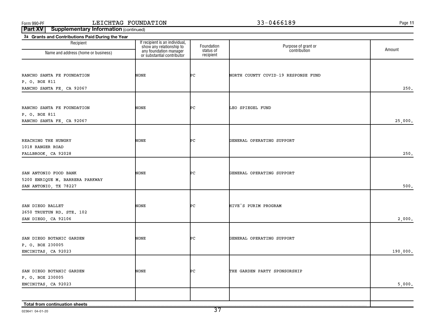**11**

| Recipient                                                                         |                                                                                                                    | Foundation             | Purpose of grant or<br>contribution |          |
|-----------------------------------------------------------------------------------|--------------------------------------------------------------------------------------------------------------------|------------------------|-------------------------------------|----------|
| Name and address (home or business)                                               | If recipient is an individual,<br>show any relationship to<br>any foundation manager<br>or substantial contributor | status of<br>recipient |                                     | Amount   |
| RANCHO SANTA FE FOUNDATION<br>P. O. BOX 811                                       | NONE                                                                                                               | ÞС                     | NORTH COUNTY COVID-19 RESPONSE FUND |          |
| RANCHO SANTA FE, CA 92067                                                         |                                                                                                                    |                        |                                     | 250.     |
| RANCHO SANTA FE FOUNDATION<br>P. O. BOX 811                                       | NONE                                                                                                               | ÞС                     | LEO SPIEGEL FUND                    |          |
| RANCHO SANTA FE, CA 92067                                                         |                                                                                                                    |                        |                                     | 25,000.  |
| REACHING THE HUNGRY<br>1018 RANGER ROAD<br>FALLBROOK, CA 92028                    | NONE                                                                                                               | ÞС                     | GENERAL OPERATING SUPPORT           | 250.     |
|                                                                                   |                                                                                                                    |                        |                                     |          |
| SAN ANTONIO FOOD BANK<br>5200 ENRIQUE M. BARRERA PARKWAY<br>SAN ANTONIO, TX 78227 | NONE                                                                                                               | ÞС                     | GENERAL OPERATING SUPPORT           | 500.     |
|                                                                                   |                                                                                                                    |                        |                                     |          |
| SAN DIEGO BALLET<br>2650 TRUXTUN RD. STE. 102<br>SAN DIEGO, CA 92106              | NONE                                                                                                               | ÞС                     | HIVE'S PURIM PROGRAM                | 2,000.   |
|                                                                                   |                                                                                                                    |                        |                                     |          |
| SAN DIEGO BOTANIC GARDEN<br>P. O. BOX 230005<br>ENCINITAS, CA 92023               | NONE                                                                                                               | ÞС                     | GENERAL OPERATING SUPPORT           | 190,000. |
|                                                                                   |                                                                                                                    |                        |                                     |          |
| SAN DIEGO BOTANIC GARDEN<br>P. O. BOX 230005                                      | NONE                                                                                                               | ÞС                     | THE GARDEN PARTY SPONSORSHIP        |          |
| ENCINITAS, CA 92023                                                               |                                                                                                                    |                        |                                     | 5,000.   |
| Total from continuation sheets.                                                   |                                                                                                                    |                        |                                     |          |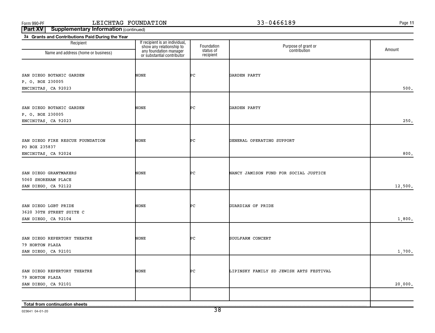**11**

**Part XV** | Supplementary Information (continued)

| 3a Grants and Contributions Paid During the Year |                                                                                                                    |                         |                                         |         |
|--------------------------------------------------|--------------------------------------------------------------------------------------------------------------------|-------------------------|-----------------------------------------|---------|
| Recipient                                        | If recipient is an individual,<br>show any relationship to<br>any foundation manager<br>or substantial contributor | Foundation<br>status of | Purpose of grant or<br>contribution     | Amount  |
| Name and address (home or business)              |                                                                                                                    | recipient               |                                         |         |
|                                                  |                                                                                                                    |                         |                                         |         |
| SAN DIEGO BOTANIC GARDEN                         | NONE                                                                                                               | ÞС                      | GARDEN PARTY                            |         |
| P. O. BOX 230005                                 |                                                                                                                    |                         |                                         |         |
| ENCINITAS, CA 92023                              |                                                                                                                    |                         |                                         | 500.    |
|                                                  |                                                                                                                    |                         |                                         |         |
|                                                  |                                                                                                                    |                         |                                         |         |
| SAN DIEGO BOTANIC GARDEN                         | NONE                                                                                                               | ÞС                      | GARDEN PARTY                            |         |
| P. O. BOX 230005                                 |                                                                                                                    |                         |                                         |         |
| ENCINITAS, CA 92023                              |                                                                                                                    |                         |                                         | 250.    |
|                                                  |                                                                                                                    |                         |                                         |         |
| SAN DIEGO FIRE RESCUE FOUNDATION                 | NONE                                                                                                               | ÞС                      | GENERAL OPERATING SUPPORT               |         |
| PO BOX 235837                                    |                                                                                                                    |                         |                                         |         |
| ENCINITAS, CA 92024                              |                                                                                                                    |                         |                                         | 800.    |
|                                                  |                                                                                                                    |                         |                                         |         |
|                                                  |                                                                                                                    |                         |                                         |         |
| SAN DIEGO GRANTMAKERS                            | NONE                                                                                                               | ÞС                      | NANCY JAMISON FUND FOR SOCIAL JUSTICE   |         |
| 5060 SHOREHAM PLACE                              |                                                                                                                    |                         |                                         |         |
| SAN DIEGO, CA 92122                              |                                                                                                                    |                         |                                         | 12,500. |
|                                                  |                                                                                                                    |                         |                                         |         |
| SAN DIEGO LGBT PRIDE                             | NONE                                                                                                               | ÞС                      | GUARDIAN OF PRIDE                       |         |
| 3620 30TH STREET SUITE C                         |                                                                                                                    |                         |                                         |         |
| SAN DIEGO, CA 92104                              |                                                                                                                    |                         |                                         | 1,800.  |
|                                                  |                                                                                                                    |                         |                                         |         |
| SAN DIEGO REPERTORY THEATRE                      | NONE                                                                                                               | ÞС                      | SOULFARM CONCERT                        |         |
| 79 HORTON PLAZA                                  |                                                                                                                    |                         |                                         |         |
| SAN DIEGO, CA 92101                              |                                                                                                                    |                         |                                         | 1,700.  |
|                                                  |                                                                                                                    |                         |                                         |         |
|                                                  |                                                                                                                    |                         |                                         |         |
| SAN DIEGO REPERTORY THEATRE                      | NONE                                                                                                               | ÞС                      | LIPINSKY FAMILY SD JEWISH ARTS FESTIVAL |         |
| 79 HORTON PLAZA                                  |                                                                                                                    |                         |                                         |         |
| SAN DIEGO, CA 92101                              |                                                                                                                    |                         |                                         | 20,000. |
|                                                  |                                                                                                                    |                         |                                         |         |
| Total from continuation sheets                   |                                                                                                                    |                         |                                         |         |

023641 04-01-20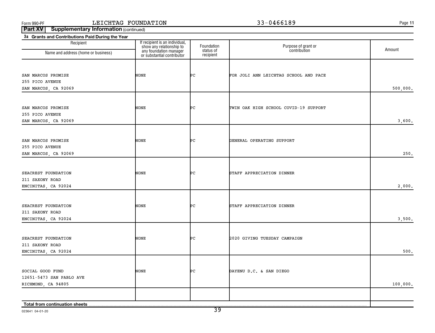**11**

| 3a Grants and Contributions Paid During the Year |                                                                                                                    |                         |                                       |          |
|--------------------------------------------------|--------------------------------------------------------------------------------------------------------------------|-------------------------|---------------------------------------|----------|
| Recipient                                        | If recipient is an individual,<br>show any relationship to<br>any foundation manager<br>or substantial contributor | Foundation<br>status of | Purpose of grant or<br>contribution   | Amount   |
| Name and address (home or business)              |                                                                                                                    | recipient               |                                       |          |
|                                                  |                                                                                                                    |                         |                                       |          |
|                                                  |                                                                                                                    |                         |                                       |          |
| SAN MARCOS PROMISE                               | NONE                                                                                                               | ÞС                      | FOR JOLI ANN LEICHTAG SCHOOL AND PACE |          |
| 255 PICO AVENUE                                  |                                                                                                                    |                         |                                       |          |
| SAN MARCOS, CA 92069                             |                                                                                                                    |                         |                                       | 500,000. |
|                                                  |                                                                                                                    |                         |                                       |          |
| SAN MARCOS PROMISE                               | NONE                                                                                                               | ÞС                      | TWIN OAK HIGH SCHOOL COVID-19 SUPPORT |          |
| 255 PICO AVENUE                                  |                                                                                                                    |                         |                                       |          |
| SAN MARCOS, CA 92069                             |                                                                                                                    |                         |                                       | 3,600.   |
|                                                  |                                                                                                                    |                         |                                       |          |
| SAN MARCOS PROMISE                               | NONE                                                                                                               | ÞС                      | GENERAL OPERATING SUPPORT             |          |
| 255 PICO AVENUE                                  |                                                                                                                    |                         |                                       |          |
| SAN MARCOS, CA 92069                             |                                                                                                                    |                         |                                       | 250.     |
|                                                  |                                                                                                                    |                         |                                       |          |
|                                                  |                                                                                                                    |                         |                                       |          |
| SEACREST FOUNDATION                              | <b>NONE</b>                                                                                                        | ÞС                      | STAFF APPRECIATION DINNER             |          |
| 211 SAXONY ROAD                                  |                                                                                                                    |                         |                                       |          |
| ENCINITAS, CA 92024                              |                                                                                                                    |                         |                                       | 2,000.   |
|                                                  |                                                                                                                    |                         |                                       |          |
| SEACREST FOUNDATION                              | NONE                                                                                                               | ÞС                      | STAFF APPRECIATION DINNER             |          |
| 211 SAXONY ROAD                                  |                                                                                                                    |                         |                                       |          |
| ENCINITAS, CA 92024                              |                                                                                                                    |                         |                                       | 3,500.   |
|                                                  |                                                                                                                    |                         |                                       |          |
| SEACREST FOUNDATION                              | <b>NONE</b>                                                                                                        | ÞС                      | 2020 GIVING TUESDAY CAMPAIGN          |          |
| 211 SAXONY ROAD                                  |                                                                                                                    |                         |                                       |          |
| ENCINITAS, CA 92024                              |                                                                                                                    |                         |                                       | 500.     |
|                                                  |                                                                                                                    |                         |                                       |          |
|                                                  |                                                                                                                    |                         |                                       |          |
| SOCIAL GOOD FUND                                 | NONE                                                                                                               | ÞС                      | DAYENU D.C. & SAN DIEGO               |          |
| 12651-5473 SAN PABLO AVE                         |                                                                                                                    |                         |                                       |          |
| RICHMOND, CA 94805                               |                                                                                                                    |                         |                                       | 100,000. |
|                                                  |                                                                                                                    |                         |                                       |          |
| Total from continuation sheets                   |                                                                                                                    |                         |                                       |          |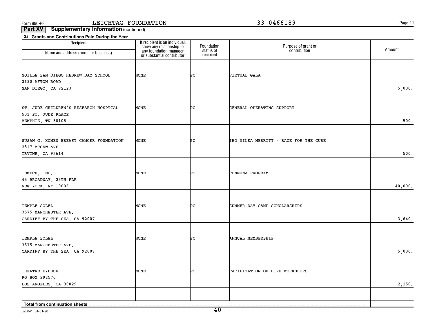**11**

**Part XV** | Supplementary Information (continued)

| 3a Grants and Contributions Paid During the Year |                                                            |                         |                                       |         |
|--------------------------------------------------|------------------------------------------------------------|-------------------------|---------------------------------------|---------|
| Recipient                                        | If recipient is an individual,<br>show any relationship to | Foundation<br>status of | Purpose of grant or<br>contribution   | Amount  |
| Name and address (home or business)              | any foundation manager<br>or substantial contributor       | recipient               |                                       |         |
|                                                  |                                                            |                         |                                       |         |
| SOILLE SAN DIEGO HEBREW DAY SCHOOL               | <b>NONE</b>                                                | ÞС                      | VIRTUAL GALA                          |         |
| 3630 AFTON ROAD                                  |                                                            |                         |                                       |         |
| SAN DIEGO, CA 92123                              |                                                            |                         |                                       | 5,000.  |
|                                                  |                                                            |                         |                                       |         |
|                                                  |                                                            |                         |                                       |         |
| ST. JUDE CHILDREN'S RESEARCH HOSPTIAL            | NONE                                                       | ÞС                      | GENERAL OPERATING SUPPORT             |         |
| 501 ST. JUDE PLACE                               |                                                            |                         |                                       |         |
| MEMPHIS, TN 38105                                |                                                            |                         |                                       | 500.    |
|                                                  |                                                            |                         |                                       |         |
| SUSAN G. KOMEN BREAST CANCER FOUNDATION          | NONE                                                       | ÞС                      | IHO MILEA MERRITT - RACE FOR THE CURE |         |
| 2817 MCGAW AVE                                   |                                                            |                         |                                       |         |
| IRVINE, CA 92614                                 |                                                            |                         |                                       | 500.    |
|                                                  |                                                            |                         |                                       |         |
|                                                  | NONE                                                       | ÞС                      | COMMUNA PROGRAM                       |         |
| TEMECH, INC.<br>45 BROADWAY, 25TH FLR            |                                                            |                         |                                       |         |
| NEW YORK, NY 10006                               |                                                            |                         |                                       | 40,000. |
|                                                  |                                                            |                         |                                       |         |
|                                                  |                                                            |                         |                                       |         |
| TEMPLE SOLEL                                     | NONE                                                       | ÞС                      | SUMMER DAY CAMP SCHOLARSHIPS          |         |
| 3575 MANCHESTER AVE.                             |                                                            |                         |                                       |         |
| CARDIFF BY THE SEA, CA 92007                     |                                                            |                         |                                       | 3,640.  |
|                                                  |                                                            |                         |                                       |         |
| TEMPLE SOLEL                                     | <b>NONE</b>                                                | ÞС                      | ANNUAL MEMBERSHIP                     |         |
| 3575 MANCHESTER AVE.                             |                                                            |                         |                                       |         |
| CARDIFF BY THE SEA, CA 92007                     |                                                            |                         |                                       | 5,000.  |
|                                                  |                                                            |                         |                                       |         |
| THEATRE DYBBUK                                   | NONE                                                       | PС                      | FACILITATION OF HIVE WORKSHOPS        |         |
| PO BOX 292576                                    |                                                            |                         |                                       |         |
| LOS ANGELES, CA 90029                            |                                                            |                         |                                       | 2,250.  |
|                                                  |                                                            |                         |                                       |         |
|                                                  |                                                            |                         |                                       |         |
| Total from continuation sheets                   |                                                            |                         |                                       |         |

023641 04-01-20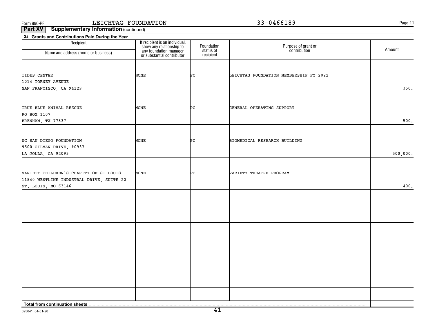**11**

| 3a Grants and Contributions Paid During the Year<br>Recipient |                                                                                                                    |                                      |                                        |          |
|---------------------------------------------------------------|--------------------------------------------------------------------------------------------------------------------|--------------------------------------|----------------------------------------|----------|
| Name and address (home or business)                           | If recipient is an individual,<br>show any relationship to<br>any foundation manager<br>or substantial contributor | Foundation<br>status of<br>recipient | Purpose of grant or<br>contribution    | Amount   |
|                                                               |                                                                                                                    |                                      |                                        |          |
|                                                               |                                                                                                                    |                                      |                                        |          |
| TIDES CENTER                                                  | NONE                                                                                                               | Þс                                   | LEICHTAG FOUNDATION MEMBERSHIP FY 2022 |          |
| 1014 TORNEY AVENUE                                            |                                                                                                                    |                                      |                                        |          |
| SAN FRANCISCO, CA 94129                                       |                                                                                                                    |                                      |                                        | 350.     |
| TRUE BLUE ANIMAL RESCUE                                       |                                                                                                                    | ÞС                                   |                                        |          |
| PO BOX 1107                                                   | <b>NONE</b>                                                                                                        |                                      | GENERAL OPERATING SUPPORT              |          |
| BRENHAM, TX 77837                                             |                                                                                                                    |                                      |                                        | $500.$   |
|                                                               |                                                                                                                    |                                      |                                        |          |
| UC SAN DIEGO FOUNDATION                                       | NONE                                                                                                               | ÞС                                   | BIOMEDICAL RESEARCH BUILDING           |          |
| 9500 GILMAN DRIVE, #0937                                      |                                                                                                                    |                                      |                                        |          |
| LA JOLLA, CA 92093                                            |                                                                                                                    |                                      |                                        | 500,000. |
|                                                               |                                                                                                                    |                                      |                                        |          |
| VARIETY CHILDREN'S CHARITY OF ST LOUIS                        | <b>NONE</b>                                                                                                        | ÞС                                   | VARIETY THEATRE PROGRAM                |          |
| 11840 WESTLINE INDUSTRAL DRIVE, SUITE 22                      |                                                                                                                    |                                      |                                        |          |
| ST. LOUIS, MO 63146                                           |                                                                                                                    |                                      |                                        | 400.     |
|                                                               |                                                                                                                    |                                      |                                        |          |
|                                                               |                                                                                                                    |                                      |                                        |          |
|                                                               |                                                                                                                    |                                      |                                        |          |
|                                                               |                                                                                                                    |                                      |                                        |          |
|                                                               |                                                                                                                    |                                      |                                        |          |
|                                                               |                                                                                                                    |                                      |                                        |          |
|                                                               |                                                                                                                    |                                      |                                        |          |
|                                                               |                                                                                                                    |                                      |                                        |          |
|                                                               |                                                                                                                    |                                      |                                        |          |
|                                                               |                                                                                                                    |                                      |                                        |          |
|                                                               |                                                                                                                    |                                      |                                        |          |
|                                                               |                                                                                                                    |                                      |                                        |          |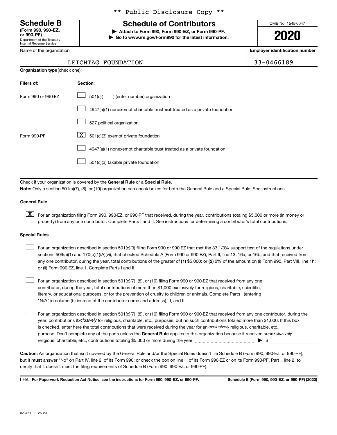Department of the Treasury Internal Revenue Service **(Form 990, 990-EZ,**

Name of the organization

### \*\* Public Disclosure Copy \*\*

# **Schedule B Schedule of Contributors**

**or 990-PF) | Attach to Form 990, Form 990-EZ, or Form 990-PF. | Go to www.irs.gov/Form990 for the latest information.** OMB No. 1545-0047

**2020**

**Employer identification number**

| 3-0466189 |  |
|-----------|--|
|-----------|--|

#### LEICHTAG FOUNDATION 3

|                    | <b>Organization type (check one):</b>                                     |  |  |  |
|--------------------|---------------------------------------------------------------------------|--|--|--|
| Filers of:         | Section:                                                                  |  |  |  |
| Form 990 or 990-EZ | 501(c)(<br>) (enter number) organization                                  |  |  |  |
|                    | 4947(a)(1) nonexempt charitable trust not treated as a private foundation |  |  |  |
|                    | 527 political organization                                                |  |  |  |
| Form 990-PF        | $\mathbf{X}$<br>501(c)(3) exempt private foundation                       |  |  |  |
|                    | 4947(a)(1) nonexempt charitable trust treated as a private foundation     |  |  |  |
|                    | 501(c)(3) taxable private foundation                                      |  |  |  |

Check if your organization is covered by the General Rule or a Special Rule. **Note:**  Only a section 501(c)(7), (8), or (10) organization can check boxes for both the General Rule and a Special Rule. See instructions.

#### **General Rule**

**K** For an organization filing Form 990, 990-EZ, or 990-PF that received, during the year, contributions totaling \$5,000 or more (in money or property) from any one contributor. Complete Parts I and II. See instructions for determining a contributor's total contributions.

#### **Special Rules**

 $\mathcal{L}^{\text{eff}}$ 

any one contributor, during the year, total contributions of the greater of (1) \$5,000; or (2) 2% of the amount on (i) Form 990, Part VIII, line 1h; For an organization described in section 501(c)(3) filing Form 990 or 990-EZ that met the 33 1/3% support test of the regulations under sections 509(a)(1) and 170(b)(1)(A)(vi), that checked Schedule A (Form 990 or 990-EZ), Part II, line 13, 16a, or 16b, and that received from or (ii) Form 990-EZ, line 1. Complete Parts I and II.  $\mathcal{L}^{\text{eff}}$ 

For an organization described in section 501(c)(7), (8), or (10) filing Form 990 or 990-EZ that received from any one contributor, during the year, total contributions of more than \$1,000 exclusively for religious, charitable, scientific, literary, or educational purposes, or for the prevention of cruelty to children or animals. Complete Parts I (entering "N/A" in column (b) instead of the contributor name and address), II, and III.  $\mathcal{L}^{\text{eff}}$ 

purpose. Don't complete any of the parts unless the General Rule applies to this organization because it received nonexclusively year, contributions exclusively for religious, charitable, etc., purposes, but no such contributions totaled more than \$1,000. If this box is checked, enter here the total contributions that were received during the year for an exclusively religious, charitable, etc., For an organization described in section 501(c)(7), (8), or (10) filing Form 990 or 990-EZ that received from any one contributor, during the religious, charitable, etc., contributions totaling \$5,000 or more during the year  $\ldots$  $\ldots$  $\ldots$  $\ldots$  $\ldots$  $\ldots$ 

**Caution:**  An organization that isn't covered by the General Rule and/or the Special Rules doesn't file Schedule B (Form 990, 990-EZ, or 990-PF),  **must** but it answer "No" on Part IV, line 2, of its Form 990; or check the box on line H of its Form 990-EZ or on its Form 990-PF, Part I, line 2, to certify that it doesn't meet the filing requirements of Schedule B (Form 990, 990-EZ, or 990-PF).

**For Paperwork Reduction Act Notice, see the instructions for Form 990, 990-EZ, or 990-PF. Schedule B (Form 990, 990-EZ, or 990-PF) (2020)** LHA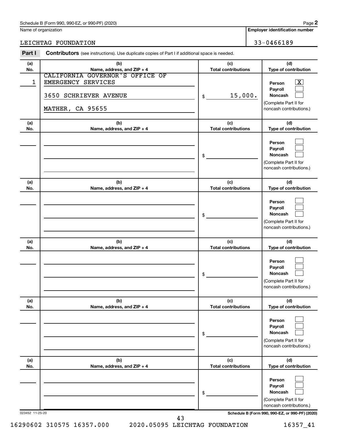Name of organization

**Employer identification number**

LEICHTAG FOUNDATION 33-0466189

| Part I          | <b>Contributors</b> (see instructions). Use duplicate copies of Part I if additional space is needed. |                                   |                                                                                                  |
|-----------------|-------------------------------------------------------------------------------------------------------|-----------------------------------|--------------------------------------------------------------------------------------------------|
| (a)<br>No.      | (b)<br>Name, address, and ZIP + 4                                                                     | (c)<br><b>Total contributions</b> | (d)<br>Type of contribution                                                                      |
| 1               | CALIFORNIA GOVERNOR'S OFFICE OF<br>EMERGENCY SERVICES<br>3650 SCHRIEVER AVENUE<br>MATHER, CA 95655    | 15,000.<br>\$                     | $\mathbf{X}$<br>Person<br>Payroll<br>Noncash<br>(Complete Part II for<br>noncash contributions.) |
| (a)<br>No.      | (b)<br>Name, address, and ZIP + 4                                                                     | (c)<br><b>Total contributions</b> | (d)<br>Type of contribution                                                                      |
|                 |                                                                                                       | \$                                | Person<br>Payroll<br>Noncash<br>(Complete Part II for<br>noncash contributions.)                 |
| (a)<br>No.      | (b)<br>Name, address, and ZIP + 4                                                                     | (c)<br><b>Total contributions</b> | (d)<br>Type of contribution                                                                      |
|                 |                                                                                                       | \$                                | Person<br>Payroll<br>Noncash<br>(Complete Part II for<br>noncash contributions.)                 |
| (a)<br>No.      | (b)<br>Name, address, and ZIP + 4                                                                     | (c)<br><b>Total contributions</b> | (d)<br>Type of contribution                                                                      |
|                 |                                                                                                       | \$                                | Person<br>Payroll<br><b>Noncash</b><br>(Complete Part II for<br>noncash contributions.)          |
| (a)<br>No.      | (b)<br>Name, address, and ZIP + 4                                                                     | (c)<br><b>Total contributions</b> | (d)<br>Type of contribution                                                                      |
|                 |                                                                                                       | \$                                | Person<br>Payroll<br><b>Noncash</b><br>(Complete Part II for<br>noncash contributions.)          |
| (a)<br>No.      | (b)<br>Name, address, and ZIP + 4                                                                     | (c)<br><b>Total contributions</b> | (d)<br>Type of contribution                                                                      |
|                 |                                                                                                       | \$                                | Person<br>Payroll<br><b>Noncash</b><br>(Complete Part II for<br>noncash contributions.)          |
| 023452 11-25-20 | 43                                                                                                    |                                   | Schedule B (Form 990, 990-EZ, or 990-PF) (2020)                                                  |

16290602 310575 16357.000 2020.05095 LEICHTAG FOUNDATION 16357\_41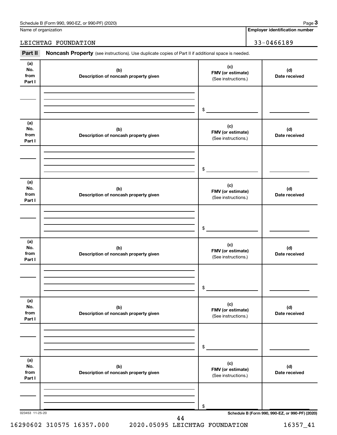Name of organization

### LEICHTAG FOUNDATION 33-0466189

Part II Noncash Property (see instructions). Use duplicate copies of Part II if additional space is needed.

| (a)<br>No.<br>from<br>Part I | (b)<br>Description of noncash property given | (c)<br>FMV (or estimate)<br>(See instructions.) | (d)<br>Date received                            |
|------------------------------|----------------------------------------------|-------------------------------------------------|-------------------------------------------------|
|                              |                                              | $\frac{1}{2}$                                   |                                                 |
| (a)<br>No.<br>from<br>Part I | (b)<br>Description of noncash property given | (c)<br>FMV (or estimate)<br>(See instructions.) | (d)<br>Date received                            |
|                              |                                              | $\frac{1}{2}$                                   |                                                 |
| (a)<br>No.<br>from<br>Part I | (b)<br>Description of noncash property given | (c)<br>FMV (or estimate)<br>(See instructions.) | (d)<br>Date received                            |
|                              |                                              | $\frac{1}{2}$                                   |                                                 |
| (a)<br>No.<br>from<br>Part I | (b)<br>Description of noncash property given | (c)<br>FMV (or estimate)<br>(See instructions.) | (d)<br>Date received                            |
|                              |                                              | $\mathfrak s$                                   |                                                 |
| (a)<br>No.<br>from<br>Part I | (b)<br>Description of noncash property given | (c)<br>FMV (or estimate)<br>(See instructions.) | (d)<br>Date received                            |
|                              |                                              | \$                                              |                                                 |
| (a)<br>No.<br>from<br>Part I | (b)<br>Description of noncash property given | (c)<br>FMV (or estimate)<br>(See instructions.) | (d)<br>Date received                            |
|                              |                                              | \$                                              | Schedule B (Form 990, 990-EZ, or 990-PF) (2020) |

16290602 310575 16357.000 2020.05095 LEICHTAG FOUNDATION 16357\_41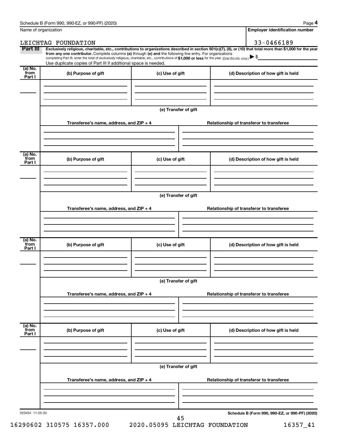**4**

|                                        | Name of organization                                                                                                                                                                                                                                                                                                                                                                                                                                                                                        |                      | <b>Employer identification number</b>           |
|----------------------------------------|-------------------------------------------------------------------------------------------------------------------------------------------------------------------------------------------------------------------------------------------------------------------------------------------------------------------------------------------------------------------------------------------------------------------------------------------------------------------------------------------------------------|----------------------|-------------------------------------------------|
|                                        | LEICHTAG FOUNDATION                                                                                                                                                                                                                                                                                                                                                                                                                                                                                         |                      | 33-0466189                                      |
| Part III                               | Exclusively religious, charitable, etc., contributions to organizations described in section 501(c)(7), (8), or (10) that total more than \$1,000 for the year<br>from any one contributor. Complete columns (a) through (e) and the following line entry. For organizations<br>completing Part III, enter the total of exclusively religious, charitable, etc., contributions of \$1,000 or less for the year. (Enter this info. once.)<br>Use duplicate copies of Part III if additional space is needed. |                      |                                                 |
| (a) No.<br>from                        | (b) Purpose of gift                                                                                                                                                                                                                                                                                                                                                                                                                                                                                         | (c) Use of gift      | (d) Description of how gift is held             |
| Part I                                 |                                                                                                                                                                                                                                                                                                                                                                                                                                                                                                             |                      |                                                 |
|                                        |                                                                                                                                                                                                                                                                                                                                                                                                                                                                                                             | (e) Transfer of gift |                                                 |
|                                        | Transferee's name, address, and ZIP + 4                                                                                                                                                                                                                                                                                                                                                                                                                                                                     |                      | Relationship of transferor to transferee        |
| $(a)$ No.                              |                                                                                                                                                                                                                                                                                                                                                                                                                                                                                                             |                      |                                                 |
| from<br>Part I                         | (b) Purpose of gift                                                                                                                                                                                                                                                                                                                                                                                                                                                                                         | (c) Use of gift      | (d) Description of how gift is held             |
|                                        |                                                                                                                                                                                                                                                                                                                                                                                                                                                                                                             | (e) Transfer of gift |                                                 |
|                                        | Transferee's name, address, and ZIP + 4                                                                                                                                                                                                                                                                                                                                                                                                                                                                     |                      | Relationship of transferor to transferee        |
|                                        |                                                                                                                                                                                                                                                                                                                                                                                                                                                                                                             |                      |                                                 |
| $\overline{a}$ ) No.<br>from<br>Part I | (b) Purpose of gift                                                                                                                                                                                                                                                                                                                                                                                                                                                                                         | (c) Use of gift      | (d) Description of how gift is held             |
|                                        |                                                                                                                                                                                                                                                                                                                                                                                                                                                                                                             | (e) Transfer of gift |                                                 |
|                                        | Transferee's name, address, and ZIP + 4                                                                                                                                                                                                                                                                                                                                                                                                                                                                     |                      | Relationship of transferor to transferee        |
|                                        |                                                                                                                                                                                                                                                                                                                                                                                                                                                                                                             |                      |                                                 |
| (a) No.<br>from<br>Part I              | (b) Purpose of gift                                                                                                                                                                                                                                                                                                                                                                                                                                                                                         | (c) Use of gift      | (d) Description of how gift is held             |
|                                        |                                                                                                                                                                                                                                                                                                                                                                                                                                                                                                             |                      |                                                 |
|                                        |                                                                                                                                                                                                                                                                                                                                                                                                                                                                                                             | (e) Transfer of gift |                                                 |
|                                        | Transferee's name, address, and ZIP + 4                                                                                                                                                                                                                                                                                                                                                                                                                                                                     |                      | Relationship of transferor to transferee        |
|                                        |                                                                                                                                                                                                                                                                                                                                                                                                                                                                                                             |                      |                                                 |
| 023454 11-25-20                        |                                                                                                                                                                                                                                                                                                                                                                                                                                                                                                             | 45                   | Schedule B (Form 990, 990-EZ, or 990-PF) (2020) |

16290602 310575 16357.000 2020.05095 LEICHTAG FOUNDATION 16357\_41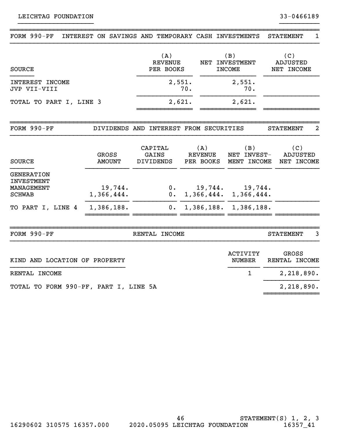| FORM $990-PF$                                                         | INTEREST ON SAVINGS AND TEMPORARY CASH INVESTMENTS |                                        |        |                                        |                                      | <b>STATEMENT</b><br>1                |
|-----------------------------------------------------------------------|----------------------------------------------------|----------------------------------------|--------|----------------------------------------|--------------------------------------|--------------------------------------|
| <b>SOURCE</b>                                                         |                                                    | (A)<br><b>REVENUE</b><br>PER BOOKS     |        | (B)<br>NET INVESTMENT<br><b>INCOME</b> | (C)<br><b>ADJUSTED</b><br>NET INCOME |                                      |
| INTEREST INCOME<br>JVP VII-VIII                                       |                                                    | 2,551.<br>70.                          |        | 2,551.<br>70.                          |                                      |                                      |
| TOTAL TO PART I, LINE 3                                               |                                                    |                                        | 2,621. |                                        | 2,621.                               |                                      |
| FORM 990-PF                                                           |                                                    | DIVIDENDS AND INTEREST FROM SECURITIES |        |                                        |                                      | 2<br><b>STATEMENT</b>                |
| <b>SOURCE</b>                                                         | GROSS<br><b>AMOUNT</b>                             | CAPITAL<br>GAINS<br><b>DIVIDENDS</b>   |        | (A)<br><b>REVENUE</b><br>PER BOOKS     | (B)<br>NET INVEST-<br>MENT INCOME    | (C)<br><b>ADJUSTED</b><br>NET INCOME |
| <b>GENERATION</b><br><b>INVESTMENT</b><br>MANAGEMENT<br><b>SCHWAB</b> | 19,744.<br>1,366,444.                              | $0$ .<br>0.                            |        | 1,366,444.                             | $19,744.$ $19,744.$<br>1,366,444.    |                                      |
| TO PART I, LINE 4                                                     | 1,386,188.                                         | $0$ .                                  |        | 1,386,188.                             | 1,386,188.                           |                                      |
| FORM 990-PF                                                           |                                                    | RENTAL INCOME                          |        |                                        |                                      | 3<br><b>STATEMENT</b>                |
| KIND AND LOCATION OF PROPERTY                                         |                                                    |                                        |        |                                        | <b>ACTIVITY</b><br>NUMBER            | GROSS<br>RENTAL INCOME               |
| RENTAL INCOME                                                         |                                                    |                                        |        |                                        | $\mathbf{1}$                         | 2,218,890.                           |
| TOTAL TO FORM 990-PF, PART I, LINE 5A                                 |                                                    |                                        |        |                                        |                                      | 2,218,890.                           |

~~~~~~~~~~~~~~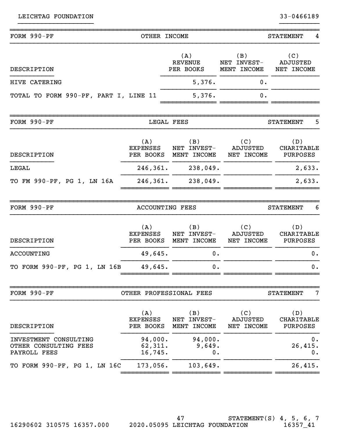| FORM 990-PF                                                    | OTHER INCOME                        |                                    |                                      | <b>STATEMENT</b><br>4                |
|----------------------------------------------------------------|-------------------------------------|------------------------------------|--------------------------------------|--------------------------------------|
| DESCRIPTION                                                    |                                     | (A)<br><b>REVENUE</b><br>PER BOOKS | (B)<br>NET INVEST-<br>MENT INCOME    | (C)<br><b>ADJUSTED</b><br>NET INCOME |
| HIVE CATERING                                                  |                                     | 5,376.                             | 0.                                   |                                      |
| TOTAL TO FORM 990-PF, PART I, LINE 11                          |                                     | 5,376.                             | 0.                                   |                                      |
| FORM $990-PF$                                                  |                                     | LEGAL FEES                         |                                      | 5<br><b>STATEMENT</b>                |
| DESCRIPTION                                                    | (A)<br><b>EXPENSES</b><br>PER BOOKS | (B)<br>NET INVEST-<br>MENT INCOME  | (C)<br><b>ADJUSTED</b><br>NET INCOME | (D)<br>CHARITABLE<br><b>PURPOSES</b> |
| LEGAL                                                          | 246,361.                            | 238,049.                           |                                      | 2,633.                               |
| TO FM 990-PF, PG 1, LN 16A                                     | 246,361.                            | 238,049.                           |                                      | 2,633.                               |
| FORM 990-PF                                                    | <b>ACCOUNTING FEES</b>              |                                    |                                      | <b>STATEMENT</b><br>6                |
| DESCRIPTION                                                    | (A)<br><b>EXPENSES</b><br>PER BOOKS | (B)<br>NET INVEST-<br>MENT INCOME  | (C)<br>ADJUSTED<br>NET INCOME        | (D)<br>CHARITABLE<br>PURPOSES        |
| <b>ACCOUNTING</b>                                              | 49,645.                             | 0.                                 |                                      | 0.                                   |
| TO FORM 990-PF, PG 1, LN 16B                                   | 49,645.                             | 0.                                 |                                      | 0.                                   |
| FORM 990-PF                                                    |                                     | OTHER PROFESSIONAL FEES            |                                      | 7<br><b>STATEMENT</b>                |
| DESCRIPTION                                                    | (A)<br><b>EXPENSES</b><br>PER BOOKS | (B)<br>NET INVEST-<br>MENT INCOME  | (C)<br><b>ADJUSTED</b><br>NET INCOME | (D)<br>CHARITABLE<br>PURPOSES        |
| INVESTMENT CONSULTING<br>OTHER CONSULTING FEES<br>PAYROLL FEES | 94,000.<br>62,311.<br>16,745.       | 94,000.<br>9,649.<br>0.            |                                      | 0.<br>26,415.<br>0.                  |
| TO FORM 990-PF, PG 1, LN 16C                                   | 173,056.                            | 103,649.                           |                                      | 26,415.                              |
|                                                                |                                     |                                    |                                      |                                      |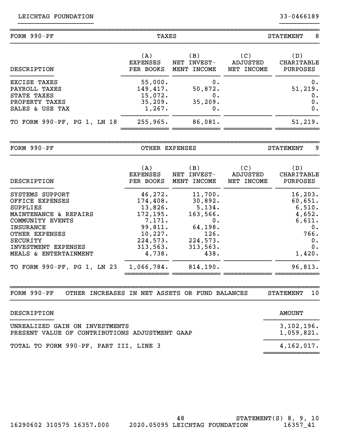| FORM 990-PF                 | TAXES           |             |            | 8<br><b>STATEMENT</b> |  |
|-----------------------------|-----------------|-------------|------------|-----------------------|--|
| DESCRIPTION                 | (A)             | (B)         | (C)        | (D)                   |  |
|                             | <b>EXPENSES</b> | NET INVEST- | ADJUSTED   | CHARITABLE            |  |
|                             | PER BOOKS       | MENT INCOME | NET INCOME | PURPOSES              |  |
| EXCISE TAXES                | 55,000.         | 0.          |            | $0$ .                 |  |
| PAYROLL TAXES               | 149,417.        | 50,872.     |            | 51, 219.              |  |
| STATE TAXES                 | 15,072.         | 0.          |            | 0.                    |  |
| PROPERTY TAXES              | 35,209.         | 35,209.     |            | 0.                    |  |
| SALES & USE TAX             | 1,267.          | 0.          |            | 0.                    |  |
| TO FORM 990-PF, PG 1, LN 18 | 255,965.        | 86,081.     |            | 51,219.               |  |

~~~~~~~~~~~~~~~~~~~~~~~~~~~~~~~~~~~~~~~~~~~~~~~~~~~~~~~~~~~~~~~~~~~~~~~~~~~~~~ FORM 990-PF OTHER EXPENSES STATEMENT 9 }}}}}}}}}}}}}}}}}}}}}}}}}}}}}}}}}}}}}}}}}}}}}}}}}}}}}}}}}}}}}}}}}}}}}}}}}}}}}} (A)  $(B)$  (C) (D) EXPENSES NET INVEST- ADJUSTED CHARITABLE DESCRIPTION PER BOOKS MENT INCOME NET INCOME PURPOSES }}}}}}}}}}} }}}}}}}}}}} }}}}}}}}}}}} }}}}}}}}}}}} }}}}}}}}}}} SYSTEMS SUPPORT 46,272. 11,700. 16,203. OFFICE EXPENSES 174,408. 30,892. 60,651.  $\texttt{SUPPLIES} \quad \texttt{13,826.} \quad \texttt{5,134.} \quad \texttt{6,510.}$ MAINTENANCE & REPAIRS 172,195. 163,566. 4,652. COMMUNITY EVENTS  $7,171.$  0.  $6,611.$ INSURANCE 99,811. 64,198. 0. OTHER EXPENSES 10,227. 126. 126. 128. 128. SECURITY 224,573. 224,573. 0. INVESTMENT EXPENSES 313,563. 313,563. 0. MEALS & ENTERTAINMENT 4,738. }}}}}}}}}}} 1,066,784. 438. }}}}}}}}}}}} 814,190. }}}}}}}}}}}} 1,420. }}}}}}}}}}} TO FORM 990-PF, PG 1, LN 23 1,066,784. 814,190. 96,813. ~~~~~~~~ ~~~~~~~ ~~~~~~~ ~~~~~~~

FORM 990-PF OTHER INCREASES IN NET ASSETS OR FUND BALANCES STATEMENT 10

| DESCRIPTION                                                                      | AMOUNT                   |
|----------------------------------------------------------------------------------|--------------------------|
| UNREALIZED GAIN ON INVESTMENTS<br>PRESENT VALUE OF CONTRIBUTIONS ADJUSTMENT GAAP | 3,102,196.<br>1,059,821. |
| TOTAL TO FORM 990-PF, PART III, LINE 3                                           | 4,162,017.               |
|                                                                                  |                          |

~~~~~~~~~~~~~~~~~~~~~~~~~~~~~~~~~~~~~~~~~~~~~~~~~~~~~~~~~~~~~~~~~~~~~~~~~~~~~~

}}}}}}}}}}}}}}}}}}}}}}}}}}}}}}}}}}}}}}}}}}}}}}}}}}}}}}}}}}}}}}}}}}}}}}}}}}}}}}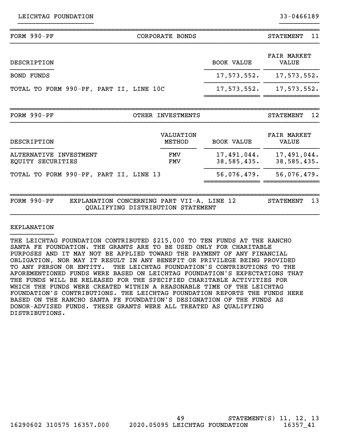| $FORM 990-PF$                               | CORPORATE BONDS                                                                           |                            | 11<br><b>STATEMENT</b>      |
|---------------------------------------------|-------------------------------------------------------------------------------------------|----------------------------|-----------------------------|
| DESCRIPTION                                 |                                                                                           | <b>BOOK VALUE</b>          | <b>FAIR MARKET</b><br>VALUE |
| <b>BOND FUNDS</b>                           |                                                                                           | 17,573,552.                | 17,573,552.                 |
| TOTAL TO FORM 990-PF, PART II, LINE 10C     |                                                                                           | 17,573,552.                | 17,573,552.                 |
|                                             |                                                                                           |                            |                             |
| $FORM 990-PF$                               | OTHER INVESTMENTS                                                                         |                            | 12<br><b>STATEMENT</b>      |
| DESCRIPTION                                 | <b>VALUATION</b><br>METHOD                                                                | <b>BOOK VALUE</b>          | <b>FAIR MARKET</b><br>VALUE |
| ALTERNATIVE INVESTMENT<br>EQUITY SECURITIES | <b>FMV</b><br><b>FMV</b>                                                                  | 17,491,044.<br>38,585,435. | 17,491,044.<br>38,585,435.  |
| TOTAL TO FORM 990-PF, PART II, LINE 13      |                                                                                           | 56,076,479.                | 56,076,479.                 |
|                                             |                                                                                           |                            |                             |
| FORM $990-PF$                               | EXPLANATION CONCERNING PART VII-A, LINE 12<br>QUALIFYING DISTRIBUTION<br><b>STATEMENT</b> |                            | 13<br><b>STATEMENT</b>      |

}}}}}}}}}}}}}}}}}}}}}}}}}}}}}}}}}}}}}}}}}}}}}}}}}}}}}}}}}}}}}}}}}}}}}}}}}}}}}}

#### EXPLANATION }}}}}}}}}}}

THE LEICHTAG FOUNDATION CONTRIBUTED \$215,000 TO TEN FUNDS AT THE RANCHO SANTA FE FOUNDATION. THE GRANTS ARE TO BE USED ONLY FOR CHARITABLE PURPOSES AND IT MAY NOT BE APPLIED TOWARD THE PAYMENT OF ANY FINANCIAL OBLIGATION, NOR MAY IT RESULT IN ANY BENEFIT OR PRIVILEGE BEING PROVIDED TO ANY PERSON OR ENTITY. THE LEICHTAG FOUNDATION'S CONTRIBUTIONS TO THE AFOREMENTIONED FUNDS WERE BASED ON LEICHTAG FOUNDATION'S EXPECTATIONS THAT THE FUNDS WILL BE RELEASED FOR THE SPECIFIED CHARITABLE ACTIVITIES FOR WHICH THE FUNDS WERE CREATED WITHIN A REASONABLE TIME OF THE LEICHTAG FOUNDATION'S CONTRIBUTIONS. THE LEICHTAG FOUNDATION REPORTS THE FUNDS HERE BASED ON THE RANCHO SANTA FE FOUNDATION'S DESIGNATION OF THE FUNDS AS DONOR-ADVISED FUNDS. THESE GRANTS WERE ALL TREATED AS QUALIFYING DISTRIBUTIONS.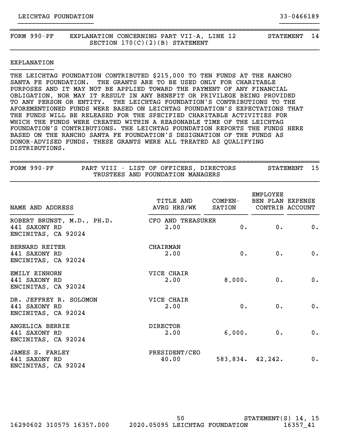| FORM 990-PF | EXPLANATION CONCERNING PART VII-A, LINE 12<br>SECTION $170(C)(2)(B)$ STATEMENT | <b>STATEMENT</b> | -14 |
|-------------|--------------------------------------------------------------------------------|------------------|-----|
|             |                                                                                |                  |     |

#### EXPLANATION }}}}}}}}}}}

THE LEICHTAG FOUNDATION CONTRIBUTED \$215,000 TO TEN FUNDS AT THE RANCHO SANTA FE FOUNDATION. THE GRANTS ARE TO BE USED ONLY FOR CHARITABLE PURPOSES AND IT MAY NOT BE APPLIED TOWARD THE PAYMENT OF ANY FINANCIAL OBLIGATION, NOR MAY IT RESULT IN ANY BENEFIT OR PRIVILEGE BEING PROVIDED TO ANY PERSON OR ENTITY. THE LEICHTAG FOUNDATION'S CONTRIBUTIONS TO THE AFOREMENTIONED FUNDS WERE BASED ON LEICHTAG FOUNDATION'S EXPECTATIONS THAT THE FUNDS WILL BE RELEASED FOR THE SPECIFIED CHARITABLE ACTIVITIES FOR WHICH THE FUNDS WERE CREATED WITHIN A REASONABLE TIME OF THE LEICHTAG FOUNDATION'S CONTRIBUTIONS. THE LEICHTAG FOUNDATION REPORTS THE FUNDS HERE BASED ON THE RANCHO SANTA FE FOUNDATION'S DESIGNATION OF THE FUNDS AS DONOR-ADVISED FUNDS. THESE GRANTS WERE ALL TREATED AS QUALIFYING DISTRIBUTIONS.

| FORM $990-PF$                                                      | PART VIII - LIST OF OFFICERS, DIRECTORS<br>TRUSTEES AND FOUNDATION MANAGERS |         |                                     | 15<br>STATEMENT |
|--------------------------------------------------------------------|-----------------------------------------------------------------------------|---------|-------------------------------------|-----------------|
| NAME AND ADDRESS                                                   | TITLE AND<br>AVRG HRS/WK SATION CONTRIB ACCOUNT                             | COMPEN- | <b>EMPLOYEE</b><br>BEN PLAN EXPENSE |                 |
| ROBERT BRUNST, M.D., PH.D.<br>441 SAXONY RD<br>ENCINITAS, CA 92024 | CFO AND TREASURER<br>2.00                                                   | 0.      | 0.                                  | 0.              |
| <b>BERNARD REITER</b><br>441 SAXONY RD<br>ENCINITAS, CA 92024      | CHAIRMAN<br>2.00                                                            | $0$ .   | $0$ .                               | 0.              |
| EMILY EINHORN<br>441 SAXONY RD<br>ENCINITAS, CA 92024              | VICE CHAIR<br>2.00                                                          | 8,000.  | 0.                                  | 0.              |
| DR. JEFFREY R. SOLOMON<br>441 SAXONY RD<br>ENCINITAS, CA 92024     | VICE CHAIR<br>2.00                                                          | $0$ .   | 0.                                  | 0.              |
| ANGELICA BERRIE<br>441 SAXONY RD<br>ENCINITAS, CA 92024            | <b>DIRECTOR</b><br>2.00                                                     | 6,000.  | 0.                                  | 0.              |
| JAMES S. FARLEY<br>441 SAXONY RD<br>ENCINITAS, CA 92024            | PRESIDENT/CEO<br>40.00                                                      |         | 583,834. 42,242.                    | 0.              |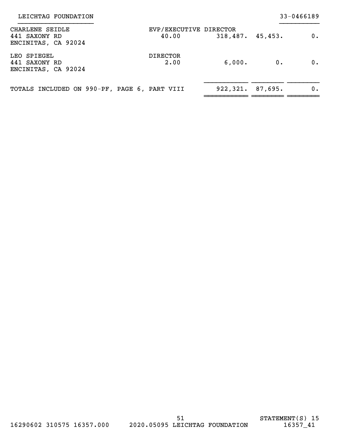| CHARLENE SEIDLE<br>441 SAXONY RD<br>ENCINITAS, CA 92024 | EVP/EXECUTIVE DIRECTOR<br>40.00 | 318,487.45,453.    |    | 0. |
|---------------------------------------------------------|---------------------------------|--------------------|----|----|
| LEO SPIEGEL<br>441 SAXONY RD<br>ENCINITAS, CA 92024     | <b>DIRECTOR</b><br>2.00         | 6,000.             | 0. | 0. |
| TOTALS INCLUDED ON 990-PF, PAGE 6, PART VIII            |                                 | 922, 321. 87, 695. |    | 0. |